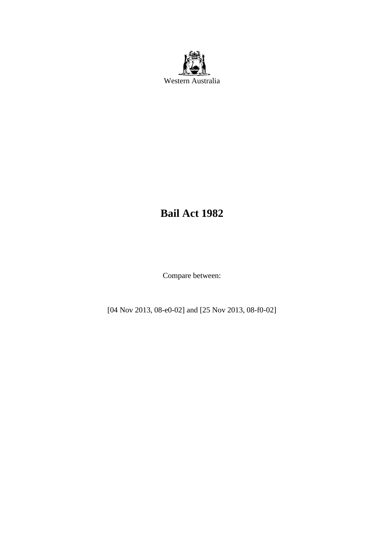

# **Bail Act 1982**

Compare between:

[04 Nov 2013, 08-e0-02] and [25 Nov 2013, 08-f0-02]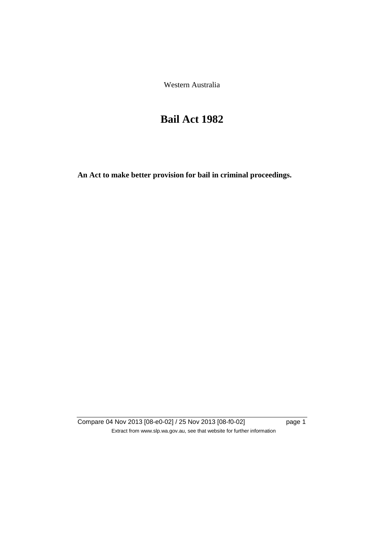Western Australia

# **Bail Act 1982**

**An Act to make better provision for bail in criminal proceedings.** 

Compare 04 Nov 2013 [08-e0-02] / 25 Nov 2013 [08-f0-02] page 1 Extract from www.slp.wa.gov.au, see that website for further information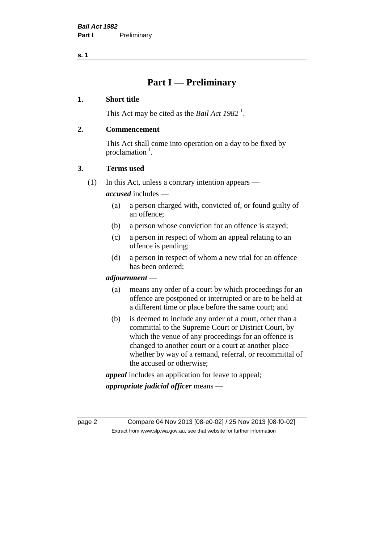**s. 1**

# **Part I — Preliminary**

### **1. Short title**

This Act may be cited as the *Bail Act* 1982<sup>1</sup>.

### **2. Commencement**

This Act shall come into operation on a day to be fixed by proclamation  $<sup>1</sup>$ .</sup>

### **3. Terms used**

(1) In this Act, unless a contrary intention appears —

*accused* includes —

- (a) a person charged with, convicted of, or found guilty of an offence;
- (b) a person whose conviction for an offence is stayed;
- (c) a person in respect of whom an appeal relating to an offence is pending;
- (d) a person in respect of whom a new trial for an offence has been ordered;

#### *adjournment* —

- (a) means any order of a court by which proceedings for an offence are postponed or interrupted or are to be held at a different time or place before the same court; and
- (b) is deemed to include any order of a court, other than a committal to the Supreme Court or District Court, by which the venue of any proceedings for an offence is changed to another court or a court at another place whether by way of a remand, referral, or recommittal of the accused or otherwise;

*appeal* includes an application for leave to appeal;

*appropriate judicial officer* means —

page 2 Compare 04 Nov 2013 [08-e0-02] / 25 Nov 2013 [08-f0-02] Extract from www.slp.wa.gov.au, see that website for further information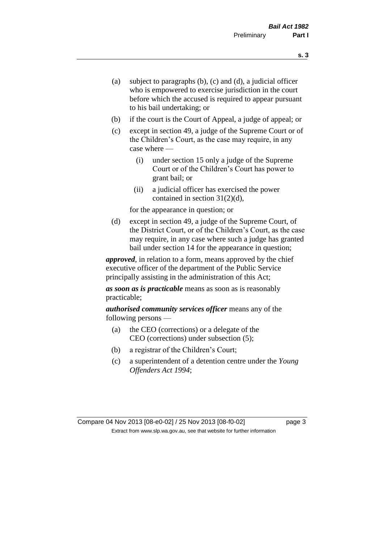- (a) subject to paragraphs (b), (c) and (d), a judicial officer who is empowered to exercise jurisdiction in the court before which the accused is required to appear pursuant to his bail undertaking; or
- (b) if the court is the Court of Appeal, a judge of appeal; or
- (c) except in section 49, a judge of the Supreme Court or of the Children's Court, as the case may require, in any case where —
	- (i) under section 15 only a judge of the Supreme Court or of the Children's Court has power to grant bail; or
	- (ii) a judicial officer has exercised the power contained in section 31(2)(d),

for the appearance in question; or

(d) except in section 49, a judge of the Supreme Court, of the District Court, or of the Children's Court, as the case may require, in any case where such a judge has granted bail under section 14 for the appearance in question;

*approved*, in relation to a form, means approved by the chief executive officer of the department of the Public Service principally assisting in the administration of this Act;

*as soon as is practicable* means as soon as is reasonably practicable;

*authorised community services officer* means any of the following persons —

- (a) the CEO (corrections) or a delegate of the CEO (corrections) under subsection (5);
- (b) a registrar of the Children's Court;
- (c) a superintendent of a detention centre under the *Young Offenders Act 1994*;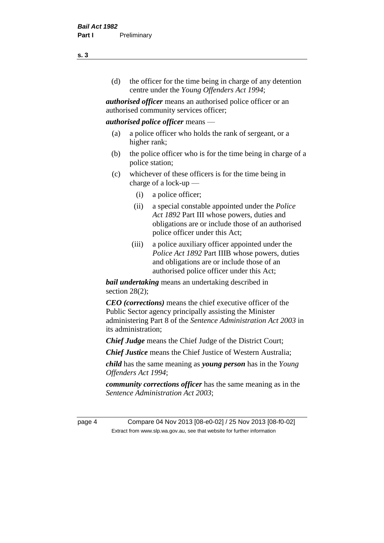(d) the officer for the time being in charge of any detention centre under the *Young Offenders Act 1994*;

*authorised officer* means an authorised police officer or an authorised community services officer;

#### *authorised police officer* means —

- (a) a police officer who holds the rank of sergeant, or a higher rank;
- (b) the police officer who is for the time being in charge of a police station;
- (c) whichever of these officers is for the time being in charge of a lock-up —
	- (i) a police officer;
	- (ii) a special constable appointed under the *Police Act 1892* Part III whose powers, duties and obligations are or include those of an authorised police officer under this Act;
	- (iii) a police auxiliary officer appointed under the *Police Act 1892* Part IIIB whose powers, duties and obligations are or include those of an authorised police officer under this Act;

*bail undertaking* means an undertaking described in section  $28(2)$ ;

*CEO (corrections)* means the chief executive officer of the Public Sector agency principally assisting the Minister administering Part 8 of the *Sentence Administration Act 2003* in its administration;

*Chief Judge* means the Chief Judge of the District Court;

*Chief Justice* means the Chief Justice of Western Australia;

*child* has the same meaning as *young person* has in the *Young Offenders Act 1994*;

*community corrections officer* has the same meaning as in the *Sentence Administration Act 2003*;

page 4 Compare 04 Nov 2013 [08-e0-02] / 25 Nov 2013 [08-f0-02] Extract from www.slp.wa.gov.au, see that website for further information

**s. 3**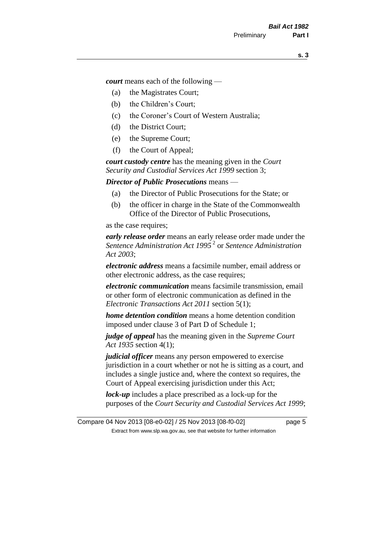*court* means each of the following —

- (a) the Magistrates Court;
- (b) the Children's Court;
- (c) the Coroner's Court of Western Australia;
- (d) the District Court;
- (e) the Supreme Court;
- (f) the Court of Appeal;

*court custody centre* has the meaning given in the *Court Security and Custodial Services Act 1999* section 3;

*Director of Public Prosecutions* means —

- (a) the Director of Public Prosecutions for the State; or
- (b) the officer in charge in the State of the Commonwealth Office of the Director of Public Prosecutions,

as the case requires;

*early release order* means an early release order made under the *Sentence Administration Act 1995* <sup>2</sup> or *Sentence Administration Act 2003*;

*electronic address* means a facsimile number, email address or other electronic address, as the case requires;

*electronic communication* means facsimile transmission, email or other form of electronic communication as defined in the *Electronic Transactions Act 2011* section 5(1);

*home detention condition* means a home detention condition imposed under clause 3 of Part D of Schedule 1;

*judge of appeal* has the meaning given in the *Supreme Court Act 1935* section 4(1);

*judicial officer* means any person empowered to exercise jurisdiction in a court whether or not he is sitting as a court, and includes a single justice and, where the context so requires, the Court of Appeal exercising jurisdiction under this Act;

*lock-up* includes a place prescribed as a lock-up for the purposes of the *Court Security and Custodial Services Act 1999*;

Compare 04 Nov 2013 [08-e0-02] / 25 Nov 2013 [08-f0-02] page 5 Extract from www.slp.wa.gov.au, see that website for further information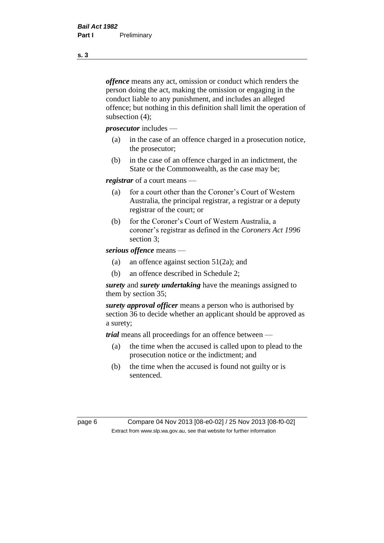*offence* means any act, omission or conduct which renders the person doing the act, making the omission or engaging in the conduct liable to any punishment, and includes an alleged offence; but nothing in this definition shall limit the operation of subsection (4);

*prosecutor* includes —

- (a) in the case of an offence charged in a prosecution notice, the prosecutor;
- (b) in the case of an offence charged in an indictment, the State or the Commonwealth, as the case may be;

*registrar* of a court means —

- (a) for a court other than the Coroner's Court of Western Australia, the principal registrar, a registrar or a deputy registrar of the court; or
- (b) for the Coroner's Court of Western Australia, a coroner's registrar as defined in the *Coroners Act 1996* section 3;

*serious offence* means —

- (a) an offence against section 51(2a); and
- (b) an offence described in Schedule 2;

*surety* and *surety undertaking* have the meanings assigned to them by section 35;

*surety approval officer* means a person who is authorised by section 36 to decide whether an applicant should be approved as a surety;

*trial* means all proceedings for an offence between —

- (a) the time when the accused is called upon to plead to the prosecution notice or the indictment; and
- (b) the time when the accused is found not guilty or is sentenced.

page 6 Compare 04 Nov 2013 [08-e0-02] / 25 Nov 2013 [08-f0-02] Extract from www.slp.wa.gov.au, see that website for further information

**s. 3**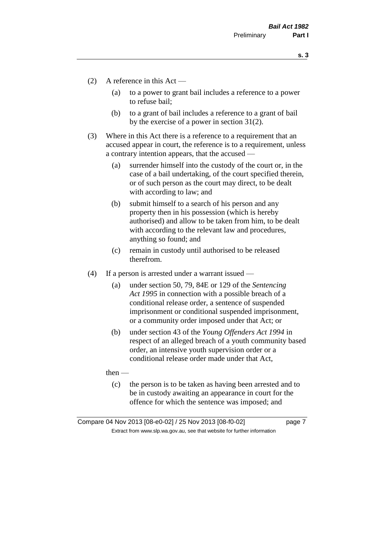**s. 3**

- (2) A reference in this Act
	- (a) to a power to grant bail includes a reference to a power to refuse bail;
	- (b) to a grant of bail includes a reference to a grant of bail by the exercise of a power in section 31(2).
- (3) Where in this Act there is a reference to a requirement that an accused appear in court, the reference is to a requirement, unless a contrary intention appears, that the accused —
	- (a) surrender himself into the custody of the court or, in the case of a bail undertaking, of the court specified therein, or of such person as the court may direct, to be dealt with according to law; and
	- (b) submit himself to a search of his person and any property then in his possession (which is hereby authorised) and allow to be taken from him, to be dealt with according to the relevant law and procedures, anything so found; and
	- (c) remain in custody until authorised to be released therefrom.
- (4) If a person is arrested under a warrant issued
	- (a) under section 50, 79, 84E or 129 of the *Sentencing Act 1995* in connection with a possible breach of a conditional release order, a sentence of suspended imprisonment or conditional suspended imprisonment, or a community order imposed under that Act; or
	- (b) under section 43 of the *Young Offenders Act 1994* in respect of an alleged breach of a youth community based order, an intensive youth supervision order or a conditional release order made under that Act,

then —

(c) the person is to be taken as having been arrested and to be in custody awaiting an appearance in court for the offence for which the sentence was imposed; and

Compare 04 Nov 2013 [08-e0-02] / 25 Nov 2013 [08-f0-02] page 7 Extract from www.slp.wa.gov.au, see that website for further information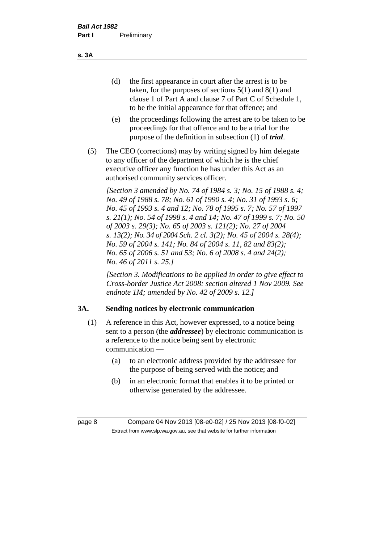(d) the first appearance in court after the arrest is to be taken, for the purposes of sections 5(1) and 8(1) and clause 1 of Part A and clause 7 of Part C of Schedule 1, to be the initial appearance for that offence; and

- (e) the proceedings following the arrest are to be taken to be proceedings for that offence and to be a trial for the purpose of the definition in subsection (1) of *trial*.
- (5) The CEO (corrections) may by writing signed by him delegate to any officer of the department of which he is the chief executive officer any function he has under this Act as an authorised community services officer.

*[Section 3 amended by No. 74 of 1984 s. 3; No. 15 of 1988 s. 4; No. 49 of 1988 s. 78; No. 61 of 1990 s. 4; No. 31 of 1993 s. 6; No. 45 of 1993 s. 4 and 12; No. 78 of 1995 s. 7; No. 57 of 1997 s. 21(1); No. 54 of 1998 s. 4 and 14; No. 47 of 1999 s. 7; No. 50 of 2003 s. 29(3); No. 65 of 2003 s. 121(2); No. 27 of 2004 s. 13(2); No. 34 of 2004 Sch. 2 cl. 3(2); No. 45 of 2004 s. 28(4); No. 59 of 2004 s. 141; No. 84 of 2004 s. 11, 82 and 83(2); No. 65 of 2006 s. 51 and 53; No. 6 of 2008 s. 4 and 24(2); No. 46 of 2011 s. 25.]* 

*[Section 3. Modifications to be applied in order to give effect to Cross-border Justice Act 2008: section altered 1 Nov 2009. See endnote 1M; amended by No. 42 of 2009 s. 12.]*

# **3A. Sending notices by electronic communication**

- (1) A reference in this Act, however expressed, to a notice being sent to a person (the *addressee*) by electronic communication is a reference to the notice being sent by electronic communication —
	- (a) to an electronic address provided by the addressee for the purpose of being served with the notice; and
	- (b) in an electronic format that enables it to be printed or otherwise generated by the addressee.

**s. 3A**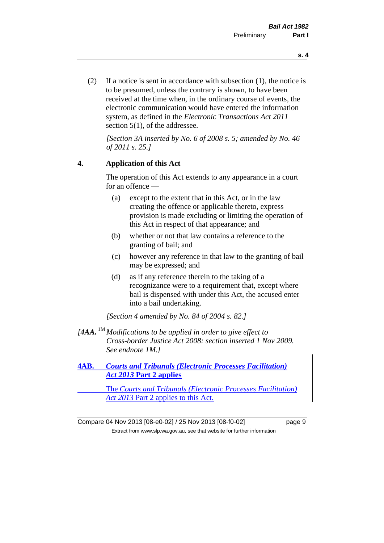(2) If a notice is sent in accordance with subsection (1), the notice is to be presumed, unless the contrary is shown, to have been received at the time when, in the ordinary course of events, the electronic communication would have entered the information system, as defined in the *Electronic Transactions Act 2011* section 5(1), of the addressee.

*[Section 3A inserted by No. 6 of 2008 s. 5; amended by No. 46 of 2011 s. 25.]*

#### **4. Application of this Act**

The operation of this Act extends to any appearance in a court for an offence —

- (a) except to the extent that in this Act, or in the law creating the offence or applicable thereto, express provision is made excluding or limiting the operation of this Act in respect of that appearance; and
- (b) whether or not that law contains a reference to the granting of bail; and
- (c) however any reference in that law to the granting of bail may be expressed; and
- (d) as if any reference therein to the taking of a recognizance were to a requirement that, except where bail is dispensed with under this Act, the accused enter into a bail undertaking.

*[Section 4 amended by No. 84 of 2004 s. 82.]*

*[4AA.* 1M *Modifications to be applied in order to give effect to Cross-border Justice Act 2008: section inserted 1 Nov 2009. See endnote 1M.]*

**4AB.** *Courts and Tribunals (Electronic Processes Facilitation) Act 2013* **Part 2 applies**

The *Courts and Tribunals (Electronic Processes Facilitation) Act 2013* Part 2 applies to this Act.

Compare 04 Nov 2013 [08-e0-02] / 25 Nov 2013 [08-f0-02] page 9 Extract from www.slp.wa.gov.au, see that website for further information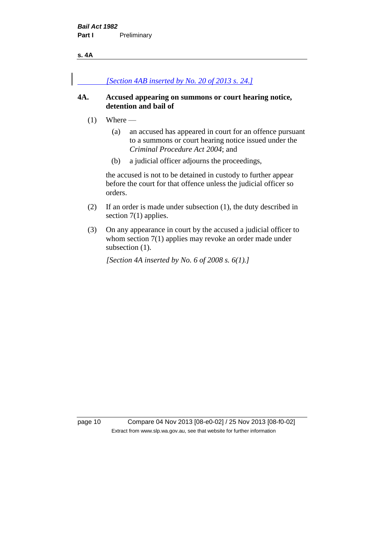#### **s. 4A**

### *[Section 4AB inserted by No. 20 of 2013 s. 24.]*

#### **4A. Accused appearing on summons or court hearing notice, detention and bail of**

- $(1)$  Where
	- (a) an accused has appeared in court for an offence pursuant to a summons or court hearing notice issued under the *Criminal Procedure Act 2004*; and
	- (b) a judicial officer adjourns the proceedings,

the accused is not to be detained in custody to further appear before the court for that offence unless the judicial officer so orders.

- (2) If an order is made under subsection (1), the duty described in section 7(1) applies.
- (3) On any appearance in court by the accused a judicial officer to whom section 7(1) applies may revoke an order made under subsection  $(1)$ .

*[Section 4A inserted by No. 6 of 2008 s. 6(1).]*

page 10 Compare 04 Nov 2013 [08-e0-02] / 25 Nov 2013 [08-f0-02] Extract from www.slp.wa.gov.au, see that website for further information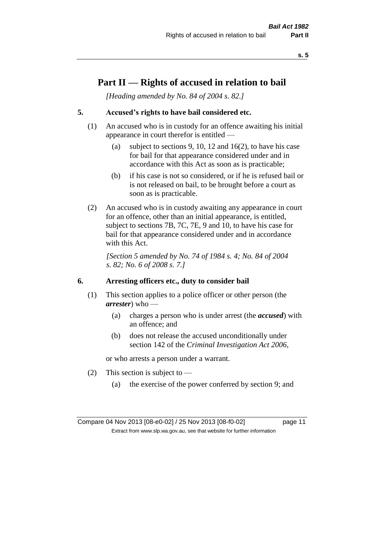**s. 5**

# **Part II — Rights of accused in relation to bail**

*[Heading amended by No. 84 of 2004 s. 82.]* 

# **5. Accused's rights to have bail considered etc.**

- (1) An accused who is in custody for an offence awaiting his initial appearance in court therefor is entitled —
	- (a) subject to sections 9, 10, 12 and 16(2), to have his case for bail for that appearance considered under and in accordance with this Act as soon as is practicable;
	- (b) if his case is not so considered, or if he is refused bail or is not released on bail, to be brought before a court as soon as is practicable.
- (2) An accused who is in custody awaiting any appearance in court for an offence, other than an initial appearance, is entitled, subject to sections 7B, 7C, 7E, 9 and 10, to have his case for bail for that appearance considered under and in accordance with this Act.

*[Section 5 amended by No. 74 of 1984 s. 4; No. 84 of 2004 s. 82; No. 6 of 2008 s. 7.]* 

#### **6. Arresting officers etc., duty to consider bail**

- (1) This section applies to a police officer or other person (the *arrester*) who —
	- (a) charges a person who is under arrest (the *accused*) with an offence; and
	- (b) does not release the accused unconditionally under section 142 of the *Criminal Investigation Act 2006*,

or who arrests a person under a warrant.

- (2) This section is subject to  $-$ 
	- (a) the exercise of the power conferred by section 9; and

Compare 04 Nov 2013 [08-e0-02] / 25 Nov 2013 [08-f0-02] page 11 Extract from www.slp.wa.gov.au, see that website for further information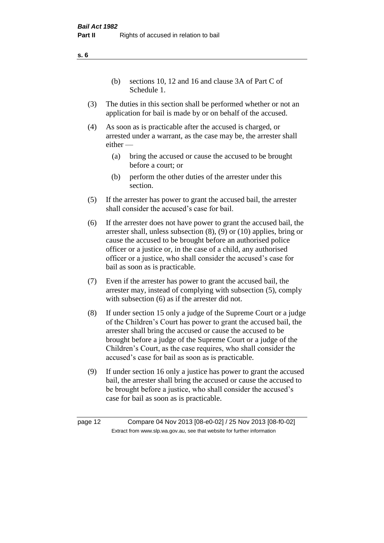(b) sections 10, 12 and 16 and clause 3A of Part C of Schedule 1.

- (3) The duties in this section shall be performed whether or not an application for bail is made by or on behalf of the accused.
- (4) As soon as is practicable after the accused is charged, or arrested under a warrant, as the case may be, the arrester shall either —
	- (a) bring the accused or cause the accused to be brought before a court; or
	- (b) perform the other duties of the arrester under this section.
- (5) If the arrester has power to grant the accused bail, the arrester shall consider the accused's case for bail.
- (6) If the arrester does not have power to grant the accused bail, the arrester shall, unless subsection (8), (9) or (10) applies, bring or cause the accused to be brought before an authorised police officer or a justice or, in the case of a child, any authorised officer or a justice, who shall consider the accused's case for bail as soon as is practicable.
- (7) Even if the arrester has power to grant the accused bail, the arrester may, instead of complying with subsection (5), comply with subsection  $(6)$  as if the arrester did not.
- (8) If under section 15 only a judge of the Supreme Court or a judge of the Children's Court has power to grant the accused bail, the arrester shall bring the accused or cause the accused to be brought before a judge of the Supreme Court or a judge of the Children's Court, as the case requires, who shall consider the accused's case for bail as soon as is practicable.
- (9) If under section 16 only a justice has power to grant the accused bail, the arrester shall bring the accused or cause the accused to be brought before a justice, who shall consider the accused's case for bail as soon as is practicable.

**s. 6**

page 12 Compare 04 Nov 2013 [08-e0-02] / 25 Nov 2013 [08-f0-02] Extract from www.slp.wa.gov.au, see that website for further information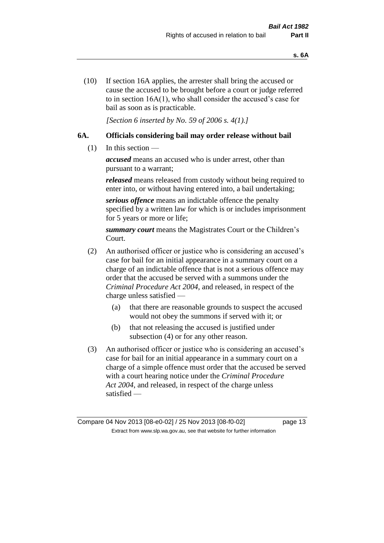(10) If section 16A applies, the arrester shall bring the accused or cause the accused to be brought before a court or judge referred to in section 16A(1), who shall consider the accused's case for bail as soon as is practicable.

*[Section 6 inserted by No. 59 of 2006 s. 4(1).]* 

# **6A. Officials considering bail may order release without bail**

(1) In this section —

*accused* means an accused who is under arrest, other than pursuant to a warrant;

*released* means released from custody without being required to enter into, or without having entered into, a bail undertaking;

*serious offence* means an indictable offence the penalty specified by a written law for which is or includes imprisonment for 5 years or more or life;

*summary court* means the Magistrates Court or the Children's Court.

- (2) An authorised officer or justice who is considering an accused's case for bail for an initial appearance in a summary court on a charge of an indictable offence that is not a serious offence may order that the accused be served with a summons under the *Criminal Procedure Act 2004*, and released, in respect of the charge unless satisfied —
	- (a) that there are reasonable grounds to suspect the accused would not obey the summons if served with it; or
	- (b) that not releasing the accused is justified under subsection (4) or for any other reason.
- (3) An authorised officer or justice who is considering an accused's case for bail for an initial appearance in a summary court on a charge of a simple offence must order that the accused be served with a court hearing notice under the *Criminal Procedure Act 2004*, and released, in respect of the charge unless satisfied —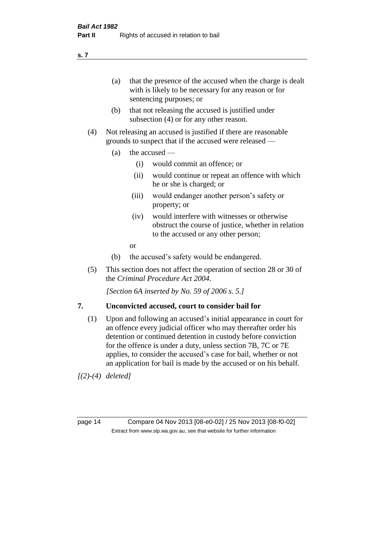(a) that the presence of the accused when the charge is dealt with is likely to be necessary for any reason or for sentencing purposes; or

- (b) that not releasing the accused is justified under subsection (4) or for any other reason.
- (4) Not releasing an accused is justified if there are reasonable grounds to suspect that if the accused were released —
	- (a) the accused  $\equiv$ 
		- (i) would commit an offence; or
		- (ii) would continue or repeat an offence with which he or she is charged; or
		- (iii) would endanger another person's safety or property; or
		- (iv) would interfere with witnesses or otherwise obstruct the course of justice, whether in relation to the accused or any other person;
		- or
	- (b) the accused's safety would be endangered.
- (5) This section does not affect the operation of section 28 or 30 of the *Criminal Procedure Act 2004*.

*[Section 6A inserted by No. 59 of 2006 s. 5.]* 

#### **7. Unconvicted accused, court to consider bail for**

(1) Upon and following an accused's initial appearance in court for an offence every judicial officer who may thereafter order his detention or continued detention in custody before conviction for the offence is under a duty, unless section 7B, 7C or 7E applies, to consider the accused's case for bail, whether or not an application for bail is made by the accused or on his behalf.

*[(2)-(4) deleted]*

page 14 Compare 04 Nov 2013 [08-e0-02] / 25 Nov 2013 [08-f0-02] Extract from www.slp.wa.gov.au, see that website for further information

**s. 7**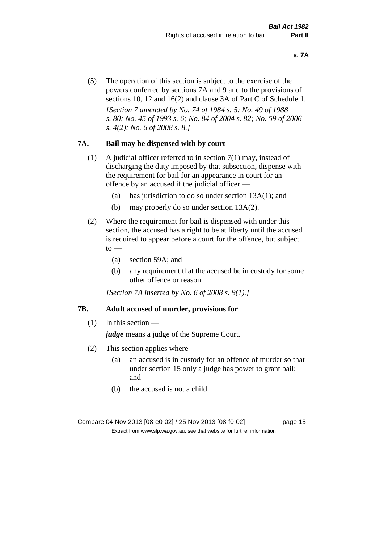(5) The operation of this section is subject to the exercise of the powers conferred by sections 7A and 9 and to the provisions of sections 10, 12 and 16(2) and clause 3A of Part C of Schedule 1. *[Section 7 amended by No. 74 of 1984 s. 5; No. 49 of 1988 s. 80; No. 45 of 1993 s. 6; No. 84 of 2004 s. 82; No. 59 of 2006 s. 4(2); No. 6 of 2008 s. 8.]* 

#### **7A. Bail may be dispensed with by court**

- (1) A judicial officer referred to in section 7(1) may, instead of discharging the duty imposed by that subsection, dispense with the requirement for bail for an appearance in court for an offence by an accused if the judicial officer —
	- (a) has jurisdiction to do so under section 13A(1); and
	- (b) may properly do so under section 13A(2).
- (2) Where the requirement for bail is dispensed with under this section, the accused has a right to be at liberty until the accused is required to appear before a court for the offence, but subject  $to$ 
	- (a) section 59A; and
	- (b) any requirement that the accused be in custody for some other offence or reason.

*[Section 7A inserted by No. 6 of 2008 s. 9(1).]*

#### **7B. Adult accused of murder, provisions for**

 $(1)$  In this section —

*judge* means a judge of the Supreme Court.

- (2) This section applies where
	- (a) an accused is in custody for an offence of murder so that under section 15 only a judge has power to grant bail; and
	- (b) the accused is not a child.

Compare 04 Nov 2013 [08-e0-02] / 25 Nov 2013 [08-f0-02] page 15 Extract from www.slp.wa.gov.au, see that website for further information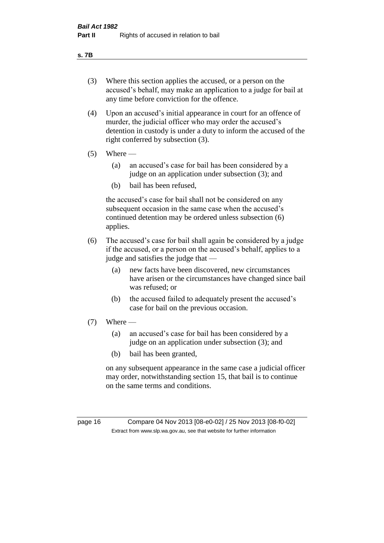#### **s. 7B**

- (3) Where this section applies the accused, or a person on the accused's behalf, may make an application to a judge for bail at any time before conviction for the offence.
- (4) Upon an accused's initial appearance in court for an offence of murder, the judicial officer who may order the accused's detention in custody is under a duty to inform the accused of the right conferred by subsection (3).
- $(5)$  Where
	- (a) an accused's case for bail has been considered by a judge on an application under subsection (3); and
	- (b) bail has been refused,

the accused's case for bail shall not be considered on any subsequent occasion in the same case when the accused's continued detention may be ordered unless subsection (6) applies.

- (6) The accused's case for bail shall again be considered by a judge if the accused, or a person on the accused's behalf, applies to a judge and satisfies the judge that —
	- (a) new facts have been discovered, new circumstances have arisen or the circumstances have changed since bail was refused; or
	- (b) the accused failed to adequately present the accused's case for bail on the previous occasion.
- $(7)$  Where
	- (a) an accused's case for bail has been considered by a judge on an application under subsection (3); and
	- (b) bail has been granted,

on any subsequent appearance in the same case a judicial officer may order, notwithstanding section 15, that bail is to continue on the same terms and conditions.

page 16 Compare 04 Nov 2013 [08-e0-02] / 25 Nov 2013 [08-f0-02] Extract from www.slp.wa.gov.au, see that website for further information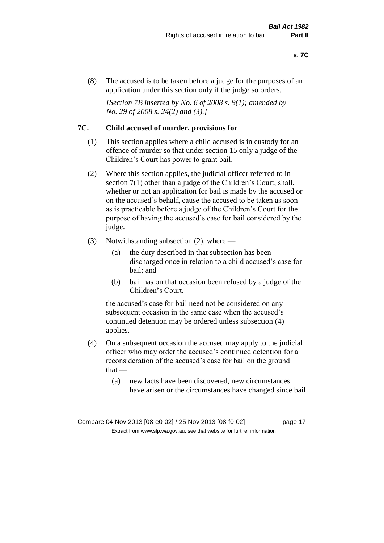(8) The accused is to be taken before a judge for the purposes of an application under this section only if the judge so orders.

*[Section 7B inserted by No. 6 of 2008 s. 9(1); amended by No. 29 of 2008 s. 24(2) and (3).]*

#### **7C. Child accused of murder, provisions for**

- (1) This section applies where a child accused is in custody for an offence of murder so that under section 15 only a judge of the Children's Court has power to grant bail.
- (2) Where this section applies, the judicial officer referred to in section 7(1) other than a judge of the Children's Court, shall, whether or not an application for bail is made by the accused or on the accused's behalf, cause the accused to be taken as soon as is practicable before a judge of the Children's Court for the purpose of having the accused's case for bail considered by the judge.
- (3) Notwithstanding subsection (2), where
	- (a) the duty described in that subsection has been discharged once in relation to a child accused's case for bail; and
	- (b) bail has on that occasion been refused by a judge of the Children's Court,

the accused's case for bail need not be considered on any subsequent occasion in the same case when the accused's continued detention may be ordered unless subsection (4) applies.

- (4) On a subsequent occasion the accused may apply to the judicial officer who may order the accused's continued detention for a reconsideration of the accused's case for bail on the ground that —
	- (a) new facts have been discovered, new circumstances have arisen or the circumstances have changed since bail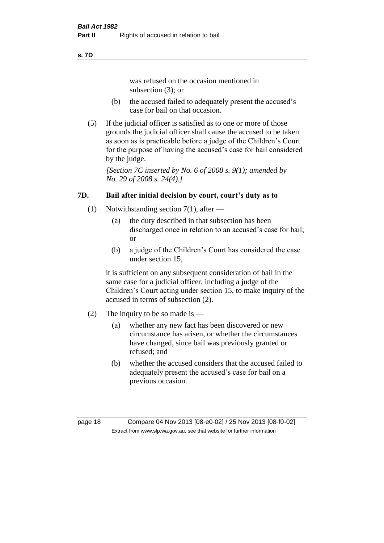#### **s. 7D**

was refused on the occasion mentioned in subsection (3); or

- (b) the accused failed to adequately present the accused's case for bail on that occasion.
- (5) If the judicial officer is satisfied as to one or more of those grounds the judicial officer shall cause the accused to be taken as soon as is practicable before a judge of the Children's Court for the purpose of having the accused's case for bail considered by the judge.

*[Section 7C inserted by No. 6 of 2008 s. 9(1); amended by No. 29 of 2008 s. 24(4).]*

# **7D. Bail after initial decision by court, court's duty as to**

- (1) Notwithstanding section 7(1), after
	- (a) the duty described in that subsection has been discharged once in relation to an accused's case for bail; or
	- (b) a judge of the Children's Court has considered the case under section 15,

it is sufficient on any subsequent consideration of bail in the same case for a judicial officer, including a judge of the Children's Court acting under section 15, to make inquiry of the accused in terms of subsection (2).

- (2) The inquiry to be so made is
	- (a) whether any new fact has been discovered or new circumstance has arisen, or whether the circumstances have changed, since bail was previously granted or refused; and
	- (b) whether the accused considers that the accused failed to adequately present the accused's case for bail on a previous occasion.

page 18 Compare 04 Nov 2013 [08-e0-02] / 25 Nov 2013 [08-f0-02] Extract from www.slp.wa.gov.au, see that website for further information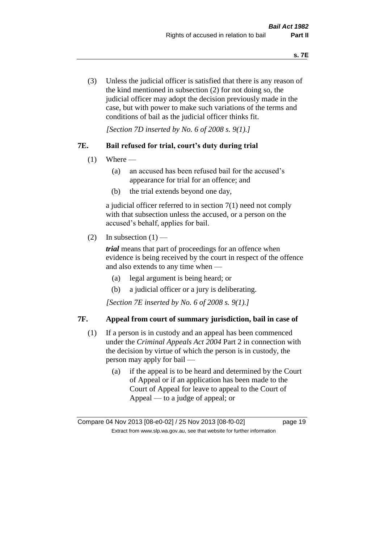(3) Unless the judicial officer is satisfied that there is any reason of the kind mentioned in subsection (2) for not doing so, the judicial officer may adopt the decision previously made in the case, but with power to make such variations of the terms and conditions of bail as the judicial officer thinks fit.

*[Section 7D inserted by No. 6 of 2008 s. 9(1).]*

### **7E. Bail refused for trial, court's duty during trial**

- $(1)$  Where
	- (a) an accused has been refused bail for the accused's appearance for trial for an offence; and
	- (b) the trial extends beyond one day,

a judicial officer referred to in section 7(1) need not comply with that subsection unless the accused, or a person on the accused's behalf, applies for bail.

(2) In subsection  $(1)$  —

*trial* means that part of proceedings for an offence when evidence is being received by the court in respect of the offence and also extends to any time when —

- (a) legal argument is being heard; or
- (b) a judicial officer or a jury is deliberating.

*[Section 7E inserted by No. 6 of 2008 s. 9(1).]*

# **7F. Appeal from court of summary jurisdiction, bail in case of**

- (1) If a person is in custody and an appeal has been commenced under the *Criminal Appeals Act 2004* Part 2 in connection with the decision by virtue of which the person is in custody, the person may apply for bail —
	- (a) if the appeal is to be heard and determined by the Court of Appeal or if an application has been made to the Court of Appeal for leave to appeal to the Court of Appeal — to a judge of appeal; or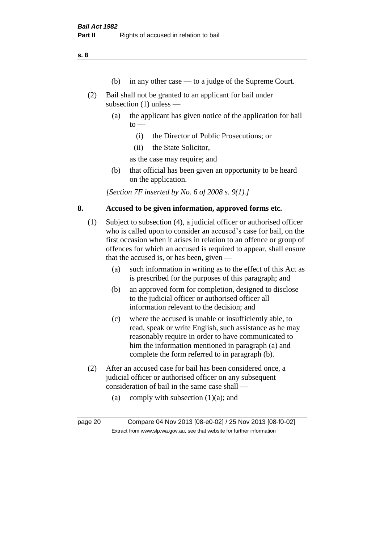**s. 8**

- (b) in any other case to a judge of the Supreme Court.
- (2) Bail shall not be granted to an applicant for bail under subsection (1) unless —
	- (a) the applicant has given notice of the application for bail  $to -$ 
		- (i) the Director of Public Prosecutions; or
		- (ii) the State Solicitor,

as the case may require; and

(b) that official has been given an opportunity to be heard on the application.

*[Section 7F inserted by No. 6 of 2008 s. 9(1).]*

#### **8. Accused to be given information, approved forms etc.**

- (1) Subject to subsection (4), a judicial officer or authorised officer who is called upon to consider an accused's case for bail, on the first occasion when it arises in relation to an offence or group of offences for which an accused is required to appear, shall ensure that the accused is, or has been, given —
	- (a) such information in writing as to the effect of this Act as is prescribed for the purposes of this paragraph; and
	- (b) an approved form for completion, designed to disclose to the judicial officer or authorised officer all information relevant to the decision; and
	- (c) where the accused is unable or insufficiently able, to read, speak or write English, such assistance as he may reasonably require in order to have communicated to him the information mentioned in paragraph (a) and complete the form referred to in paragraph (b).
- (2) After an accused case for bail has been considered once, a judicial officer or authorised officer on any subsequent consideration of bail in the same case shall —
	- (a) comply with subsection  $(1)(a)$ ; and

page 20 Compare 04 Nov 2013 [08-e0-02] / 25 Nov 2013 [08-f0-02] Extract from www.slp.wa.gov.au, see that website for further information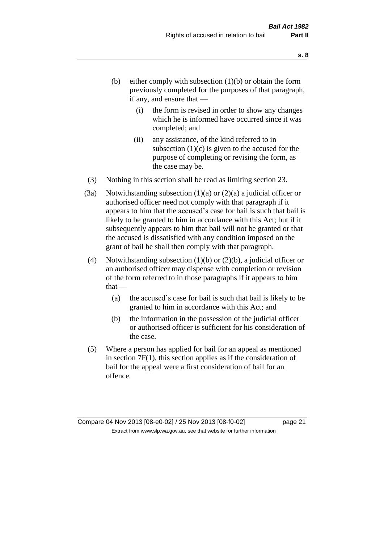- (b) either comply with subsection  $(1)(b)$  or obtain the form previously completed for the purposes of that paragraph, if any, and ensure that —
	- (i) the form is revised in order to show any changes which he is informed have occurred since it was completed; and
	- (ii) any assistance, of the kind referred to in subsection  $(1)(c)$  is given to the accused for the purpose of completing or revising the form, as the case may be.
- (3) Nothing in this section shall be read as limiting section 23.
- (3a) Notwithstanding subsection  $(1)(a)$  or  $(2)(a)$  a judicial officer or authorised officer need not comply with that paragraph if it appears to him that the accused's case for bail is such that bail is likely to be granted to him in accordance with this Act; but if it subsequently appears to him that bail will not be granted or that the accused is dissatisfied with any condition imposed on the grant of bail he shall then comply with that paragraph.
- (4) Notwithstanding subsection (1)(b) or (2)(b), a judicial officer or an authorised officer may dispense with completion or revision of the form referred to in those paragraphs if it appears to him  $that -$ 
	- (a) the accused's case for bail is such that bail is likely to be granted to him in accordance with this Act; and
	- (b) the information in the possession of the judicial officer or authorised officer is sufficient for his consideration of the case.
- (5) Where a person has applied for bail for an appeal as mentioned in section 7F(1), this section applies as if the consideration of bail for the appeal were a first consideration of bail for an offence.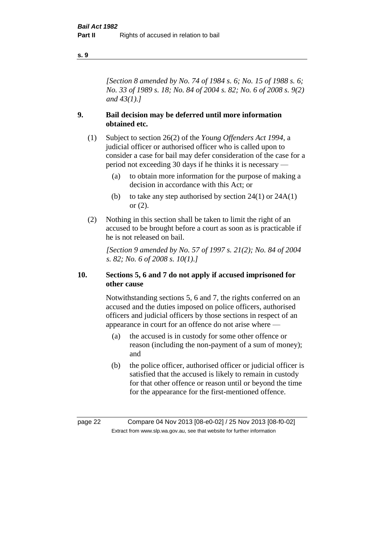#### **s. 9**

*[Section 8 amended by No. 74 of 1984 s. 6; No. 15 of 1988 s. 6; No. 33 of 1989 s. 18; No. 84 of 2004 s. 82; No. 6 of 2008 s. 9(2) and 43(1).]* 

#### **9. Bail decision may be deferred until more information obtained etc.**

- (1) Subject to section 26(2) of the *Young Offenders Act 1994*, a judicial officer or authorised officer who is called upon to consider a case for bail may defer consideration of the case for a period not exceeding 30 days if he thinks it is necessary —
	- (a) to obtain more information for the purpose of making a decision in accordance with this Act; or
	- (b) to take any step authorised by section  $24(1)$  or  $24A(1)$ or (2).
- (2) Nothing in this section shall be taken to limit the right of an accused to be brought before a court as soon as is practicable if he is not released on bail.

*[Section 9 amended by No. 57 of 1997 s. 21(2); No. 84 of 2004 s. 82; No. 6 of 2008 s. 10(1).]*

#### **10. Sections 5, 6 and 7 do not apply if accused imprisoned for other cause**

Notwithstanding sections 5, 6 and 7, the rights conferred on an accused and the duties imposed on police officers, authorised officers and judicial officers by those sections in respect of an appearance in court for an offence do not arise where —

- (a) the accused is in custody for some other offence or reason (including the non-payment of a sum of money); and
- (b) the police officer, authorised officer or judicial officer is satisfied that the accused is likely to remain in custody for that other offence or reason until or beyond the time for the appearance for the first-mentioned offence.

page 22 Compare 04 Nov 2013 [08-e0-02] / 25 Nov 2013 [08-f0-02] Extract from www.slp.wa.gov.au, see that website for further information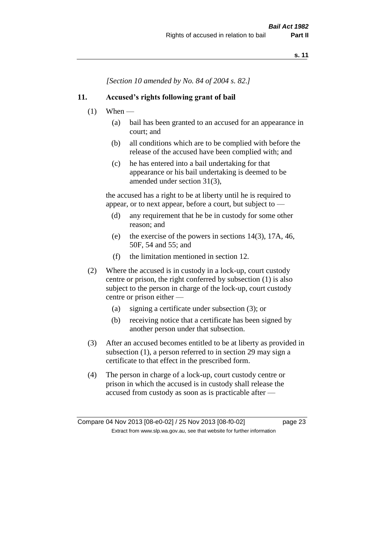*[Section 10 amended by No. 84 of 2004 s. 82.]*

#### **11. Accused's rights following grant of bail**

- $(1)$  When
	- (a) bail has been granted to an accused for an appearance in court; and
	- (b) all conditions which are to be complied with before the release of the accused have been complied with; and
	- (c) he has entered into a bail undertaking for that appearance or his bail undertaking is deemed to be amended under section 31(3),

the accused has a right to be at liberty until he is required to appear, or to next appear, before a court, but subject to —

- (d) any requirement that he be in custody for some other reason; and
- (e) the exercise of the powers in sections 14(3), 17A, 46, 50F, 54 and 55; and
- (f) the limitation mentioned in section 12.
- (2) Where the accused is in custody in a lock-up, court custody centre or prison, the right conferred by subsection (1) is also subject to the person in charge of the lock-up, court custody centre or prison either —
	- (a) signing a certificate under subsection (3); or
	- (b) receiving notice that a certificate has been signed by another person under that subsection.
- (3) After an accused becomes entitled to be at liberty as provided in subsection (1), a person referred to in section 29 may sign a certificate to that effect in the prescribed form.
- (4) The person in charge of a lock-up, court custody centre or prison in which the accused is in custody shall release the accused from custody as soon as is practicable after —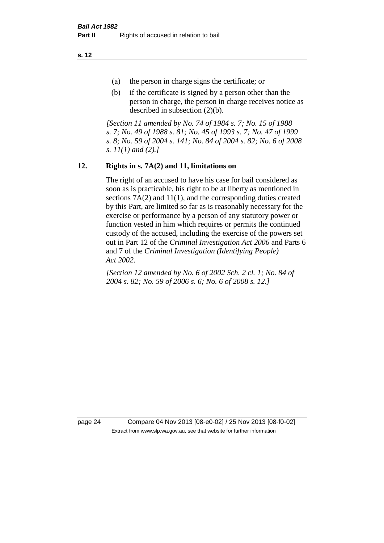**s. 12**

- (a) the person in charge signs the certificate; or
- (b) if the certificate is signed by a person other than the person in charge, the person in charge receives notice as described in subsection (2)(b).

*[Section 11 amended by No. 74 of 1984 s. 7; No. 15 of 1988 s. 7; No. 49 of 1988 s. 81; No. 45 of 1993 s. 7; No. 47 of 1999 s. 8; No. 59 of 2004 s. 141; No. 84 of 2004 s. 82; No. 6 of 2008 s. 11(1) and (2).]* 

# **12. Rights in s. 7A(2) and 11, limitations on**

The right of an accused to have his case for bail considered as soon as is practicable, his right to be at liberty as mentioned in sections 7A(2) and 11(1), and the corresponding duties created by this Part, are limited so far as is reasonably necessary for the exercise or performance by a person of any statutory power or function vested in him which requires or permits the continued custody of the accused, including the exercise of the powers set out in Part 12 of the *Criminal Investigation Act 2006* and Parts 6 and 7 of the *Criminal Investigation (Identifying People) Act 2002*.

*[Section 12 amended by No. 6 of 2002 Sch. 2 cl. 1; No. 84 of 2004 s. 82; No. 59 of 2006 s. 6; No. 6 of 2008 s. 12.]*

page 24 Compare 04 Nov 2013 [08-e0-02] / 25 Nov 2013 [08-f0-02] Extract from www.slp.wa.gov.au, see that website for further information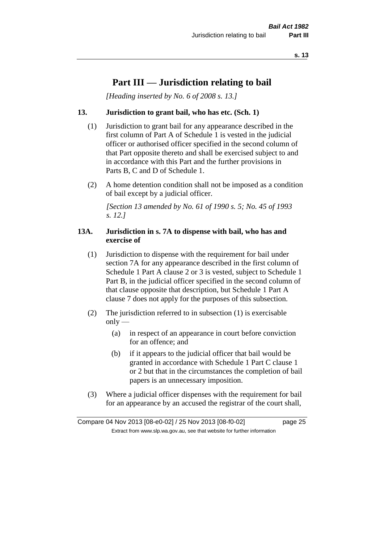# **Part III — Jurisdiction relating to bail**

*[Heading inserted by No. 6 of 2008 s. 13.]*

#### **13. Jurisdiction to grant bail, who has etc. (Sch. 1)**

- (1) Jurisdiction to grant bail for any appearance described in the first column of Part A of Schedule 1 is vested in the judicial officer or authorised officer specified in the second column of that Part opposite thereto and shall be exercised subject to and in accordance with this Part and the further provisions in Parts B, C and D of Schedule 1.
- (2) A home detention condition shall not be imposed as a condition of bail except by a judicial officer.

*[Section 13 amended by No. 61 of 1990 s. 5; No. 45 of 1993 s. 12.]* 

#### **13A. Jurisdiction in s. 7A to dispense with bail, who has and exercise of**

- (1) Jurisdiction to dispense with the requirement for bail under section 7A for any appearance described in the first column of Schedule 1 Part A clause 2 or 3 is vested, subject to Schedule 1 Part B, in the judicial officer specified in the second column of that clause opposite that description, but Schedule 1 Part A clause 7 does not apply for the purposes of this subsection.
- (2) The jurisdiction referred to in subsection (1) is exercisable  $only$ —
	- (a) in respect of an appearance in court before conviction for an offence; and
	- (b) if it appears to the judicial officer that bail would be granted in accordance with Schedule 1 Part C clause 1 or 2 but that in the circumstances the completion of bail papers is an unnecessary imposition.
- (3) Where a judicial officer dispenses with the requirement for bail for an appearance by an accused the registrar of the court shall,

Compare 04 Nov 2013 [08-e0-02] / 25 Nov 2013 [08-f0-02] page 25 Extract from www.slp.wa.gov.au, see that website for further information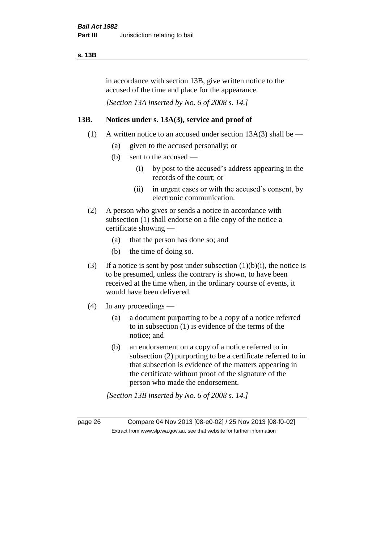#### **s. 13B**

in accordance with section 13B, give written notice to the accused of the time and place for the appearance.

*[Section 13A inserted by No. 6 of 2008 s. 14.]*

#### **13B. Notices under s. 13A(3), service and proof of**

- (1) A written notice to an accused under section  $13A(3)$  shall be
	- (a) given to the accused personally; or
	- (b) sent to the accused
		- (i) by post to the accused's address appearing in the records of the court; or
		- (ii) in urgent cases or with the accused's consent, by electronic communication.
- (2) A person who gives or sends a notice in accordance with subsection (1) shall endorse on a file copy of the notice a certificate showing —
	- (a) that the person has done so; and
	- (b) the time of doing so.
- (3) If a notice is sent by post under subsection  $(1)(b)(i)$ , the notice is to be presumed, unless the contrary is shown, to have been received at the time when, in the ordinary course of events, it would have been delivered.
- (4) In any proceedings
	- (a) a document purporting to be a copy of a notice referred to in subsection (1) is evidence of the terms of the notice; and
	- (b) an endorsement on a copy of a notice referred to in subsection (2) purporting to be a certificate referred to in that subsection is evidence of the matters appearing in the certificate without proof of the signature of the person who made the endorsement.

*[Section 13B inserted by No. 6 of 2008 s. 14.]*

page 26 Compare 04 Nov 2013 [08-e0-02] / 25 Nov 2013 [08-f0-02] Extract from www.slp.wa.gov.au, see that website for further information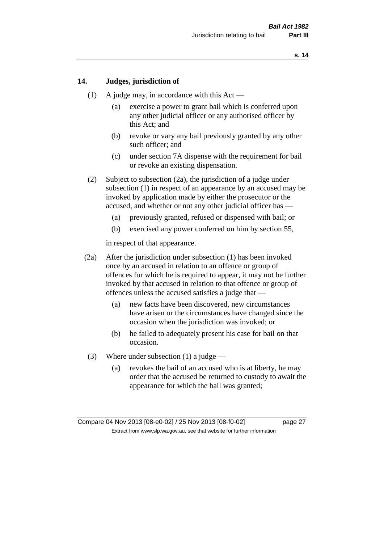### **14. Judges, jurisdiction of**

- (1) A judge may, in accordance with this Act
	- (a) exercise a power to grant bail which is conferred upon any other judicial officer or any authorised officer by this Act; and
	- (b) revoke or vary any bail previously granted by any other such officer; and
	- (c) under section 7A dispense with the requirement for bail or revoke an existing dispensation.
- (2) Subject to subsection (2a), the jurisdiction of a judge under subsection (1) in respect of an appearance by an accused may be invoked by application made by either the prosecutor or the accused, and whether or not any other judicial officer has —
	- (a) previously granted, refused or dispensed with bail; or
	- (b) exercised any power conferred on him by section 55,

in respect of that appearance.

- (2a) After the jurisdiction under subsection (1) has been invoked once by an accused in relation to an offence or group of offences for which he is required to appear, it may not be further invoked by that accused in relation to that offence or group of offences unless the accused satisfies a judge that —
	- (a) new facts have been discovered, new circumstances have arisen or the circumstances have changed since the occasion when the jurisdiction was invoked; or
	- (b) he failed to adequately present his case for bail on that occasion.
- (3) Where under subsection (1) a judge
	- (a) revokes the bail of an accused who is at liberty, he may order that the accused be returned to custody to await the appearance for which the bail was granted;

Compare 04 Nov 2013 [08-e0-02] / 25 Nov 2013 [08-f0-02] page 27 Extract from www.slp.wa.gov.au, see that website for further information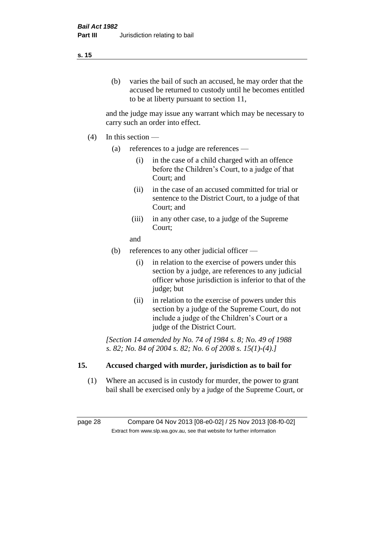# (b) varies the bail of such an accused, he may order that the accused be returned to custody until he becomes entitled to be at liberty pursuant to section 11,

and the judge may issue any warrant which may be necessary to carry such an order into effect.

- (4) In this section
	- (a) references to a judge are references
		- (i) in the case of a child charged with an offence before the Children's Court, to a judge of that Court; and
		- (ii) in the case of an accused committed for trial or sentence to the District Court, to a judge of that Court; and
		- (iii) in any other case, to a judge of the Supreme Court;
		- and
	- (b) references to any other judicial officer
		- (i) in relation to the exercise of powers under this section by a judge, are references to any judicial officer whose jurisdiction is inferior to that of the judge; but
		- (ii) in relation to the exercise of powers under this section by a judge of the Supreme Court, do not include a judge of the Children's Court or a judge of the District Court.

*[Section 14 amended by No. 74 of 1984 s. 8; No. 49 of 1988 s. 82; No. 84 of 2004 s. 82; No. 6 of 2008 s. 15(1)-(4).]* 

# **15. Accused charged with murder, jurisdiction as to bail for**

(1) Where an accused is in custody for murder, the power to grant bail shall be exercised only by a judge of the Supreme Court, or

page 28 Compare 04 Nov 2013 [08-e0-02] / 25 Nov 2013 [08-f0-02] Extract from www.slp.wa.gov.au, see that website for further information

#### **s. 15**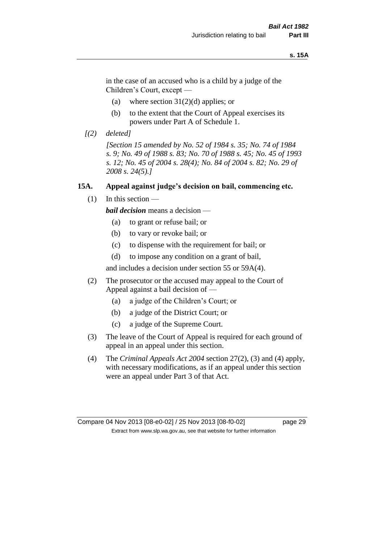#### **s. 15A**

in the case of an accused who is a child by a judge of the Children's Court, except —

- (a) where section  $31(2)(d)$  applies; or
- (b) to the extent that the Court of Appeal exercises its powers under Part A of Schedule 1.
- *[(2) deleted]*

*[Section 15 amended by No. 52 of 1984 s. 35; No. 74 of 1984 s. 9; No. 49 of 1988 s. 83; No. 70 of 1988 s. 45; No. 45 of 1993 s. 12; No. 45 of 2004 s. 28(4); No. 84 of 2004 s. 82; No. 29 of 2008 s. 24(5).]* 

#### **15A. Appeal against judge's decision on bail, commencing etc.**

 $(1)$  In this section —

*bail decision* means a decision —

- (a) to grant or refuse bail; or
- (b) to vary or revoke bail; or
- (c) to dispense with the requirement for bail; or
- (d) to impose any condition on a grant of bail,

and includes a decision under section 55 or 59A(4).

- (2) The prosecutor or the accused may appeal to the Court of Appeal against a bail decision of —
	- (a) a judge of the Children's Court; or
	- (b) a judge of the District Court; or
	- (c) a judge of the Supreme Court.
- (3) The leave of the Court of Appeal is required for each ground of appeal in an appeal under this section.
- (4) The *Criminal Appeals Act 2004* section 27(2), (3) and (4) apply, with necessary modifications, as if an appeal under this section were an appeal under Part 3 of that Act.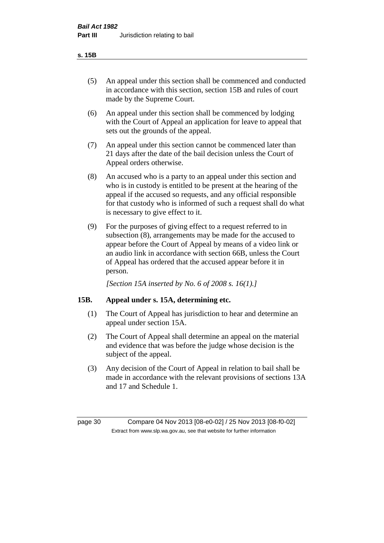- (5) An appeal under this section shall be commenced and conducted in accordance with this section, section 15B and rules of court made by the Supreme Court.
- (6) An appeal under this section shall be commenced by lodging with the Court of Appeal an application for leave to appeal that sets out the grounds of the appeal.
- (7) An appeal under this section cannot be commenced later than 21 days after the date of the bail decision unless the Court of Appeal orders otherwise.
- (8) An accused who is a party to an appeal under this section and who is in custody is entitled to be present at the hearing of the appeal if the accused so requests, and any official responsible for that custody who is informed of such a request shall do what is necessary to give effect to it.
- (9) For the purposes of giving effect to a request referred to in subsection (8), arrangements may be made for the accused to appear before the Court of Appeal by means of a video link or an audio link in accordance with section 66B, unless the Court of Appeal has ordered that the accused appear before it in person.

*[Section 15A inserted by No. 6 of 2008 s. 16(1).]*

### **15B. Appeal under s. 15A, determining etc.**

- (1) The Court of Appeal has jurisdiction to hear and determine an appeal under section 15A.
- (2) The Court of Appeal shall determine an appeal on the material and evidence that was before the judge whose decision is the subject of the appeal.
- (3) Any decision of the Court of Appeal in relation to bail shall be made in accordance with the relevant provisions of sections 13A and 17 and Schedule 1.

page 30 Compare 04 Nov 2013 [08-e0-02] / 25 Nov 2013 [08-f0-02] Extract from www.slp.wa.gov.au, see that website for further information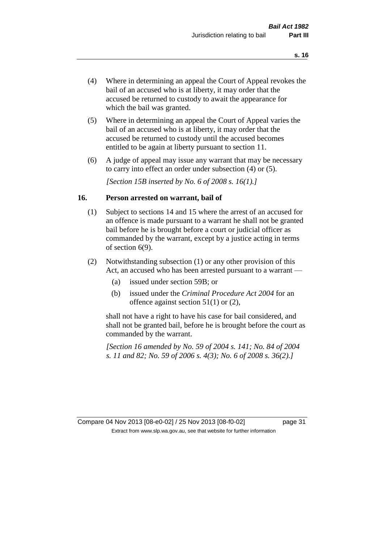- (4) Where in determining an appeal the Court of Appeal revokes the bail of an accused who is at liberty, it may order that the accused be returned to custody to await the appearance for which the bail was granted.
- (5) Where in determining an appeal the Court of Appeal varies the bail of an accused who is at liberty, it may order that the accused be returned to custody until the accused becomes entitled to be again at liberty pursuant to section 11.
- (6) A judge of appeal may issue any warrant that may be necessary to carry into effect an order under subsection (4) or (5).

*[Section 15B inserted by No. 6 of 2008 s. 16(1).]*

#### **16. Person arrested on warrant, bail of**

- (1) Subject to sections 14 and 15 where the arrest of an accused for an offence is made pursuant to a warrant he shall not be granted bail before he is brought before a court or judicial officer as commanded by the warrant, except by a justice acting in terms of section 6(9).
- (2) Notwithstanding subsection (1) or any other provision of this Act, an accused who has been arrested pursuant to a warrant —
	- (a) issued under section 59B; or
	- (b) issued under the *Criminal Procedure Act 2004* for an offence against section 51(1) or (2),

shall not have a right to have his case for bail considered, and shall not be granted bail, before he is brought before the court as commanded by the warrant.

*[Section 16 amended by No. 59 of 2004 s. 141; No. 84 of 2004 s. 11 and 82; No. 59 of 2006 s. 4(3); No. 6 of 2008 s. 36(2).]*

Compare 04 Nov 2013 [08-e0-02] / 25 Nov 2013 [08-f0-02] page 31 Extract from www.slp.wa.gov.au, see that website for further information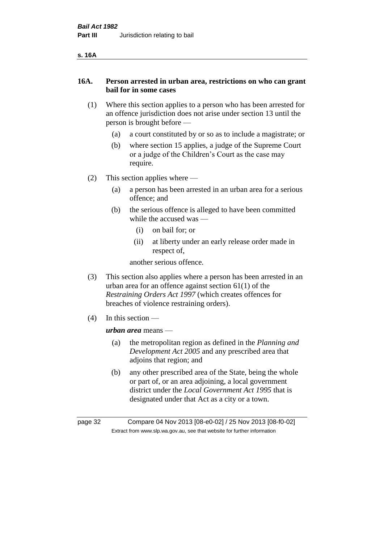| ۰.<br>v |
|---------|
|---------|

### **16A. Person arrested in urban area, restrictions on who can grant bail for in some cases**

- (1) Where this section applies to a person who has been arrested for an offence jurisdiction does not arise under section 13 until the person is brought before —
	- (a) a court constituted by or so as to include a magistrate; or
	- (b) where section 15 applies, a judge of the Supreme Court or a judge of the Children's Court as the case may require.
- (2) This section applies where
	- (a) a person has been arrested in an urban area for a serious offence; and
	- (b) the serious offence is alleged to have been committed while the accused was —
		- (i) on bail for; or
		- (ii) at liberty under an early release order made in respect of,

another serious offence.

- (3) This section also applies where a person has been arrested in an urban area for an offence against section 61(1) of the *Restraining Orders Act 1997* (which creates offences for breaches of violence restraining orders).
- (4) In this section —

*urban area* means —

- (a) the metropolitan region as defined in the *Planning and Development Act 2005* and any prescribed area that adjoins that region; and
- (b) any other prescribed area of the State, being the whole or part of, or an area adjoining, a local government district under the *Local Government Act 1995* that is designated under that Act as a city or a town.

page 32 Compare 04 Nov 2013 [08-e0-02] / 25 Nov 2013 [08-f0-02] Extract from www.slp.wa.gov.au, see that website for further information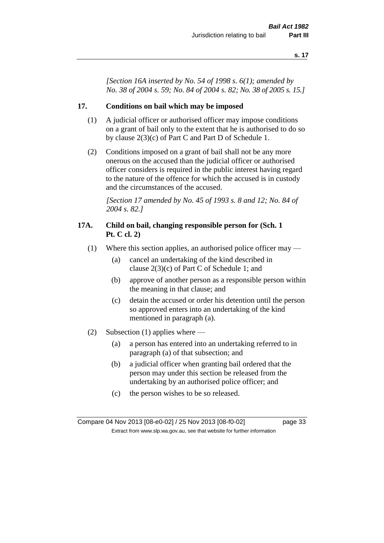*[Section 16A inserted by No. 54 of 1998 s. 6(1); amended by No. 38 of 2004 s. 59; No. 84 of 2004 s. 82; No. 38 of 2005 s. 15.]*

### **17. Conditions on bail which may be imposed**

- (1) A judicial officer or authorised officer may impose conditions on a grant of bail only to the extent that he is authorised to do so by clause 2(3)(c) of Part C and Part D of Schedule 1.
- (2) Conditions imposed on a grant of bail shall not be any more onerous on the accused than the judicial officer or authorised officer considers is required in the public interest having regard to the nature of the offence for which the accused is in custody and the circumstances of the accused.

*[Section 17 amended by No. 45 of 1993 s. 8 and 12; No. 84 of 2004 s. 82.]* 

### **17A. Child on bail, changing responsible person for (Sch. 1 Pt. C cl. 2)**

- (1) Where this section applies, an authorised police officer may
	- (a) cancel an undertaking of the kind described in clause 2(3)(c) of Part C of Schedule 1; and
	- (b) approve of another person as a responsible person within the meaning in that clause; and
	- (c) detain the accused or order his detention until the person so approved enters into an undertaking of the kind mentioned in paragraph (a).
- (2) Subsection (1) applies where
	- (a) a person has entered into an undertaking referred to in paragraph (a) of that subsection; and
	- (b) a judicial officer when granting bail ordered that the person may under this section be released from the undertaking by an authorised police officer; and
	- (c) the person wishes to be so released.

Compare 04 Nov 2013 [08-e0-02] / 25 Nov 2013 [08-f0-02] page 33 Extract from www.slp.wa.gov.au, see that website for further information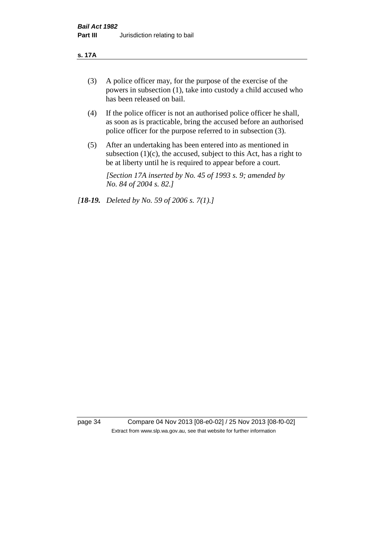#### **s. 17A**

- (3) A police officer may, for the purpose of the exercise of the powers in subsection (1), take into custody a child accused who has been released on bail.
- (4) If the police officer is not an authorised police officer he shall, as soon as is practicable, bring the accused before an authorised police officer for the purpose referred to in subsection (3).
- (5) After an undertaking has been entered into as mentioned in subsection  $(1)(c)$ , the accused, subject to this Act, has a right to be at liberty until he is required to appear before a court.

*[Section 17A inserted by No. 45 of 1993 s. 9; amended by No. 84 of 2004 s. 82.]* 

*[18-19. Deleted by No. 59 of 2006 s. 7(1).]*

page 34 Compare 04 Nov 2013 [08-e0-02] / 25 Nov 2013 [08-f0-02] Extract from www.slp.wa.gov.au, see that website for further information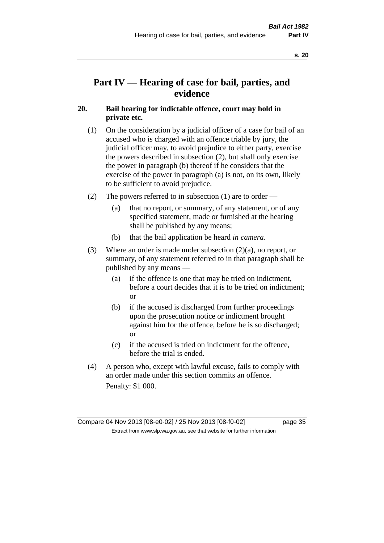# **Part IV — Hearing of case for bail, parties, and evidence**

### **20. Bail hearing for indictable offence, court may hold in private etc.**

- (1) On the consideration by a judicial officer of a case for bail of an accused who is charged with an offence triable by jury, the judicial officer may, to avoid prejudice to either party, exercise the powers described in subsection (2), but shall only exercise the power in paragraph (b) thereof if he considers that the exercise of the power in paragraph (a) is not, on its own, likely to be sufficient to avoid prejudice.
- (2) The powers referred to in subsection (1) are to order
	- (a) that no report, or summary, of any statement, or of any specified statement, made or furnished at the hearing shall be published by any means;
	- (b) that the bail application be heard *in camera*.
- (3) Where an order is made under subsection (2)(a), no report, or summary, of any statement referred to in that paragraph shall be published by any means —
	- (a) if the offence is one that may be tried on indictment, before a court decides that it is to be tried on indictment; or
	- (b) if the accused is discharged from further proceedings upon the prosecution notice or indictment brought against him for the offence, before he is so discharged; or
	- (c) if the accused is tried on indictment for the offence, before the trial is ended.
- (4) A person who, except with lawful excuse, fails to comply with an order made under this section commits an offence. Penalty: \$1 000.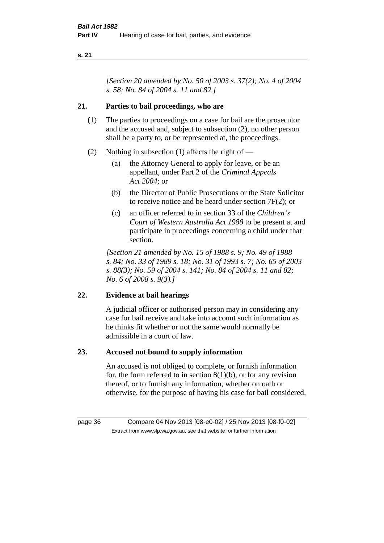*[Section 20 amended by No. 50 of 2003 s. 37(2); No. 4 of 2004 s. 58; No. 84 of 2004 s. 11 and 82.]*

### **21. Parties to bail proceedings, who are**

- (1) The parties to proceedings on a case for bail are the prosecutor and the accused and, subject to subsection (2), no other person shall be a party to, or be represented at, the proceedings.
- (2) Nothing in subsection (1) affects the right of
	- (a) the Attorney General to apply for leave, or be an appellant, under Part 2 of the *Criminal Appeals Act 2004*; or
	- (b) the Director of Public Prosecutions or the State Solicitor to receive notice and be heard under section 7F(2); or
	- (c) an officer referred to in section 33 of the *Children's Court of Western Australia Act 1988* to be present at and participate in proceedings concerning a child under that section.

*[Section 21 amended by No. 15 of 1988 s. 9; No. 49 of 1988 s. 84; No. 33 of 1989 s. 18; No. 31 of 1993 s. 7; No. 65 of 2003 s. 88(3); No. 59 of 2004 s. 141; No. 84 of 2004 s. 11 and 82; No. 6 of 2008 s. 9(3).]* 

### **22. Evidence at bail hearings**

A judicial officer or authorised person may in considering any case for bail receive and take into account such information as he thinks fit whether or not the same would normally be admissible in a court of law.

### **23. Accused not bound to supply information**

An accused is not obliged to complete, or furnish information for, the form referred to in section  $8(1)(b)$ , or for any revision thereof, or to furnish any information, whether on oath or otherwise, for the purpose of having his case for bail considered.

page 36 Compare 04 Nov 2013 [08-e0-02] / 25 Nov 2013 [08-f0-02] Extract from www.slp.wa.gov.au, see that website for further information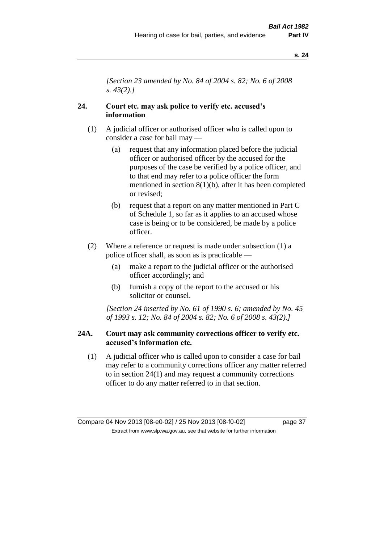*[Section 23 amended by No. 84 of 2004 s. 82; No. 6 of 2008 s. 43(2).]* 

### **24. Court etc. may ask police to verify etc. accused's information**

- (1) A judicial officer or authorised officer who is called upon to consider a case for bail may —
	- (a) request that any information placed before the judicial officer or authorised officer by the accused for the purposes of the case be verified by a police officer, and to that end may refer to a police officer the form mentioned in section 8(1)(b), after it has been completed or revised;
	- (b) request that a report on any matter mentioned in Part C of Schedule 1, so far as it applies to an accused whose case is being or to be considered, be made by a police officer.
- (2) Where a reference or request is made under subsection (1) a police officer shall, as soon as is practicable —
	- (a) make a report to the judicial officer or the authorised officer accordingly; and
	- (b) furnish a copy of the report to the accused or his solicitor or counsel.

*[Section 24 inserted by No. 61 of 1990 s. 6; amended by No. 45 of 1993 s. 12; No. 84 of 2004 s. 82; No. 6 of 2008 s. 43(2).]* 

### **24A. Court may ask community corrections officer to verify etc. accused's information etc.**

(1) A judicial officer who is called upon to consider a case for bail may refer to a community corrections officer any matter referred to in section 24(1) and may request a community corrections officer to do any matter referred to in that section.

Compare 04 Nov 2013 [08-e0-02] / 25 Nov 2013 [08-f0-02] page 37 Extract from www.slp.wa.gov.au, see that website for further information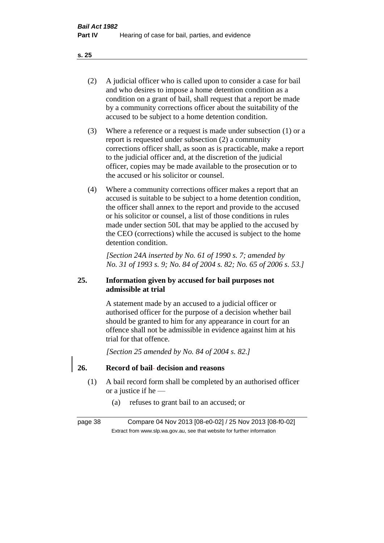- (2) A judicial officer who is called upon to consider a case for bail and who desires to impose a home detention condition as a condition on a grant of bail, shall request that a report be made by a community corrections officer about the suitability of the accused to be subject to a home detention condition.
- (3) Where a reference or a request is made under subsection (1) or a report is requested under subsection (2) a community corrections officer shall, as soon as is practicable, make a report to the judicial officer and, at the discretion of the judicial officer, copies may be made available to the prosecution or to the accused or his solicitor or counsel.
- (4) Where a community corrections officer makes a report that an accused is suitable to be subject to a home detention condition, the officer shall annex to the report and provide to the accused or his solicitor or counsel, a list of those conditions in rules made under section 50L that may be applied to the accused by the CEO (corrections) while the accused is subject to the home detention condition.

*[Section 24A inserted by No. 61 of 1990 s. 7; amended by No. 31 of 1993 s. 9; No. 84 of 2004 s. 82; No. 65 of 2006 s. 53.]* 

### **25. Information given by accused for bail purposes not admissible at trial**

A statement made by an accused to a judicial officer or authorised officer for the purpose of a decision whether bail should be granted to him for any appearance in court for an offence shall not be admissible in evidence against him at his trial for that offence.

*[Section 25 amended by No. 84 of 2004 s. 82.]* 

### **26. Record of bail decision and reasons**

- (1) A bail record form shall be completed by an authorised officer or a justice if he —
	- (a) refuses to grant bail to an accused; or

page 38 Compare 04 Nov 2013 [08-e0-02] / 25 Nov 2013 [08-f0-02] Extract from www.slp.wa.gov.au, see that website for further information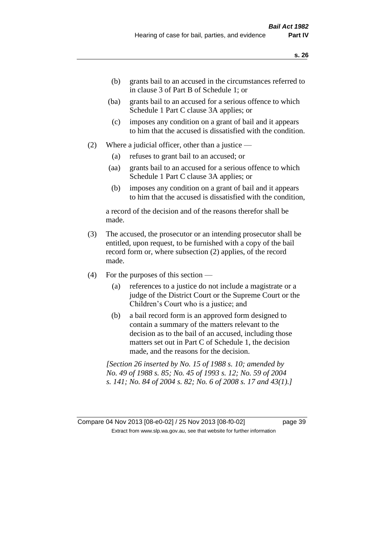- (b) grants bail to an accused in the circumstances referred to in clause 3 of Part B of Schedule 1; or
- (ba) grants bail to an accused for a serious offence to which Schedule 1 Part C clause 3A applies; or
- (c) imposes any condition on a grant of bail and it appears to him that the accused is dissatisfied with the condition.
- (2) Where a judicial officer, other than a justice
	- (a) refuses to grant bail to an accused; or
	- (aa) grants bail to an accused for a serious offence to which Schedule 1 Part C clause 3A applies; or
	- (b) imposes any condition on a grant of bail and it appears to him that the accused is dissatisfied with the condition,

a record of the decision and of the reasons therefor shall be made.

- (3) The accused, the prosecutor or an intending prosecutor shall be entitled, upon request, to be furnished with a copy of the bail record form or, where subsection (2) applies, of the record made.
- (4) For the purposes of this section
	- (a) references to a justice do not include a magistrate or a judge of the District Court or the Supreme Court or the Children's Court who is a justice; and
	- (b) a bail record form is an approved form designed to contain a summary of the matters relevant to the decision as to the bail of an accused, including those matters set out in Part C of Schedule 1, the decision made, and the reasons for the decision.

*[Section 26 inserted by No. 15 of 1988 s. 10; amended by No. 49 of 1988 s. 85; No. 45 of 1993 s. 12; No. 59 of 2004 s. 141; No. 84 of 2004 s. 82; No. 6 of 2008 s. 17 and 43(1).]* 

Compare 04 Nov 2013 [08-e0-02] / 25 Nov 2013 [08-f0-02] page 39 Extract from www.slp.wa.gov.au, see that website for further information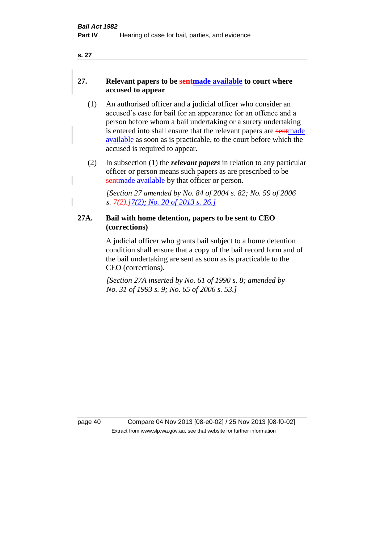### **27. Relevant papers to be sentmade available to court where accused to appear**

- (1) An authorised officer and a judicial officer who consider an accused's case for bail for an appearance for an offence and a person before whom a bail undertaking or a surety undertaking is entered into shall ensure that the relevant papers are sentmade available as soon as is practicable, to the court before which the accused is required to appear.
- (2) In subsection (1) the *relevant papers* in relation to any particular officer or person means such papers as are prescribed to be sentmade available by that officer or person.

*[Section 27 amended by No. 84 of 2004 s. 82; No. 59 of 2006 s. 7(2).]7(2); No. 20 of 2013 s. 26.]*

### **27A. Bail with home detention, papers to be sent to CEO (corrections)**

A judicial officer who grants bail subject to a home detention condition shall ensure that a copy of the bail record form and of the bail undertaking are sent as soon as is practicable to the CEO (corrections).

*[Section 27A inserted by No. 61 of 1990 s. 8; amended by No. 31 of 1993 s. 9; No. 65 of 2006 s. 53.]* 

page 40 Compare 04 Nov 2013 [08-e0-02] / 25 Nov 2013 [08-f0-02] Extract from www.slp.wa.gov.au, see that website for further information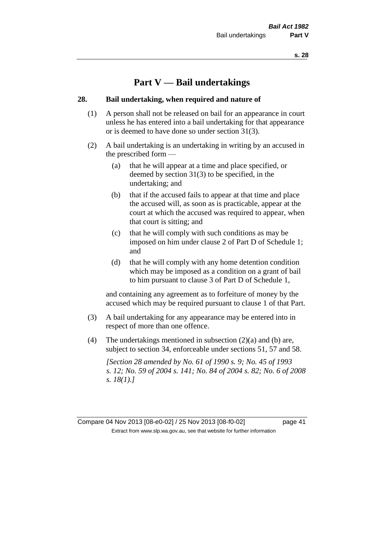# **Part V — Bail undertakings**

### **28. Bail undertaking, when required and nature of**

- (1) A person shall not be released on bail for an appearance in court unless he has entered into a bail undertaking for that appearance or is deemed to have done so under section 31(3).
- (2) A bail undertaking is an undertaking in writing by an accused in the prescribed form —
	- (a) that he will appear at a time and place specified, or deemed by section 31(3) to be specified, in the undertaking; and
	- (b) that if the accused fails to appear at that time and place the accused will, as soon as is practicable, appear at the court at which the accused was required to appear, when that court is sitting; and
	- (c) that he will comply with such conditions as may be imposed on him under clause 2 of Part D of Schedule 1; and
	- (d) that he will comply with any home detention condition which may be imposed as a condition on a grant of bail to him pursuant to clause 3 of Part D of Schedule 1,

and containing any agreement as to forfeiture of money by the accused which may be required pursuant to clause 1 of that Part.

- (3) A bail undertaking for any appearance may be entered into in respect of more than one offence.
- (4) The undertakings mentioned in subsection  $(2)(a)$  and  $(b)$  are, subject to section 34, enforceable under sections 51, 57 and 58.

*[Section 28 amended by No. 61 of 1990 s. 9; No. 45 of 1993 s. 12; No. 59 of 2004 s. 141; No. 84 of 2004 s. 82; No. 6 of 2008 s. 18(1).]* 

Compare 04 Nov 2013 [08-e0-02] / 25 Nov 2013 [08-f0-02] page 41 Extract from www.slp.wa.gov.au, see that website for further information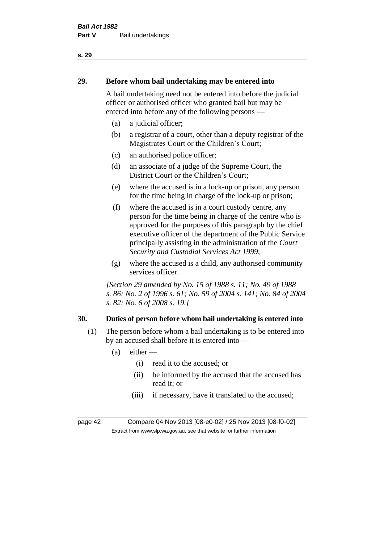# **29. Before whom bail undertaking may be entered into**

A bail undertaking need not be entered into before the judicial officer or authorised officer who granted bail but may be entered into before any of the following persons —

- (a) a judicial officer;
- (b) a registrar of a court, other than a deputy registrar of the Magistrates Court or the Children's Court;
- (c) an authorised police officer;
- (d) an associate of a judge of the Supreme Court, the District Court or the Children's Court;
- (e) where the accused is in a lock-up or prison, any person for the time being in charge of the lock-up or prison;
- (f) where the accused is in a court custody centre, any person for the time being in charge of the centre who is approved for the purposes of this paragraph by the chief executive officer of the department of the Public Service principally assisting in the administration of the *Court Security and Custodial Services Act 1999*;
- (g) where the accused is a child, any authorised community services officer.

*[Section 29 amended by No. 15 of 1988 s. 11; No. 49 of 1988 s. 86; No. 2 of 1996 s. 61; No. 59 of 2004 s. 141; No. 84 of 2004 s. 82; No. 6 of 2008 s. 19.]* 

### **30. Duties of person before whom bail undertaking is entered into**

- (1) The person before whom a bail undertaking is to be entered into by an accused shall before it is entered into —
	- $(a)$  either
		- (i) read it to the accused; or
		- (ii) be informed by the accused that the accused has read it; or
		- (iii) if necessary, have it translated to the accused;

page 42 Compare 04 Nov 2013 [08-e0-02] / 25 Nov 2013 [08-f0-02] Extract from www.slp.wa.gov.au, see that website for further information

### **s. 29**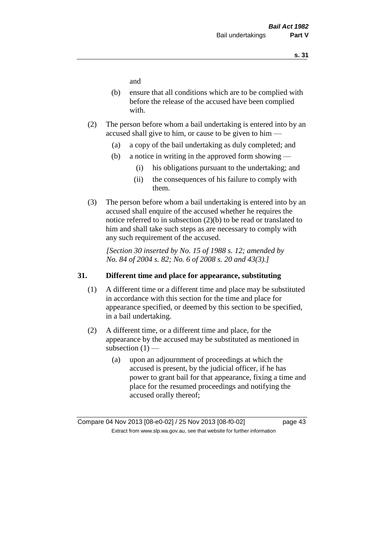and

- (b) ensure that all conditions which are to be complied with before the release of the accused have been complied with.
- (2) The person before whom a bail undertaking is entered into by an accused shall give to him, or cause to be given to him —
	- (a) a copy of the bail undertaking as duly completed; and
	- (b) a notice in writing in the approved form showing
		- (i) his obligations pursuant to the undertaking; and
		- (ii) the consequences of his failure to comply with them.
- (3) The person before whom a bail undertaking is entered into by an accused shall enquire of the accused whether he requires the notice referred to in subsection (2)(b) to be read or translated to him and shall take such steps as are necessary to comply with any such requirement of the accused.

*[Section 30 inserted by No. 15 of 1988 s. 12; amended by No. 84 of 2004 s. 82; No. 6 of 2008 s. 20 and 43(3).]* 

### **31. Different time and place for appearance, substituting**

- (1) A different time or a different time and place may be substituted in accordance with this section for the time and place for appearance specified, or deemed by this section to be specified, in a bail undertaking.
- (2) A different time, or a different time and place, for the appearance by the accused may be substituted as mentioned in subsection  $(1)$  —
	- (a) upon an adjournment of proceedings at which the accused is present, by the judicial officer, if he has power to grant bail for that appearance, fixing a time and place for the resumed proceedings and notifying the accused orally thereof;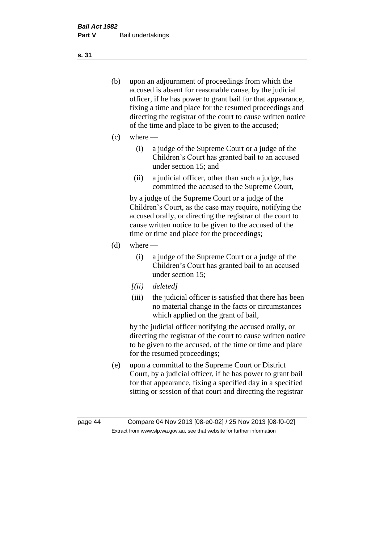- (b) upon an adjournment of proceedings from which the accused is absent for reasonable cause, by the judicial officer, if he has power to grant bail for that appearance, fixing a time and place for the resumed proceedings and directing the registrar of the court to cause written notice of the time and place to be given to the accused;
- (c) where
	- (i) a judge of the Supreme Court or a judge of the Children's Court has granted bail to an accused under section 15; and
	- (ii) a judicial officer, other than such a judge, has committed the accused to the Supreme Court,

by a judge of the Supreme Court or a judge of the Children's Court, as the case may require, notifying the accused orally, or directing the registrar of the court to cause written notice to be given to the accused of the time or time and place for the proceedings;

- $(d)$  where
	- (i) a judge of the Supreme Court or a judge of the Children's Court has granted bail to an accused under section 15;
	- *[(ii) deleted]*
	- (iii) the judicial officer is satisfied that there has been no material change in the facts or circumstances which applied on the grant of bail,

by the judicial officer notifying the accused orally, or directing the registrar of the court to cause written notice to be given to the accused, of the time or time and place for the resumed proceedings;

(e) upon a committal to the Supreme Court or District Court, by a judicial officer, if he has power to grant bail for that appearance, fixing a specified day in a specified sitting or session of that court and directing the registrar

**s. 31**

page 44 Compare 04 Nov 2013 [08-e0-02] / 25 Nov 2013 [08-f0-02] Extract from www.slp.wa.gov.au, see that website for further information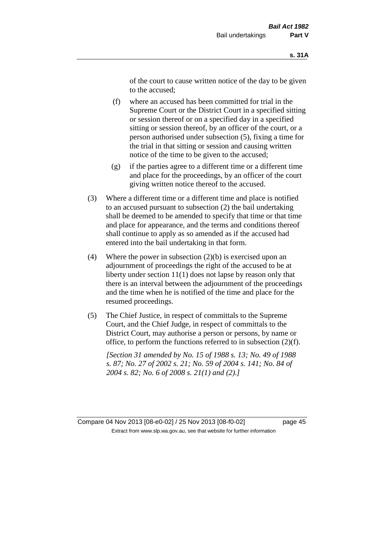of the court to cause written notice of the day to be given to the accused;

- (f) where an accused has been committed for trial in the Supreme Court or the District Court in a specified sitting or session thereof or on a specified day in a specified sitting or session thereof, by an officer of the court, or a person authorised under subsection (5), fixing a time for the trial in that sitting or session and causing written notice of the time to be given to the accused;
- (g) if the parties agree to a different time or a different time and place for the proceedings, by an officer of the court giving written notice thereof to the accused.
- (3) Where a different time or a different time and place is notified to an accused pursuant to subsection (2) the bail undertaking shall be deemed to be amended to specify that time or that time and place for appearance, and the terms and conditions thereof shall continue to apply as so amended as if the accused had entered into the bail undertaking in that form.
- (4) Where the power in subsection  $(2)(b)$  is exercised upon an adjournment of proceedings the right of the accused to be at liberty under section 11(1) does not lapse by reason only that there is an interval between the adjournment of the proceedings and the time when he is notified of the time and place for the resumed proceedings.
- (5) The Chief Justice, in respect of committals to the Supreme Court, and the Chief Judge, in respect of committals to the District Court, may authorise a person or persons, by name or office, to perform the functions referred to in subsection (2)(f).

*[Section 31 amended by No. 15 of 1988 s. 13; No. 49 of 1988 s. 87; No. 27 of 2002 s. 21; No. 59 of 2004 s. 141; No. 84 of 2004 s. 82; No. 6 of 2008 s. 21(1) and (2).]*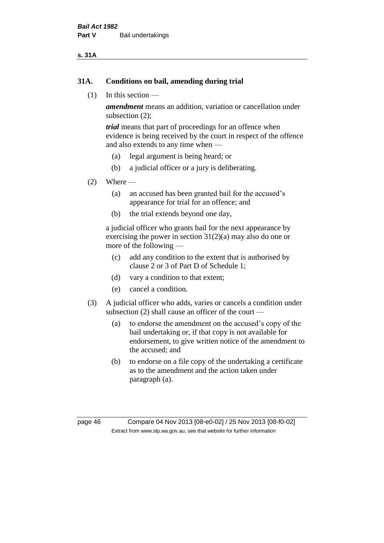### **s. 31A**

### **31A. Conditions on bail, amending during trial**

(1) In this section —

*amendment* means an addition, variation or cancellation under subsection (2);

*trial* means that part of proceedings for an offence when evidence is being received by the court in respect of the offence and also extends to any time when —

- (a) legal argument is being heard; or
- (b) a judicial officer or a jury is deliberating.

### $(2)$  Where —

- (a) an accused has been granted bail for the accused's appearance for trial for an offence; and
- (b) the trial extends beyond one day,

a judicial officer who grants bail for the next appearance by exercising the power in section  $31(2)(a)$  may also do one or more of the following —

- (c) add any condition to the extent that is authorised by clause 2 or 3 of Part D of Schedule 1;
- (d) vary a condition to that extent;
- (e) cancel a condition.
- (3) A judicial officer who adds, varies or cancels a condition under subsection (2) shall cause an officer of the court —
	- (a) to endorse the amendment on the accused's copy of the bail undertaking or, if that copy is not available for endorsement, to give written notice of the amendment to the accused; and
	- (b) to endorse on a file copy of the undertaking a certificate as to the amendment and the action taken under paragraph (a).

page 46 Compare 04 Nov 2013 [08-e0-02] / 25 Nov 2013 [08-f0-02] Extract from www.slp.wa.gov.au, see that website for further information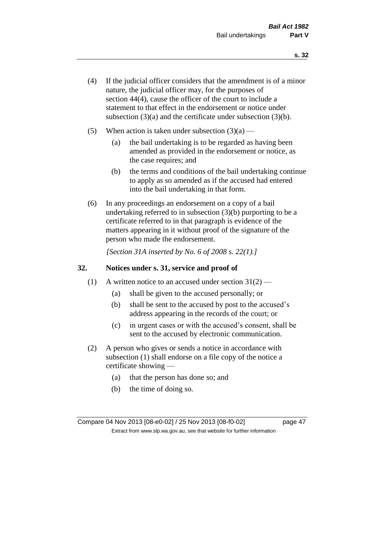- (4) If the judicial officer considers that the amendment is of a minor nature, the judicial officer may, for the purposes of section 44(4), cause the officer of the court to include a statement to that effect in the endorsement or notice under subsection (3)(a) and the certificate under subsection (3)(b).
- (5) When action is taken under subsection  $(3)(a)$ 
	- (a) the bail undertaking is to be regarded as having been amended as provided in the endorsement or notice, as the case requires; and
	- (b) the terms and conditions of the bail undertaking continue to apply as so amended as if the accused had entered into the bail undertaking in that form.
- (6) In any proceedings an endorsement on a copy of a bail undertaking referred to in subsection (3)(b) purporting to be a certificate referred to in that paragraph is evidence of the matters appearing in it without proof of the signature of the person who made the endorsement.

*[Section 31A inserted by No. 6 of 2008 s. 22(1).]*

### **32. Notices under s. 31, service and proof of**

- (1) A written notice to an accused under section  $31(2)$ 
	- (a) shall be given to the accused personally; or
	- (b) shall be sent to the accused by post to the accused's address appearing in the records of the court; or
	- (c) in urgent cases or with the accused's consent, shall be sent to the accused by electronic communication.
- (2) A person who gives or sends a notice in accordance with subsection (1) shall endorse on a file copy of the notice a certificate showing —
	- (a) that the person has done so; and
	- (b) the time of doing so.

Compare 04 Nov 2013 [08-e0-02] / 25 Nov 2013 [08-f0-02] page 47 Extract from www.slp.wa.gov.au, see that website for further information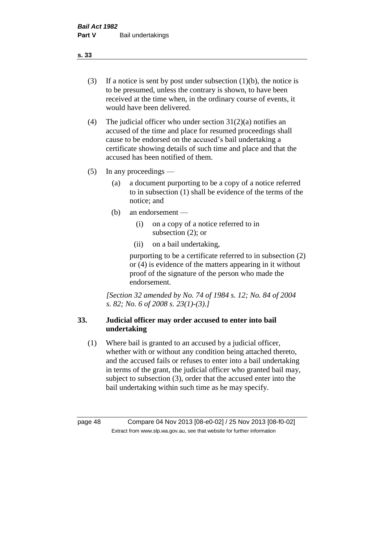- (3) If a notice is sent by post under subsection  $(1)(b)$ , the notice is to be presumed, unless the contrary is shown, to have been received at the time when, in the ordinary course of events, it would have been delivered.
- (4) The judicial officer who under section  $31(2)(a)$  notifies an accused of the time and place for resumed proceedings shall cause to be endorsed on the accused's bail undertaking a certificate showing details of such time and place and that the accused has been notified of them.
- (5) In any proceedings
	- (a) a document purporting to be a copy of a notice referred to in subsection (1) shall be evidence of the terms of the notice; and
	- (b) an endorsement
		- (i) on a copy of a notice referred to in subsection (2); or
		- (ii) on a bail undertaking,

purporting to be a certificate referred to in subsection (2) or (4) is evidence of the matters appearing in it without proof of the signature of the person who made the endorsement.

*[Section 32 amended by No. 74 of 1984 s. 12; No. 84 of 2004 s. 82; No. 6 of 2008 s. 23(1)-(3).]* 

### **33. Judicial officer may order accused to enter into bail undertaking**

(1) Where bail is granted to an accused by a judicial officer, whether with or without any condition being attached thereto, and the accused fails or refuses to enter into a bail undertaking in terms of the grant, the judicial officer who granted bail may, subject to subsection (3), order that the accused enter into the bail undertaking within such time as he may specify.

page 48 Compare 04 Nov 2013 [08-e0-02] / 25 Nov 2013 [08-f0-02] Extract from www.slp.wa.gov.au, see that website for further information

**s. 33**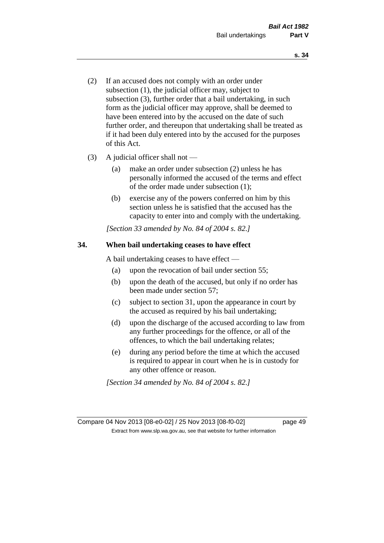- (2) If an accused does not comply with an order under subsection (1), the judicial officer may, subject to subsection (3), further order that a bail undertaking, in such form as the judicial officer may approve, shall be deemed to have been entered into by the accused on the date of such further order, and thereupon that undertaking shall be treated as if it had been duly entered into by the accused for the purposes of this Act.
- (3) A judicial officer shall not
	- (a) make an order under subsection (2) unless he has personally informed the accused of the terms and effect of the order made under subsection (1);
	- (b) exercise any of the powers conferred on him by this section unless he is satisfied that the accused has the capacity to enter into and comply with the undertaking.

*[Section 33 amended by No. 84 of 2004 s. 82.]* 

### **34. When bail undertaking ceases to have effect**

A bail undertaking ceases to have effect —

- (a) upon the revocation of bail under section 55;
- (b) upon the death of the accused, but only if no order has been made under section 57;
- (c) subject to section 31, upon the appearance in court by the accused as required by his bail undertaking;
- (d) upon the discharge of the accused according to law from any further proceedings for the offence, or all of the offences, to which the bail undertaking relates;
- (e) during any period before the time at which the accused is required to appear in court when he is in custody for any other offence or reason.

*[Section 34 amended by No. 84 of 2004 s. 82.]* 

Compare 04 Nov 2013 [08-e0-02] / 25 Nov 2013 [08-f0-02] page 49 Extract from www.slp.wa.gov.au, see that website for further information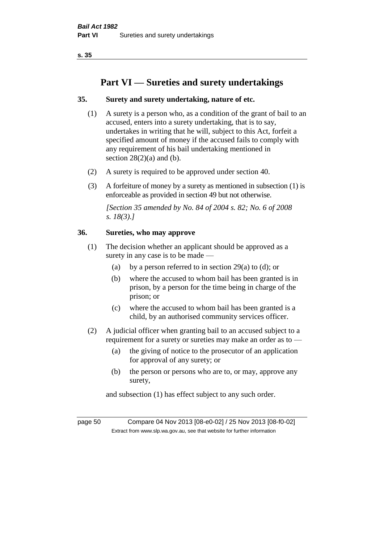# **Part VI — Sureties and surety undertakings**

### **35. Surety and surety undertaking, nature of etc.**

- (1) A surety is a person who, as a condition of the grant of bail to an accused, enters into a surety undertaking, that is to say, undertakes in writing that he will, subject to this Act, forfeit a specified amount of money if the accused fails to comply with any requirement of his bail undertaking mentioned in section  $28(2)(a)$  and (b).
- (2) A surety is required to be approved under section 40.
- (3) A forfeiture of money by a surety as mentioned in subsection (1) is enforceable as provided in section 49 but not otherwise.

*[Section 35 amended by No. 84 of 2004 s. 82; No. 6 of 2008 s. 18(3).]* 

### **36. Sureties, who may approve**

- (1) The decision whether an applicant should be approved as a surety in any case is to be made —
	- (a) by a person referred to in section 29(a) to (d); or
	- (b) where the accused to whom bail has been granted is in prison, by a person for the time being in charge of the prison; or
	- (c) where the accused to whom bail has been granted is a child, by an authorised community services officer.
- (2) A judicial officer when granting bail to an accused subject to a requirement for a surety or sureties may make an order as to —
	- (a) the giving of notice to the prosecutor of an application for approval of any surety; or
	- (b) the person or persons who are to, or may, approve any surety,

and subsection (1) has effect subject to any such order.

page 50 Compare 04 Nov 2013 [08-e0-02] / 25 Nov 2013 [08-f0-02] Extract from www.slp.wa.gov.au, see that website for further information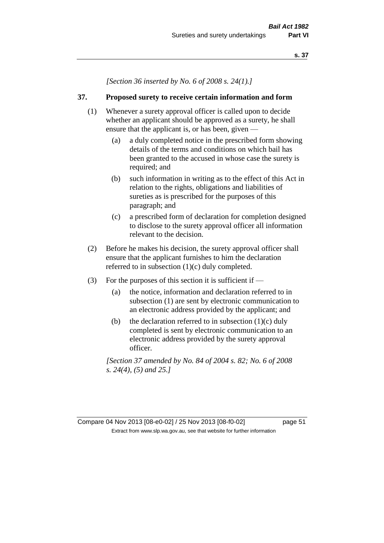*[Section 36 inserted by No. 6 of 2008 s. 24(1).]*

### **37. Proposed surety to receive certain information and form**

- (1) Whenever a surety approval officer is called upon to decide whether an applicant should be approved as a surety, he shall ensure that the applicant is, or has been, given -
	- (a) a duly completed notice in the prescribed form showing details of the terms and conditions on which bail has been granted to the accused in whose case the surety is required; and
	- (b) such information in writing as to the effect of this Act in relation to the rights, obligations and liabilities of sureties as is prescribed for the purposes of this paragraph; and
	- (c) a prescribed form of declaration for completion designed to disclose to the surety approval officer all information relevant to the decision.
- (2) Before he makes his decision, the surety approval officer shall ensure that the applicant furnishes to him the declaration referred to in subsection (1)(c) duly completed.
- (3) For the purposes of this section it is sufficient if
	- (a) the notice, information and declaration referred to in subsection (1) are sent by electronic communication to an electronic address provided by the applicant; and
	- (b) the declaration referred to in subsection  $(1)(c)$  duly completed is sent by electronic communication to an electronic address provided by the surety approval officer.

*[Section 37 amended by No. 84 of 2004 s. 82; No. 6 of 2008 s. 24(4), (5) and 25.]*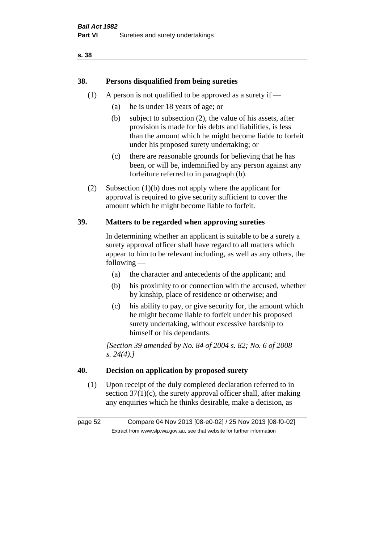### **38. Persons disqualified from being sureties**

- (1) A person is not qualified to be approved as a surety if  $-$ 
	- (a) he is under 18 years of age; or
	- (b) subject to subsection (2), the value of his assets, after provision is made for his debts and liabilities, is less than the amount which he might become liable to forfeit under his proposed surety undertaking; or
	- (c) there are reasonable grounds for believing that he has been, or will be, indemnified by any person against any forfeiture referred to in paragraph (b).
- (2) Subsection (1)(b) does not apply where the applicant for approval is required to give security sufficient to cover the amount which he might become liable to forfeit.

### **39. Matters to be regarded when approving sureties**

In determining whether an applicant is suitable to be a surety a surety approval officer shall have regard to all matters which appear to him to be relevant including, as well as any others, the following —

- (a) the character and antecedents of the applicant; and
- (b) his proximity to or connection with the accused, whether by kinship, place of residence or otherwise; and
- (c) his ability to pay, or give security for, the amount which he might become liable to forfeit under his proposed surety undertaking, without excessive hardship to himself or his dependants.

*[Section 39 amended by No. 84 of 2004 s. 82; No. 6 of 2008 s. 24(4).]* 

### **40. Decision on application by proposed surety**

(1) Upon receipt of the duly completed declaration referred to in section  $37(1)(c)$ , the surety approval officer shall, after making any enquiries which he thinks desirable, make a decision, as

page 52 Compare 04 Nov 2013 [08-e0-02] / 25 Nov 2013 [08-f0-02] Extract from www.slp.wa.gov.au, see that website for further information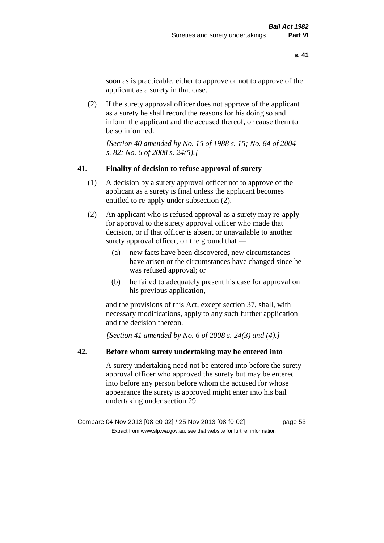soon as is practicable, either to approve or not to approve of the applicant as a surety in that case.

(2) If the surety approval officer does not approve of the applicant as a surety he shall record the reasons for his doing so and inform the applicant and the accused thereof, or cause them to be so informed.

*[Section 40 amended by No. 15 of 1988 s. 15; No. 84 of 2004 s. 82; No. 6 of 2008 s. 24(5).]* 

### **41. Finality of decision to refuse approval of surety**

- (1) A decision by a surety approval officer not to approve of the applicant as a surety is final unless the applicant becomes entitled to re-apply under subsection (2).
- (2) An applicant who is refused approval as a surety may re-apply for approval to the surety approval officer who made that decision, or if that officer is absent or unavailable to another surety approval officer, on the ground that —
	- (a) new facts have been discovered, new circumstances have arisen or the circumstances have changed since he was refused approval; or
	- (b) he failed to adequately present his case for approval on his previous application,

and the provisions of this Act, except section 37, shall, with necessary modifications, apply to any such further application and the decision thereon.

*[Section 41 amended by No. 6 of 2008 s. 24(3) and (4).]*

### **42. Before whom surety undertaking may be entered into**

A surety undertaking need not be entered into before the surety approval officer who approved the surety but may be entered into before any person before whom the accused for whose appearance the surety is approved might enter into his bail undertaking under section 29.

Compare 04 Nov 2013 [08-e0-02] / 25 Nov 2013 [08-f0-02] page 53 Extract from www.slp.wa.gov.au, see that website for further information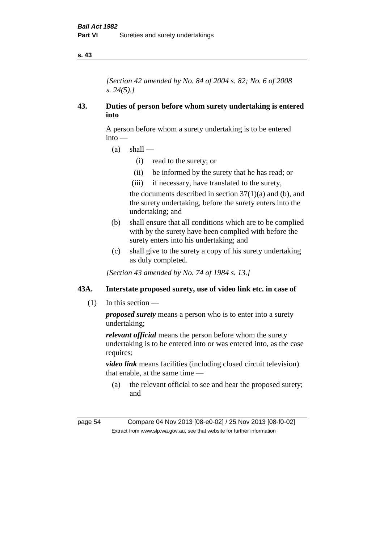*[Section 42 amended by No. 84 of 2004 s. 82; No. 6 of 2008 s. 24(5).]* 

### **43. Duties of person before whom surety undertaking is entered into**

A person before whom a surety undertaking is to be entered into —

- $(a)$  shall
	- (i) read to the surety; or
	- (ii) be informed by the surety that he has read; or
	- (iii) if necessary, have translated to the surety,

the documents described in section  $37(1)(a)$  and (b), and the surety undertaking, before the surety enters into the undertaking; and

- (b) shall ensure that all conditions which are to be complied with by the surety have been complied with before the surety enters into his undertaking; and
- (c) shall give to the surety a copy of his surety undertaking as duly completed.

*[Section 43 amended by No. 74 of 1984 s. 13.]* 

### **43A. Interstate proposed surety, use of video link etc. in case of**

(1) In this section —

*proposed surety* means a person who is to enter into a surety undertaking;

*relevant official* means the person before whom the surety undertaking is to be entered into or was entered into, as the case requires:

*video link* means facilities (including closed circuit television) that enable, at the same time —

(a) the relevant official to see and hear the proposed surety; and

page 54 Compare 04 Nov 2013 [08-e0-02] / 25 Nov 2013 [08-f0-02] Extract from www.slp.wa.gov.au, see that website for further information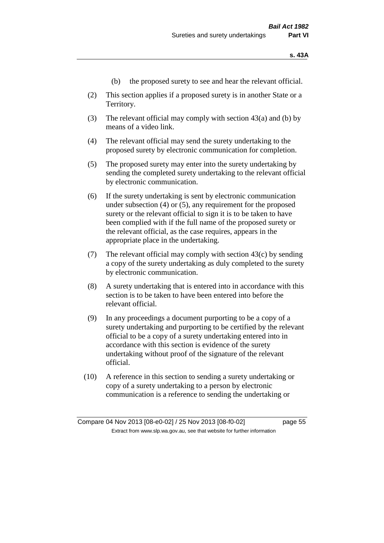- (b) the proposed surety to see and hear the relevant official.
- (2) This section applies if a proposed surety is in another State or a Territory.
- (3) The relevant official may comply with section 43(a) and (b) by means of a video link.
- (4) The relevant official may send the surety undertaking to the proposed surety by electronic communication for completion.
- (5) The proposed surety may enter into the surety undertaking by sending the completed surety undertaking to the relevant official by electronic communication.
- (6) If the surety undertaking is sent by electronic communication under subsection (4) or (5), any requirement for the proposed surety or the relevant official to sign it is to be taken to have been complied with if the full name of the proposed surety or the relevant official, as the case requires, appears in the appropriate place in the undertaking.
- (7) The relevant official may comply with section 43(c) by sending a copy of the surety undertaking as duly completed to the surety by electronic communication.
- (8) A surety undertaking that is entered into in accordance with this section is to be taken to have been entered into before the relevant official.
- (9) In any proceedings a document purporting to be a copy of a surety undertaking and purporting to be certified by the relevant official to be a copy of a surety undertaking entered into in accordance with this section is evidence of the surety undertaking without proof of the signature of the relevant official.
- (10) A reference in this section to sending a surety undertaking or copy of a surety undertaking to a person by electronic communication is a reference to sending the undertaking or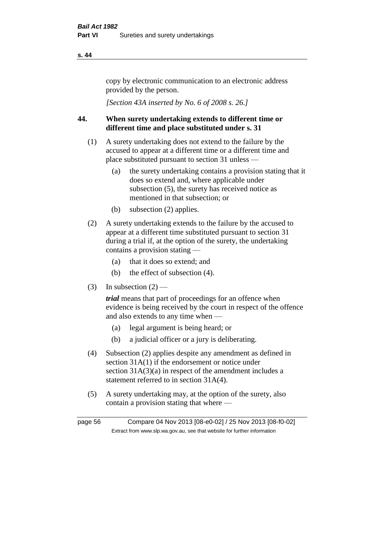copy by electronic communication to an electronic address provided by the person.

*[Section 43A inserted by No. 6 of 2008 s. 26.]*

### **44. When surety undertaking extends to different time or different time and place substituted under s. 31**

- (1) A surety undertaking does not extend to the failure by the accused to appear at a different time or a different time and place substituted pursuant to section 31 unless —
	- (a) the surety undertaking contains a provision stating that it does so extend and, where applicable under subsection (5), the surety has received notice as mentioned in that subsection; or
	- (b) subsection (2) applies.
- (2) A surety undertaking extends to the failure by the accused to appear at a different time substituted pursuant to section 31 during a trial if, at the option of the surety, the undertaking contains a provision stating —
	- (a) that it does so extend; and
	- (b) the effect of subsection (4).
- (3) In subsection  $(2)$  —

*trial* means that part of proceedings for an offence when evidence is being received by the court in respect of the offence and also extends to any time when —

- (a) legal argument is being heard; or
- (b) a judicial officer or a jury is deliberating.
- (4) Subsection (2) applies despite any amendment as defined in section 31A(1) if the endorsement or notice under section 31A(3)(a) in respect of the amendment includes a statement referred to in section 31A(4).
- (5) A surety undertaking may, at the option of the surety, also contain a provision stating that where —

page 56 Compare 04 Nov 2013 [08-e0-02] / 25 Nov 2013 [08-f0-02] Extract from www.slp.wa.gov.au, see that website for further information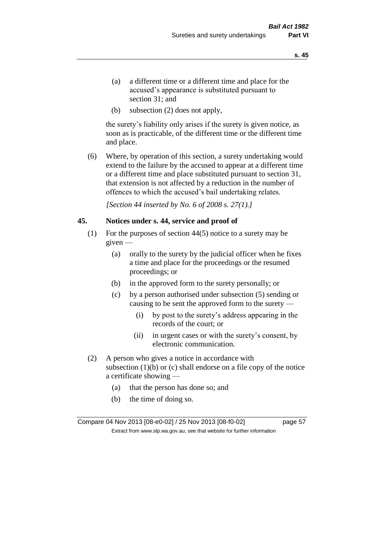- (a) a different time or a different time and place for the accused's appearance is substituted pursuant to section 31; and
- (b) subsection (2) does not apply,

the surety's liability only arises if the surety is given notice, as soon as is practicable, of the different time or the different time and place.

(6) Where, by operation of this section, a surety undertaking would extend to the failure by the accused to appear at a different time or a different time and place substituted pursuant to section 31, that extension is not affected by a reduction in the number of offences to which the accused's bail undertaking relates.

*[Section 44 inserted by No. 6 of 2008 s. 27(1).]*

### **45. Notices under s. 44, service and proof of**

- (1) For the purposes of section 44(5) notice to a surety may be given —
	- (a) orally to the surety by the judicial officer when he fixes a time and place for the proceedings or the resumed proceedings; or
	- (b) in the approved form to the surety personally; or
	- (c) by a person authorised under subsection (5) sending or causing to be sent the approved form to the surety —
		- (i) by post to the surety's address appearing in the records of the court; or
		- (ii) in urgent cases or with the surety's consent, by electronic communication.
- (2) A person who gives a notice in accordance with subsection  $(1)(b)$  or  $(c)$  shall endorse on a file copy of the notice a certificate showing —
	- (a) that the person has done so; and
	- (b) the time of doing so.

Compare 04 Nov 2013 [08-e0-02] / 25 Nov 2013 [08-f0-02] page 57 Extract from www.slp.wa.gov.au, see that website for further information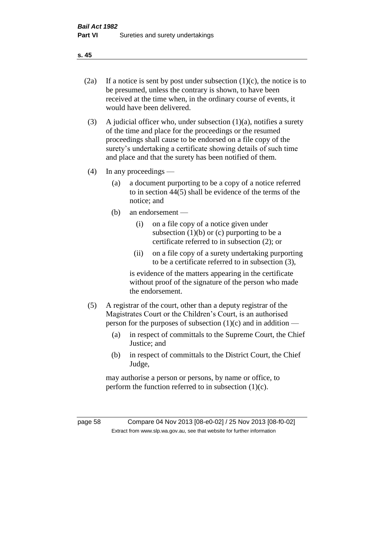- 
- (2a) If a notice is sent by post under subsection  $(1)(c)$ , the notice is to be presumed, unless the contrary is shown, to have been received at the time when, in the ordinary course of events, it would have been delivered.
- (3) A judicial officer who, under subsection  $(1)(a)$ , notifies a surety of the time and place for the proceedings or the resumed proceedings shall cause to be endorsed on a file copy of the surety's undertaking a certificate showing details of such time and place and that the surety has been notified of them.
- (4) In any proceedings
	- (a) a document purporting to be a copy of a notice referred to in section 44(5) shall be evidence of the terms of the notice; and
	- (b) an endorsement
		- (i) on a file copy of a notice given under subsection  $(1)(b)$  or  $(c)$  purporting to be a certificate referred to in subsection (2); or
		- (ii) on a file copy of a surety undertaking purporting to be a certificate referred to in subsection (3),

is evidence of the matters appearing in the certificate without proof of the signature of the person who made the endorsement.

- (5) A registrar of the court, other than a deputy registrar of the Magistrates Court or the Children's Court, is an authorised person for the purposes of subsection  $(1)(c)$  and in addition —
	- (a) in respect of committals to the Supreme Court, the Chief Justice; and
	- (b) in respect of committals to the District Court, the Chief Judge,

may authorise a person or persons, by name or office, to perform the function referred to in subsection  $(1)(c)$ .

page 58 Compare 04 Nov 2013 [08-e0-02] / 25 Nov 2013 [08-f0-02] Extract from www.slp.wa.gov.au, see that website for further information

**s. 45**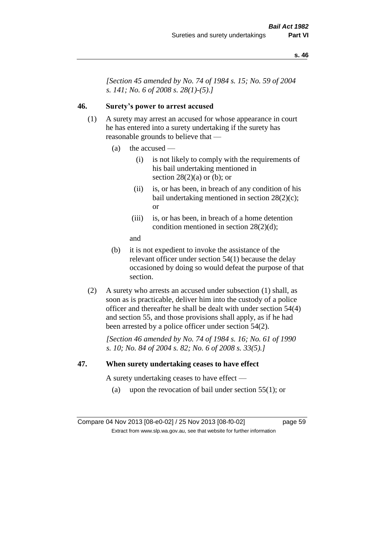*[Section 45 amended by No. 74 of 1984 s. 15; No. 59 of 2004 s. 141; No. 6 of 2008 s. 28(1)-(5).]* 

### **46. Surety's power to arrest accused**

- (1) A surety may arrest an accused for whose appearance in court he has entered into a surety undertaking if the surety has reasonable grounds to believe that —
	- (a) the accused
		- (i) is not likely to comply with the requirements of his bail undertaking mentioned in section  $28(2)(a)$  or (b); or
		- (ii) is, or has been, in breach of any condition of his bail undertaking mentioned in section 28(2)(c); or
		- (iii) is, or has been, in breach of a home detention condition mentioned in section 28(2)(d);
		- and
	- (b) it is not expedient to invoke the assistance of the relevant officer under section 54(1) because the delay occasioned by doing so would defeat the purpose of that section.
- (2) A surety who arrests an accused under subsection (1) shall, as soon as is practicable, deliver him into the custody of a police officer and thereafter he shall be dealt with under section 54(4) and section 55, and those provisions shall apply, as if he had been arrested by a police officer under section 54(2).

*[Section 46 amended by No. 74 of 1984 s. 16; No. 61 of 1990 s. 10; No. 84 of 2004 s. 82; No. 6 of 2008 s. 33(5).]* 

### **47. When surety undertaking ceases to have effect**

A surety undertaking ceases to have effect —

(a) upon the revocation of bail under section  $55(1)$ ; or

Compare 04 Nov 2013 [08-e0-02] / 25 Nov 2013 [08-f0-02] page 59 Extract from www.slp.wa.gov.au, see that website for further information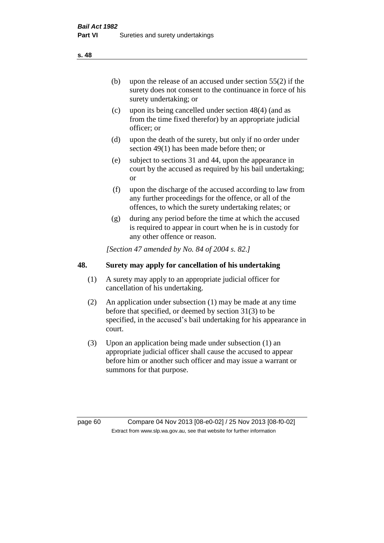(b) upon the release of an accused under section 55(2) if the surety does not consent to the continuance in force of his surety undertaking; or

- (c) upon its being cancelled under section 48(4) (and as from the time fixed therefor) by an appropriate judicial officer; or
- (d) upon the death of the surety, but only if no order under section 49(1) has been made before then; or
- (e) subject to sections 31 and 44, upon the appearance in court by the accused as required by his bail undertaking; or
- (f) upon the discharge of the accused according to law from any further proceedings for the offence, or all of the offences, to which the surety undertaking relates; or
- (g) during any period before the time at which the accused is required to appear in court when he is in custody for any other offence or reason.

*[Section 47 amended by No. 84 of 2004 s. 82.]* 

### **48. Surety may apply for cancellation of his undertaking**

- (1) A surety may apply to an appropriate judicial officer for cancellation of his undertaking.
- (2) An application under subsection (1) may be made at any time before that specified, or deemed by section 31(3) to be specified, in the accused's bail undertaking for his appearance in court.
- (3) Upon an application being made under subsection (1) an appropriate judicial officer shall cause the accused to appear before him or another such officer and may issue a warrant or summons for that purpose.

page 60 Compare 04 Nov 2013 [08-e0-02] / 25 Nov 2013 [08-f0-02] Extract from www.slp.wa.gov.au, see that website for further information

**s. 48**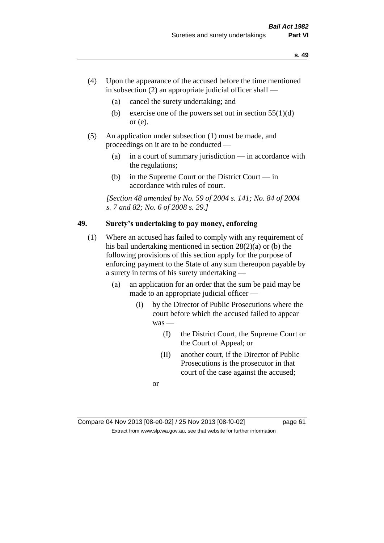- (4) Upon the appearance of the accused before the time mentioned in subsection  $(2)$  an appropriate judicial officer shall —
	- (a) cancel the surety undertaking; and
	- (b) exercise one of the powers set out in section  $55(1)(d)$ or (e).
- (5) An application under subsection (1) must be made, and proceedings on it are to be conducted —
	- (a) in a court of summary jurisdiction in accordance with the regulations;
	- (b) in the Supreme Court or the District Court in accordance with rules of court.

*[Section 48 amended by No. 59 of 2004 s. 141; No. 84 of 2004 s. 7 and 82; No. 6 of 2008 s. 29.]* 

### **49. Surety's undertaking to pay money, enforcing**

- (1) Where an accused has failed to comply with any requirement of his bail undertaking mentioned in section 28(2)(a) or (b) the following provisions of this section apply for the purpose of enforcing payment to the State of any sum thereupon payable by a surety in terms of his surety undertaking —
	- (a) an application for an order that the sum be paid may be made to an appropriate judicial officer —
		- (i) by the Director of Public Prosecutions where the court before which the accused failed to appear was —
			- (I) the District Court, the Supreme Court or the Court of Appeal; or
			- (II) another court, if the Director of Public Prosecutions is the prosecutor in that court of the case against the accused;

or

Compare 04 Nov 2013 [08-e0-02] / 25 Nov 2013 [08-f0-02] page 61 Extract from www.slp.wa.gov.au, see that website for further information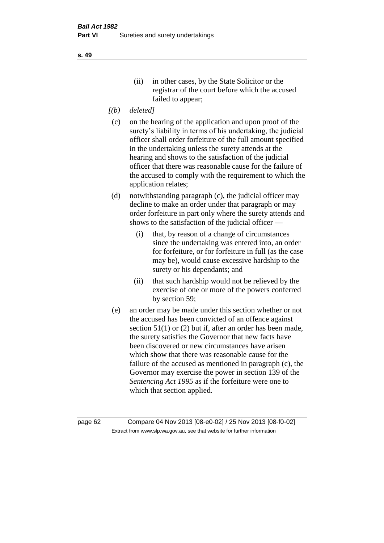- *[(b) deleted]*
- (c) on the hearing of the application and upon proof of the surety's liability in terms of his undertaking, the judicial officer shall order forfeiture of the full amount specified in the undertaking unless the surety attends at the hearing and shows to the satisfaction of the judicial officer that there was reasonable cause for the failure of the accused to comply with the requirement to which the application relates;
- (d) notwithstanding paragraph (c), the judicial officer may decline to make an order under that paragraph or may order forfeiture in part only where the surety attends and shows to the satisfaction of the judicial officer —
	- (i) that, by reason of a change of circumstances since the undertaking was entered into, an order for forfeiture, or for forfeiture in full (as the case may be), would cause excessive hardship to the surety or his dependants; and
	- (ii) that such hardship would not be relieved by the exercise of one or more of the powers conferred by section 59;
- (e) an order may be made under this section whether or not the accused has been convicted of an offence against section 51(1) or (2) but if, after an order has been made, the surety satisfies the Governor that new facts have been discovered or new circumstances have arisen which show that there was reasonable cause for the failure of the accused as mentioned in paragraph (c), the Governor may exercise the power in section 139 of the *Sentencing Act 1995* as if the forfeiture were one to which that section applied.

page 62 Compare 04 Nov 2013 [08-e0-02] / 25 Nov 2013 [08-f0-02] Extract from www.slp.wa.gov.au, see that website for further information

**s. 49**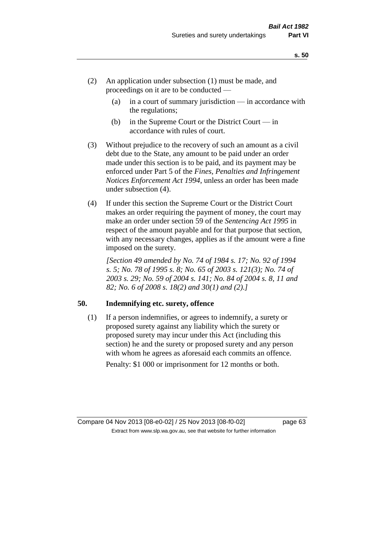- (2) An application under subsection (1) must be made, and proceedings on it are to be conducted —
	- (a) in a court of summary jurisdiction in accordance with the regulations;
	- (b) in the Supreme Court or the District Court  $-\text{in}$ accordance with rules of court.
- (3) Without prejudice to the recovery of such an amount as a civil debt due to the State, any amount to be paid under an order made under this section is to be paid, and its payment may be enforced under Part 5 of the *Fines, Penalties and Infringement Notices Enforcement Act 1994*, unless an order has been made under subsection (4).
- (4) If under this section the Supreme Court or the District Court makes an order requiring the payment of money, the court may make an order under section 59 of the *Sentencing Act 1995* in respect of the amount payable and for that purpose that section, with any necessary changes, applies as if the amount were a fine imposed on the surety.

*[Section 49 amended by No. 74 of 1984 s. 17; No. 92 of 1994 s. 5; No. 78 of 1995 s. 8; No. 65 of 2003 s. 121(3); No. 74 of 2003 s. 29; No. 59 of 2004 s. 141; No. 84 of 2004 s. 8, 11 and 82; No. 6 of 2008 s. 18(2) and 30(1) and (2).]* 

### **50. Indemnifying etc. surety, offence**

(1) If a person indemnifies, or agrees to indemnify, a surety or proposed surety against any liability which the surety or proposed surety may incur under this Act (including this section) he and the surety or proposed surety and any person with whom he agrees as aforesaid each commits an offence. Penalty: \$1 000 or imprisonment for 12 months or both.

Compare 04 Nov 2013 [08-e0-02] / 25 Nov 2013 [08-f0-02] page 63

Extract from www.slp.wa.gov.au, see that website for further information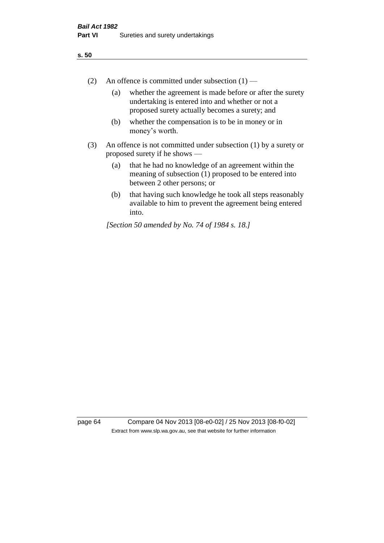- (2) An offence is committed under subsection  $(1)$ 
	- (a) whether the agreement is made before or after the surety undertaking is entered into and whether or not a proposed surety actually becomes a surety; and
	- (b) whether the compensation is to be in money or in money's worth.
- (3) An offence is not committed under subsection (1) by a surety or proposed surety if he shows —
	- (a) that he had no knowledge of an agreement within the meaning of subsection (1) proposed to be entered into between 2 other persons; or
	- (b) that having such knowledge he took all steps reasonably available to him to prevent the agreement being entered into.

*[Section 50 amended by No. 74 of 1984 s. 18.]* 

page 64 Compare 04 Nov 2013 [08-e0-02] / 25 Nov 2013 [08-f0-02] Extract from www.slp.wa.gov.au, see that website for further information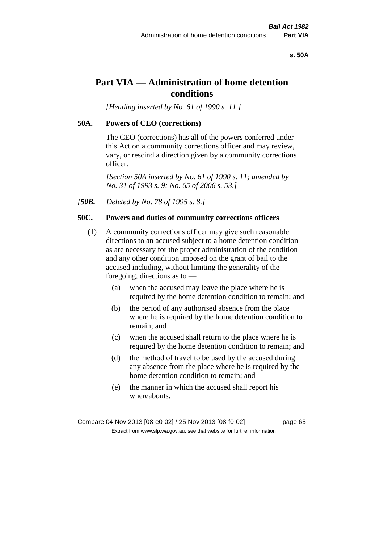### **s. 50A**

## **Part VIA — Administration of home detention conditions**

*[Heading inserted by No. 61 of 1990 s. 11.]* 

### **50A. Powers of CEO (corrections)**

The CEO (corrections) has all of the powers conferred under this Act on a community corrections officer and may review, vary, or rescind a direction given by a community corrections officer.

*[Section 50A inserted by No. 61 of 1990 s. 11; amended by No. 31 of 1993 s. 9; No. 65 of 2006 s. 53.]* 

*[50B. Deleted by No. 78 of 1995 s. 8.]* 

### **50C. Powers and duties of community corrections officers**

- (1) A community corrections officer may give such reasonable directions to an accused subject to a home detention condition as are necessary for the proper administration of the condition and any other condition imposed on the grant of bail to the accused including, without limiting the generality of the foregoing, directions as to —
	- (a) when the accused may leave the place where he is required by the home detention condition to remain; and
	- (b) the period of any authorised absence from the place where he is required by the home detention condition to remain; and
	- (c) when the accused shall return to the place where he is required by the home detention condition to remain; and
	- (d) the method of travel to be used by the accused during any absence from the place where he is required by the home detention condition to remain; and
	- (e) the manner in which the accused shall report his whereabouts.

Compare 04 Nov 2013 [08-e0-02] / 25 Nov 2013 [08-f0-02] page 65 Extract from www.slp.wa.gov.au, see that website for further information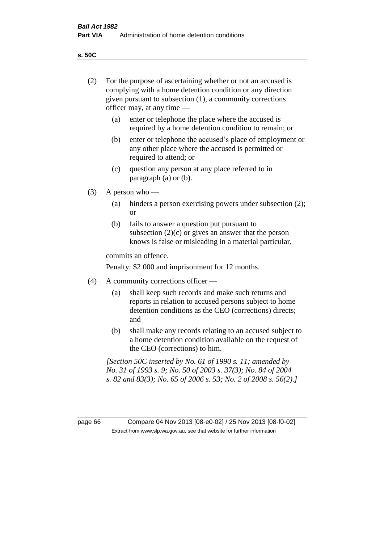**s. 50C**

| (2)     | For the purpose of ascertaining whether or not an accused is<br>complying with a home detention condition or any direction<br>given pursuant to subsection (1), a community corrections<br>officer may, at any time — |                                                                                                                                                                                              |  |
|---------|-----------------------------------------------------------------------------------------------------------------------------------------------------------------------------------------------------------------------|----------------------------------------------------------------------------------------------------------------------------------------------------------------------------------------------|--|
|         | (a)                                                                                                                                                                                                                   | enter or telephone the place where the accused is<br>required by a home detention condition to remain; or                                                                                    |  |
|         | (b)                                                                                                                                                                                                                   | enter or telephone the accused's place of employment or<br>any other place where the accused is permitted or<br>required to attend; or                                                       |  |
|         | (c)                                                                                                                                                                                                                   | question any person at any place referred to in<br>paragraph $(a)$ or $(b)$ .                                                                                                                |  |
| (3)     | A person who $-$                                                                                                                                                                                                      |                                                                                                                                                                                              |  |
|         | (a)                                                                                                                                                                                                                   | hinders a person exercising powers under subsection (2);<br><sub>or</sub>                                                                                                                    |  |
|         | (b)                                                                                                                                                                                                                   | fails to answer a question put pursuant to<br>subsection $(2)(c)$ or gives an answer that the person<br>knows is false or misleading in a material particular,                               |  |
|         |                                                                                                                                                                                                                       | commits an offence.                                                                                                                                                                          |  |
|         |                                                                                                                                                                                                                       | Penalty: \$2 000 and imprisonment for 12 months.                                                                                                                                             |  |
| (4)     | A community corrections officer —                                                                                                                                                                                     |                                                                                                                                                                                              |  |
|         | (a)                                                                                                                                                                                                                   | shall keep such records and make such returns and<br>reports in relation to accused persons subject to home<br>detention conditions as the CEO (corrections) directs;<br>and                 |  |
|         | (b)                                                                                                                                                                                                                   | shall make any records relating to an accused subject to<br>a home detention condition available on the request of<br>the CEO (corrections) to him.                                          |  |
|         |                                                                                                                                                                                                                       | [Section 50C inserted by No. 61 of 1990 s. 11; amended by<br>No. 31 of 1993 s. 9; No. 50 of 2003 s. 37(3); No. 84 of 2004<br>s. 82 and 83(3); No. 65 of 2006 s. 53; No. 2 of 2008 s. 56(2).] |  |
|         |                                                                                                                                                                                                                       |                                                                                                                                                                                              |  |
| page 66 |                                                                                                                                                                                                                       | Compare 04 Nov 2013 [08-e0-02] / 25 Nov 2013 [08-f0-02]<br>Extract from www.slp.wa.gov.au, see that website for further information                                                          |  |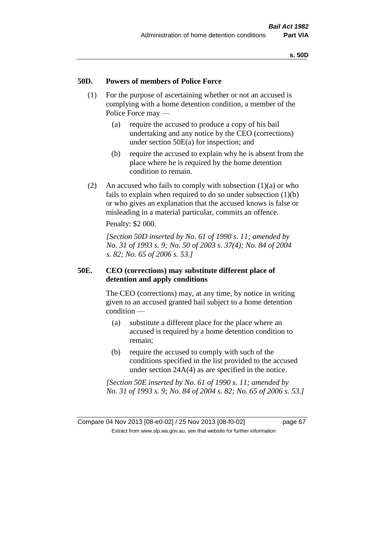### **50D. Powers of members of Police Force**

- (1) For the purpose of ascertaining whether or not an accused is complying with a home detention condition, a member of the Police Force may —
	- (a) require the accused to produce a copy of his bail undertaking and any notice by the CEO (corrections) under section 50E(a) for inspection; and
	- (b) require the accused to explain why he is absent from the place where he is required by the home detention condition to remain.
- (2) An accused who fails to comply with subsection  $(1)(a)$  or who fails to explain when required to do so under subsection (1)(b) or who gives an explanation that the accused knows is false or misleading in a material particular, commits an offence.

Penalty: \$2 000.

*[Section 50D inserted by No. 61 of 1990 s. 11; amended by No. 31 of 1993 s. 9; No. 50 of 2003 s. 37(4); No. 84 of 2004 s. 82; No. 65 of 2006 s. 53.]* 

### **50E. CEO (corrections) may substitute different place of detention and apply conditions**

The CEO (corrections) may, at any time, by notice in writing given to an accused granted bail subject to a home detention condition —

- (a) substitute a different place for the place where an accused is required by a home detention condition to remain;
- (b) require the accused to comply with such of the conditions specified in the list provided to the accused under section 24A(4) as are specified in the notice.

*[Section 50E inserted by No. 61 of 1990 s. 11; amended by No. 31 of 1993 s. 9; No. 84 of 2004 s. 82; No. 65 of 2006 s. 53.]* 

Compare 04 Nov 2013 [08-e0-02] / 25 Nov 2013 [08-f0-02] page 67 Extract from www.slp.wa.gov.au, see that website for further information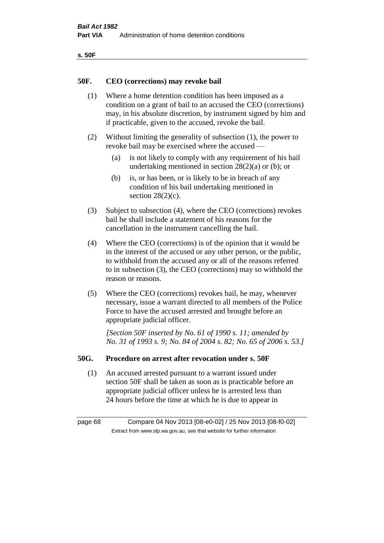| ۰.<br>×<br>-<br>۰.<br>× |  |
|-------------------------|--|
|-------------------------|--|

### **50F. CEO (corrections) may revoke bail**

- (1) Where a home detention condition has been imposed as a condition on a grant of bail to an accused the CEO (corrections) may, in his absolute discretion, by instrument signed by him and if practicable, given to the accused, revoke the bail.
- (2) Without limiting the generality of subsection (1), the power to revoke bail may be exercised where the accused —
	- (a) is not likely to comply with any requirement of his bail undertaking mentioned in section 28(2)(a) or (b); or
	- (b) is, or has been, or is likely to be in breach of any condition of his bail undertaking mentioned in section  $28(2)(c)$ .
- (3) Subject to subsection (4), where the CEO (corrections) revokes bail he shall include a statement of his reasons for the cancellation in the instrument cancelling the bail.
- (4) Where the CEO (corrections) is of the opinion that it would be in the interest of the accused or any other person, or the public, to withhold from the accused any or all of the reasons referred to in subsection (3), the CEO (corrections) may so withhold the reason or reasons.
- (5) Where the CEO (corrections) revokes bail, he may, whenever necessary, issue a warrant directed to all members of the Police Force to have the accused arrested and brought before an appropriate judicial officer.

*[Section 50F inserted by No. 61 of 1990 s. 11; amended by No. 31 of 1993 s. 9; No. 84 of 2004 s. 82; No. 65 of 2006 s. 53.]* 

### **50G. Procedure on arrest after revocation under s. 50F**

(1) An accused arrested pursuant to a warrant issued under section 50F shall be taken as soon as is practicable before an appropriate judicial officer unless he is arrested less than 24 hours before the time at which he is due to appear in

page 68 Compare 04 Nov 2013 [08-e0-02] / 25 Nov 2013 [08-f0-02] Extract from www.slp.wa.gov.au, see that website for further information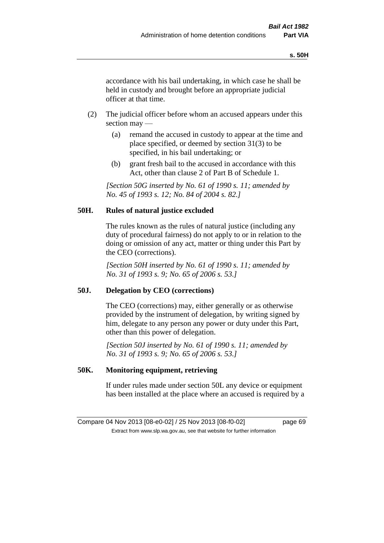accordance with his bail undertaking, in which case he shall be held in custody and brought before an appropriate judicial officer at that time.

- (2) The judicial officer before whom an accused appears under this section may —
	- (a) remand the accused in custody to appear at the time and place specified, or deemed by section 31(3) to be specified, in his bail undertaking; or
	- (b) grant fresh bail to the accused in accordance with this Act, other than clause 2 of Part B of Schedule 1.

*[Section 50G inserted by No. 61 of 1990 s. 11; amended by No. 45 of 1993 s. 12; No. 84 of 2004 s. 82.]* 

### **50H. Rules of natural justice excluded**

The rules known as the rules of natural justice (including any duty of procedural fairness) do not apply to or in relation to the doing or omission of any act, matter or thing under this Part by the CEO (corrections).

*[Section 50H inserted by No. 61 of 1990 s. 11; amended by No. 31 of 1993 s. 9; No. 65 of 2006 s. 53.]* 

### **50J. Delegation by CEO (corrections)**

The CEO (corrections) may, either generally or as otherwise provided by the instrument of delegation, by writing signed by him, delegate to any person any power or duty under this Part, other than this power of delegation.

*[Section 50J inserted by No. 61 of 1990 s. 11; amended by No. 31 of 1993 s. 9; No. 65 of 2006 s. 53.]* 

### **50K. Monitoring equipment, retrieving**

If under rules made under section 50L any device or equipment has been installed at the place where an accused is required by a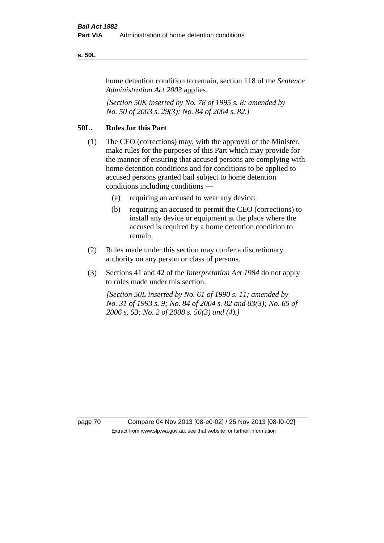### **s. 50L**

home detention condition to remain, section 118 of the *Sentence Administration Act 2003* applies.

*[Section 50K inserted by No. 78 of 1995 s. 8; amended by No. 50 of 2003 s. 29(3); No. 84 of 2004 s. 82.]* 

### **50L. Rules for this Part**

- (1) The CEO (corrections) may, with the approval of the Minister, make rules for the purposes of this Part which may provide for the manner of ensuring that accused persons are complying with home detention conditions and for conditions to be applied to accused persons granted bail subject to home detention conditions including conditions —
	- (a) requiring an accused to wear any device;
	- (b) requiring an accused to permit the CEO (corrections) to install any device or equipment at the place where the accused is required by a home detention condition to remain.
- (2) Rules made under this section may confer a discretionary authority on any person or class of persons.
- (3) Sections 41 and 42 of the *Interpretation Act 1984* do not apply to rules made under this section.

*[Section 50L inserted by No. 61 of 1990 s. 11; amended by No. 31 of 1993 s. 9; No. 84 of 2004 s. 82 and 83(3); No. 65 of 2006 s. 53; No. 2 of 2008 s. 56(3) and (4).]* 

page 70 Compare 04 Nov 2013 [08-e0-02] / 25 Nov 2013 [08-f0-02] Extract from www.slp.wa.gov.au, see that website for further information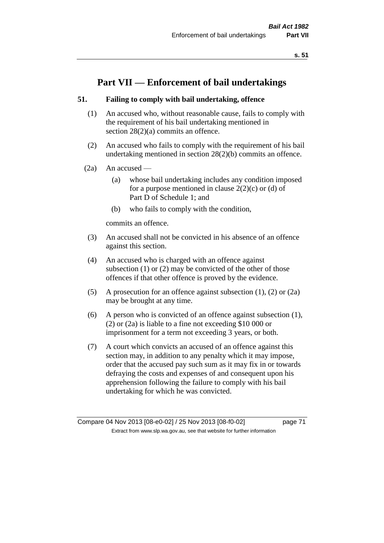# **Part VII — Enforcement of bail undertakings**

# **51. Failing to comply with bail undertaking, offence**

- (1) An accused who, without reasonable cause, fails to comply with the requirement of his bail undertaking mentioned in section 28(2)(a) commits an offence.
- (2) An accused who fails to comply with the requirement of his bail undertaking mentioned in section 28(2)(b) commits an offence.
- $(2a)$  An accused
	- (a) whose bail undertaking includes any condition imposed for a purpose mentioned in clause  $2(2)(c)$  or (d) of Part D of Schedule 1; and
	- (b) who fails to comply with the condition,

commits an offence.

- (3) An accused shall not be convicted in his absence of an offence against this section.
- (4) An accused who is charged with an offence against subsection (1) or (2) may be convicted of the other of those offences if that other offence is proved by the evidence.
- (5) A prosecution for an offence against subsection (1), (2) or (2a) may be brought at any time.
- (6) A person who is convicted of an offence against subsection (1), (2) or (2a) is liable to a fine not exceeding \$10 000 or imprisonment for a term not exceeding 3 years, or both.
- (7) A court which convicts an accused of an offence against this section may, in addition to any penalty which it may impose, order that the accused pay such sum as it may fix in or towards defraying the costs and expenses of and consequent upon his apprehension following the failure to comply with his bail undertaking for which he was convicted.

Compare 04 Nov 2013 [08-e0-02] / 25 Nov 2013 [08-f0-02] page 71 Extract from www.slp.wa.gov.au, see that website for further information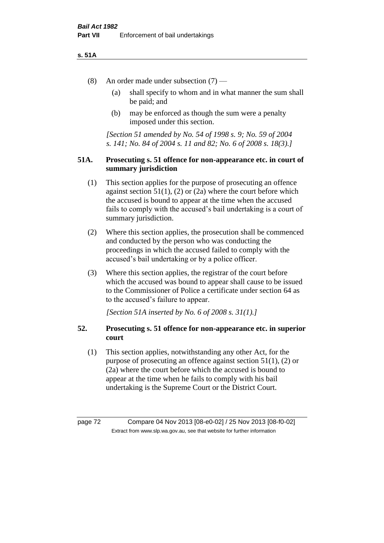#### **s. 51A**

- (8) An order made under subsection (7)
	- (a) shall specify to whom and in what manner the sum shall be paid; and
	- (b) may be enforced as though the sum were a penalty imposed under this section.

*[Section 51 amended by No. 54 of 1998 s. 9; No. 59 of 2004 s. 141; No. 84 of 2004 s. 11 and 82; No. 6 of 2008 s. 18(3).]*

# **51A. Prosecuting s. 51 offence for non-appearance etc. in court of summary jurisdiction**

- (1) This section applies for the purpose of prosecuting an offence against section  $51(1)$ ,  $(2)$  or  $(2a)$  where the court before which the accused is bound to appear at the time when the accused fails to comply with the accused's bail undertaking is a court of summary jurisdiction.
- (2) Where this section applies, the prosecution shall be commenced and conducted by the person who was conducting the proceedings in which the accused failed to comply with the accused's bail undertaking or by a police officer.
- (3) Where this section applies, the registrar of the court before which the accused was bound to appear shall cause to be issued to the Commissioner of Police a certificate under section 64 as to the accused's failure to appear.

*[Section 51A inserted by No. 6 of 2008 s. 31(1).]*

# **52. Prosecuting s. 51 offence for non-appearance etc. in superior court**

(1) This section applies, notwithstanding any other Act, for the purpose of prosecuting an offence against section 51(1), (2) or (2a) where the court before which the accused is bound to appear at the time when he fails to comply with his bail undertaking is the Supreme Court or the District Court.

page 72 Compare 04 Nov 2013 [08-e0-02] / 25 Nov 2013 [08-f0-02] Extract from www.slp.wa.gov.au, see that website for further information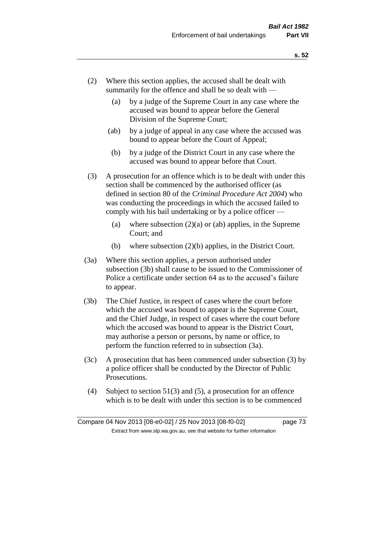- (2) Where this section applies, the accused shall be dealt with summarily for the offence and shall be so dealt with —
	- (a) by a judge of the Supreme Court in any case where the accused was bound to appear before the General Division of the Supreme Court;
	- (ab) by a judge of appeal in any case where the accused was bound to appear before the Court of Appeal;
	- (b) by a judge of the District Court in any case where the accused was bound to appear before that Court.
- (3) A prosecution for an offence which is to be dealt with under this section shall be commenced by the authorised officer (as defined in section 80 of the *Criminal Procedure Act 2004*) who was conducting the proceedings in which the accused failed to comply with his bail undertaking or by a police officer —
	- (a) where subsection  $(2)(a)$  or (ab) applies, in the Supreme Court; and
	- (b) where subsection (2)(b) applies, in the District Court.
- (3a) Where this section applies, a person authorised under subsection (3b) shall cause to be issued to the Commissioner of Police a certificate under section 64 as to the accused's failure to appear.
- (3b) The Chief Justice, in respect of cases where the court before which the accused was bound to appear is the Supreme Court, and the Chief Judge, in respect of cases where the court before which the accused was bound to appear is the District Court, may authorise a person or persons, by name or office, to perform the function referred to in subsection (3a).
- (3c) A prosecution that has been commenced under subsection (3) by a police officer shall be conducted by the Director of Public Prosecutions.
- (4) Subject to section 51(3) and (5), a prosecution for an offence which is to be dealt with under this section is to be commenced

Compare 04 Nov 2013 [08-e0-02] / 25 Nov 2013 [08-f0-02] page 73 Extract from www.slp.wa.gov.au, see that website for further information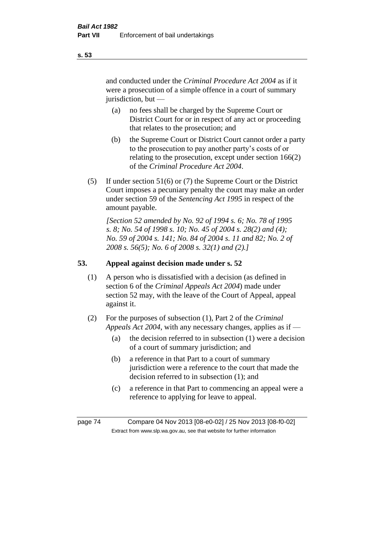and conducted under the *Criminal Procedure Act 2004* as if it were a prosecution of a simple offence in a court of summary jurisdiction, but —

- (a) no fees shall be charged by the Supreme Court or District Court for or in respect of any act or proceeding that relates to the prosecution; and
- (b) the Supreme Court or District Court cannot order a party to the prosecution to pay another party's costs of or relating to the prosecution, except under section 166(2) of the *Criminal Procedure Act 2004*.
- (5) If under section 51(6) or (7) the Supreme Court or the District Court imposes a pecuniary penalty the court may make an order under section 59 of the *Sentencing Act 1995* in respect of the amount payable.

*[Section 52 amended by No. 92 of 1994 s. 6; No. 78 of 1995 s. 8; No. 54 of 1998 s. 10; No. 45 of 2004 s. 28(2) and (4); No. 59 of 2004 s. 141; No. 84 of 2004 s. 11 and 82; No. 2 of 2008 s. 56(5); No. 6 of 2008 s. 32(1) and (2).]* 

# **53. Appeal against decision made under s. 52**

- (1) A person who is dissatisfied with a decision (as defined in section 6 of the *Criminal Appeals Act 2004*) made under section 52 may, with the leave of the Court of Appeal, appeal against it.
- (2) For the purposes of subsection (1), Part 2 of the *Criminal Appeals Act 2004*, with any necessary changes, applies as if —
	- (a) the decision referred to in subsection (1) were a decision of a court of summary jurisdiction; and
	- (b) a reference in that Part to a court of summary jurisdiction were a reference to the court that made the decision referred to in subsection (1); and
	- (c) a reference in that Part to commencing an appeal were a reference to applying for leave to appeal.

page 74 Compare 04 Nov 2013 [08-e0-02] / 25 Nov 2013 [08-f0-02] Extract from www.slp.wa.gov.au, see that website for further information

**s. 53**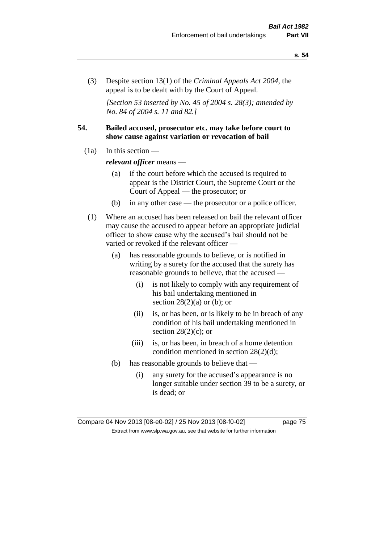(3) Despite section 13(1) of the *Criminal Appeals Act 2004*, the appeal is to be dealt with by the Court of Appeal.

*[Section 53 inserted by No. 45 of 2004 s. 28(3); amended by No. 84 of 2004 s. 11 and 82.]*

# **54. Bailed accused, prosecutor etc. may take before court to show cause against variation or revocation of bail**

 $(1a)$  In this section —

*relevant officer* means —

- (a) if the court before which the accused is required to appear is the District Court, the Supreme Court or the Court of Appeal — the prosecutor; or
- (b) in any other case the prosecutor or a police officer.
- (1) Where an accused has been released on bail the relevant officer may cause the accused to appear before an appropriate judicial officer to show cause why the accused's bail should not be varied or revoked if the relevant officer —
	- (a) has reasonable grounds to believe, or is notified in writing by a surety for the accused that the surety has reasonable grounds to believe, that the accused —
		- (i) is not likely to comply with any requirement of his bail undertaking mentioned in section  $28(2)(a)$  or (b); or
		- (ii) is, or has been, or is likely to be in breach of any condition of his bail undertaking mentioned in section  $28(2)(c)$ ; or
		- (iii) is, or has been, in breach of a home detention condition mentioned in section 28(2)(d);
	- (b) has reasonable grounds to believe that
		- (i) any surety for the accused's appearance is no longer suitable under section 39 to be a surety, or is dead; or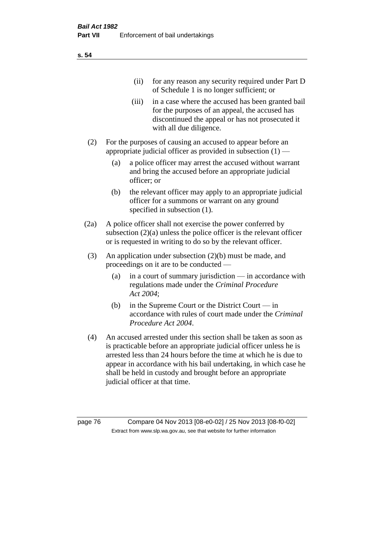| (11)  | for any reason any security required under Part D<br>of Schedule 1 is no longer sufficient; or                                                                                     |
|-------|------------------------------------------------------------------------------------------------------------------------------------------------------------------------------------|
| (iii) | in a case where the accused has been granted bail<br>for the purposes of an appeal, the accused has<br>discontinued the appeal or has not prosecuted it<br>with all due diligence. |

- (2) For the purposes of causing an accused to appear before an appropriate judicial officer as provided in subsection  $(1)$  —
	- (a) a police officer may arrest the accused without warrant and bring the accused before an appropriate judicial officer; or
	- (b) the relevant officer may apply to an appropriate judicial officer for a summons or warrant on any ground specified in subsection  $(1)$ .
- (2a) A police officer shall not exercise the power conferred by subsection (2)(a) unless the police officer is the relevant officer or is requested in writing to do so by the relevant officer.
- (3) An application under subsection (2)(b) must be made, and proceedings on it are to be conducted —
	- (a) in a court of summary jurisdiction in accordance with regulations made under the *Criminal Procedure Act 2004*;
	- (b) in the Supreme Court or the District Court in accordance with rules of court made under the *Criminal Procedure Act 2004*.
- (4) An accused arrested under this section shall be taken as soon as is practicable before an appropriate judicial officer unless he is arrested less than 24 hours before the time at which he is due to appear in accordance with his bail undertaking, in which case he shall be held in custody and brought before an appropriate judicial officer at that time.

page 76 Compare 04 Nov 2013 [08-e0-02] / 25 Nov 2013 [08-f0-02] Extract from www.slp.wa.gov.au, see that website for further information

**s. 54**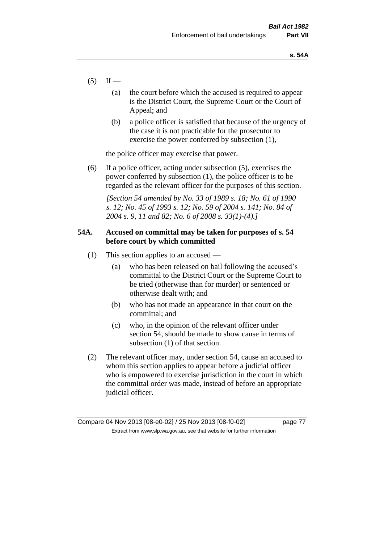- $(5)$  If
	- (a) the court before which the accused is required to appear is the District Court, the Supreme Court or the Court of Appeal; and
	- (b) a police officer is satisfied that because of the urgency of the case it is not practicable for the prosecutor to exercise the power conferred by subsection (1),

the police officer may exercise that power.

(6) If a police officer, acting under subsection (5), exercises the power conferred by subsection (1), the police officer is to be regarded as the relevant officer for the purposes of this section.

*[Section 54 amended by No. 33 of 1989 s. 18; No. 61 of 1990 s. 12; No. 45 of 1993 s. 12; No. 59 of 2004 s. 141; No. 84 of 2004 s. 9, 11 and 82; No. 6 of 2008 s. 33(1)-(4).]* 

# **54A. Accused on committal may be taken for purposes of s. 54 before court by which committed**

- (1) This section applies to an accused
	- (a) who has been released on bail following the accused's committal to the District Court or the Supreme Court to be tried (otherwise than for murder) or sentenced or otherwise dealt with; and
	- (b) who has not made an appearance in that court on the committal; and
	- (c) who, in the opinion of the relevant officer under section 54, should be made to show cause in terms of subsection (1) of that section.
- (2) The relevant officer may, under section 54, cause an accused to whom this section applies to appear before a judicial officer who is empowered to exercise jurisdiction in the court in which the committal order was made, instead of before an appropriate judicial officer.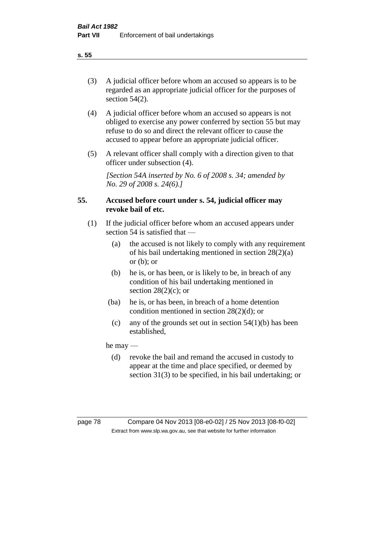(3) A judicial officer before whom an accused so appears is to be regarded as an appropriate judicial officer for the purposes of section 54(2).

- (4) A judicial officer before whom an accused so appears is not obliged to exercise any power conferred by section 55 but may refuse to do so and direct the relevant officer to cause the accused to appear before an appropriate judicial officer.
- (5) A relevant officer shall comply with a direction given to that officer under subsection (4).

*[Section 54A inserted by No. 6 of 2008 s. 34; amended by No. 29 of 2008 s. 24(6).]*

# **55. Accused before court under s. 54, judicial officer may revoke bail of etc.**

- (1) If the judicial officer before whom an accused appears under section 54 is satisfied that —
	- (a) the accused is not likely to comply with any requirement of his bail undertaking mentioned in section 28(2)(a) or  $(b)$ ; or
	- (b) he is, or has been, or is likely to be, in breach of any condition of his bail undertaking mentioned in section  $28(2)(c)$ ; or
	- (ba) he is, or has been, in breach of a home detention condition mentioned in section 28(2)(d); or
		- (c) any of the grounds set out in section  $54(1)(b)$  has been established,

he may —

(d) revoke the bail and remand the accused in custody to appear at the time and place specified, or deemed by section 31(3) to be specified, in his bail undertaking; or

**s. 55**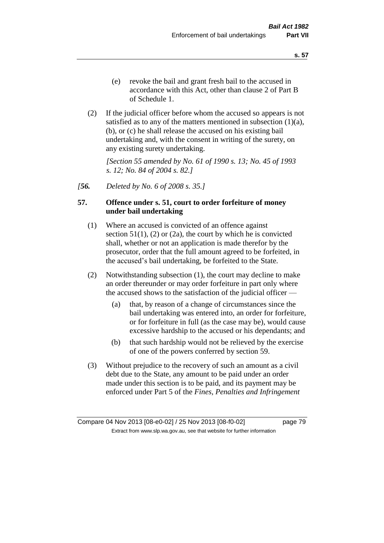(2) If the judicial officer before whom the accused so appears is not satisfied as to any of the matters mentioned in subsection  $(1)(a)$ , (b), or (c) he shall release the accused on his existing bail undertaking and, with the consent in writing of the surety, on any existing surety undertaking.

*[Section 55 amended by No. 61 of 1990 s. 13; No. 45 of 1993 s. 12; No. 84 of 2004 s. 82.]* 

*[56. Deleted by No. 6 of 2008 s. 35.]*

# **57. Offence under s. 51, court to order forfeiture of money under bail undertaking**

- (1) Where an accused is convicted of an offence against section  $51(1)$ ,  $(2)$  or  $(2a)$ , the court by which he is convicted shall, whether or not an application is made therefor by the prosecutor, order that the full amount agreed to be forfeited, in the accused's bail undertaking, be forfeited to the State.
- (2) Notwithstanding subsection (1), the court may decline to make an order thereunder or may order forfeiture in part only where the accused shows to the satisfaction of the judicial officer —
	- (a) that, by reason of a change of circumstances since the bail undertaking was entered into, an order for forfeiture, or for forfeiture in full (as the case may be), would cause excessive hardship to the accused or his dependants; and
	- (b) that such hardship would not be relieved by the exercise of one of the powers conferred by section 59.
- (3) Without prejudice to the recovery of such an amount as a civil debt due to the State, any amount to be paid under an order made under this section is to be paid, and its payment may be enforced under Part 5 of the *Fines, Penalties and Infringement*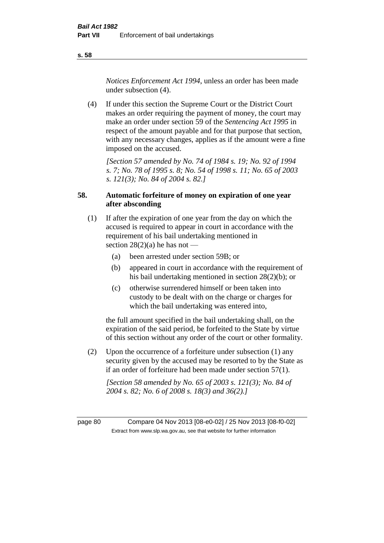*Notices Enforcement Act 1994*, unless an order has been made under subsection (4).

(4) If under this section the Supreme Court or the District Court makes an order requiring the payment of money, the court may make an order under section 59 of the *Sentencing Act 1995* in respect of the amount payable and for that purpose that section, with any necessary changes, applies as if the amount were a fine imposed on the accused.

*[Section 57 amended by No. 74 of 1984 s. 19; No. 92 of 1994 s. 7; No. 78 of 1995 s. 8; No. 54 of 1998 s. 11; No. 65 of 2003 s. 121(3); No. 84 of 2004 s. 82.]* 

# **58. Automatic forfeiture of money on expiration of one year after absconding**

- (1) If after the expiration of one year from the day on which the accused is required to appear in court in accordance with the requirement of his bail undertaking mentioned in section  $28(2)(a)$  he has not —
	- (a) been arrested under section 59B; or
	- (b) appeared in court in accordance with the requirement of his bail undertaking mentioned in section 28(2)(b); or
	- (c) otherwise surrendered himself or been taken into custody to be dealt with on the charge or charges for which the bail undertaking was entered into,

the full amount specified in the bail undertaking shall, on the expiration of the said period, be forfeited to the State by virtue of this section without any order of the court or other formality.

(2) Upon the occurrence of a forfeiture under subsection (1) any security given by the accused may be resorted to by the State as if an order of forfeiture had been made under section 57(1).

*[Section 58 amended by No. 65 of 2003 s. 121(3); No. 84 of 2004 s. 82; No. 6 of 2008 s. 18(3) and 36(2).]*

page 80 Compare 04 Nov 2013 [08-e0-02] / 25 Nov 2013 [08-f0-02] Extract from www.slp.wa.gov.au, see that website for further information

**s. 58**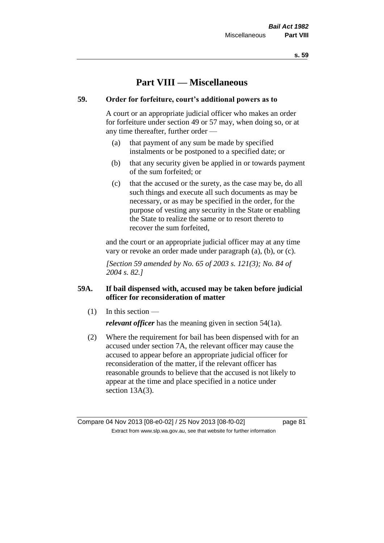# **Part VIII — Miscellaneous**

# **59. Order for forfeiture, court's additional powers as to**

A court or an appropriate judicial officer who makes an order for forfeiture under section 49 or 57 may, when doing so, or at any time thereafter, further order —

- (a) that payment of any sum be made by specified instalments or be postponed to a specified date; or
- (b) that any security given be applied in or towards payment of the sum forfeited; or
- (c) that the accused or the surety, as the case may be, do all such things and execute all such documents as may be necessary, or as may be specified in the order, for the purpose of vesting any security in the State or enabling the State to realize the same or to resort thereto to recover the sum forfeited,

and the court or an appropriate judicial officer may at any time vary or revoke an order made under paragraph (a), (b), or (c).

*[Section 59 amended by No. 65 of 2003 s. 121(3); No. 84 of 2004 s. 82.]*

# **59A. If bail dispensed with, accused may be taken before judicial officer for reconsideration of matter**

(1) In this section —

*relevant officer* has the meaning given in section 54(1a).

(2) Where the requirement for bail has been dispensed with for an accused under section 7A, the relevant officer may cause the accused to appear before an appropriate judicial officer for reconsideration of the matter, if the relevant officer has reasonable grounds to believe that the accused is not likely to appear at the time and place specified in a notice under section 13A(3).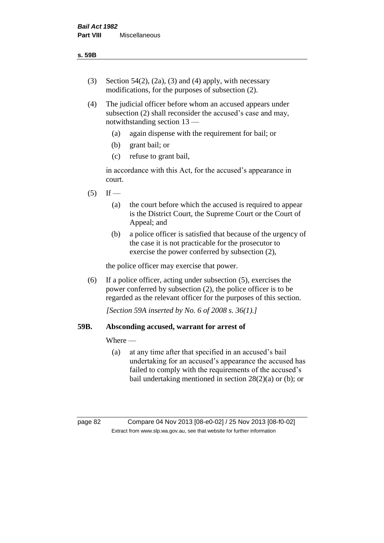- (3) Section 54(2), (2a), (3) and (4) apply, with necessary modifications, for the purposes of subsection (2).
- (4) The judicial officer before whom an accused appears under subsection (2) shall reconsider the accused's case and may, notwithstanding section 13 —
	- (a) again dispense with the requirement for bail; or
	- (b) grant bail; or
	- (c) refuse to grant bail,

in accordance with this Act, for the accused's appearance in court.

- $(5)$  If
	- (a) the court before which the accused is required to appear is the District Court, the Supreme Court or the Court of Appeal; and
	- (b) a police officer is satisfied that because of the urgency of the case it is not practicable for the prosecutor to exercise the power conferred by subsection (2),

the police officer may exercise that power.

(6) If a police officer, acting under subsection (5), exercises the power conferred by subsection (2), the police officer is to be regarded as the relevant officer for the purposes of this section.

*[Section 59A inserted by No. 6 of 2008 s. 36(1).]*

# **59B. Absconding accused, warrant for arrest of**

Where —

(a) at any time after that specified in an accused's bail undertaking for an accused's appearance the accused has failed to comply with the requirements of the accused's bail undertaking mentioned in section 28(2)(a) or (b); or

page 82 Compare 04 Nov 2013 [08-e0-02] / 25 Nov 2013 [08-f0-02] Extract from www.slp.wa.gov.au, see that website for further information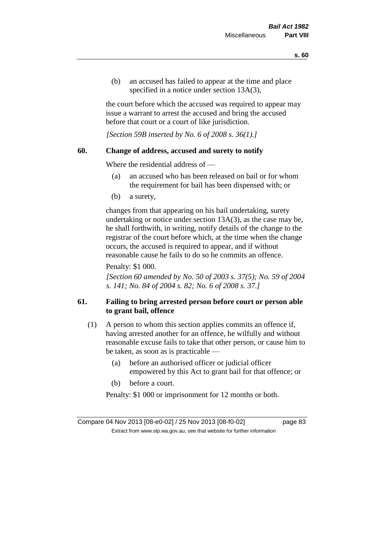(b) an accused has failed to appear at the time and place specified in a notice under section 13A(3).

the court before which the accused was required to appear may issue a warrant to arrest the accused and bring the accused before that court or a court of like jurisdiction.

*[Section 59B inserted by No. 6 of 2008 s. 36(1).]*

### **60. Change of address, accused and surety to notify**

Where the residential address of —

- (a) an accused who has been released on bail or for whom the requirement for bail has been dispensed with; or
- (b) a surety,

changes from that appearing on his bail undertaking, surety undertaking or notice under section 13A(3), as the case may be, he shall forthwith, in writing, notify details of the change to the registrar of the court before which, at the time when the change occurs, the accused is required to appear, and if without reasonable cause he fails to do so he commits an offence.

Penalty: \$1 000.

*[Section 60 amended by No. 50 of 2003 s. 37(5); No. 59 of 2004 s. 141; No. 84 of 2004 s. 82; No. 6 of 2008 s. 37.]*

# **61. Failing to bring arrested person before court or person able to grant bail, offence**

- (1) A person to whom this section applies commits an offence if, having arrested another for an offence, he wilfully and without reasonable excuse fails to take that other person, or cause him to be taken, as soon as is practicable —
	- (a) before an authorised officer or judicial officer empowered by this Act to grant bail for that offence; or
	- (b) before a court.

Penalty: \$1 000 or imprisonment for 12 months or both.

Compare 04 Nov 2013 [08-e0-02] / 25 Nov 2013 [08-f0-02] page 83 Extract from www.slp.wa.gov.au, see that website for further information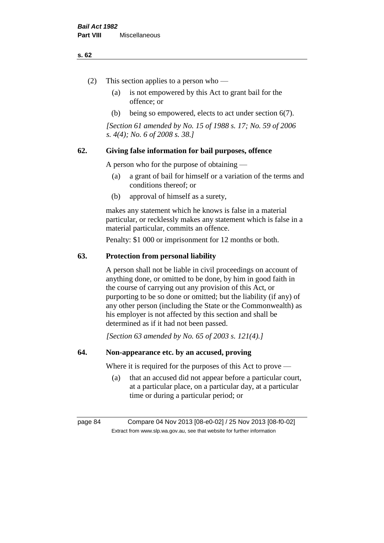#### **s. 62**

- (2) This section applies to a person who
	- (a) is not empowered by this Act to grant bail for the offence; or
	- (b) being so empowered, elects to act under section 6(7).

*[Section 61 amended by No. 15 of 1988 s. 17; No. 59 of 2006 s. 4(4); No. 6 of 2008 s. 38.]* 

# **62. Giving false information for bail purposes, offence**

A person who for the purpose of obtaining —

- (a) a grant of bail for himself or a variation of the terms and conditions thereof; or
- (b) approval of himself as a surety,

makes any statement which he knows is false in a material particular, or recklessly makes any statement which is false in a material particular, commits an offence.

Penalty: \$1 000 or imprisonment for 12 months or both.

#### **63. Protection from personal liability**

A person shall not be liable in civil proceedings on account of anything done, or omitted to be done, by him in good faith in the course of carrying out any provision of this Act, or purporting to be so done or omitted; but the liability (if any) of any other person (including the State or the Commonwealth) as his employer is not affected by this section and shall be determined as if it had not been passed.

*[Section 63 amended by No. 65 of 2003 s. 121(4).]*

# **64. Non-appearance etc. by an accused, proving**

Where it is required for the purposes of this Act to prove —

(a) that an accused did not appear before a particular court, at a particular place, on a particular day, at a particular time or during a particular period; or

page 84 Compare 04 Nov 2013 [08-e0-02] / 25 Nov 2013 [08-f0-02] Extract from www.slp.wa.gov.au, see that website for further information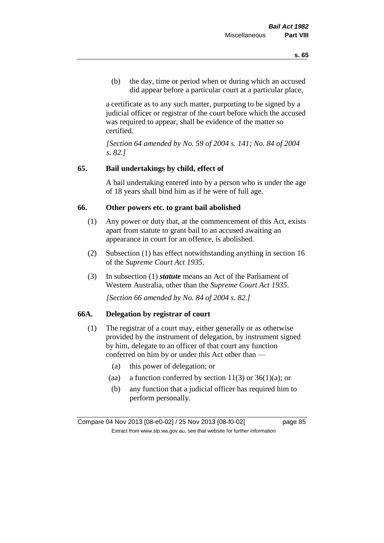(b) the day, time or period when or during which an accused did appear before a particular court at a particular place,

a certificate as to any such matter, purporting to be signed by a judicial officer or registrar of the court before which the accused was required to appear, shall be evidence of the matter so certified.

*[Section 64 amended by No. 59 of 2004 s. 141; No. 84 of 2004 s. 82.]* 

### **65. Bail undertakings by child, effect of**

A bail undertaking entered into by a person who is under the age of 18 years shall bind him as if he were of full age.

#### **66. Other powers etc. to grant bail abolished**

- (1) Any power or duty that, at the commencement of this Act, exists apart from statute to grant bail to an accused awaiting an appearance in court for an offence, is abolished.
- (2) Subsection (1) has effect notwithstanding anything in section 16 of the *Supreme Court Act 1935*.
- (3) In subsection (1) *statute* means an Act of the Parliament of Western Australia, other than the *Supreme Court Act 1935*.

*[Section 66 amended by No. 84 of 2004 s. 82.]*

# **66A. Delegation by registrar of court**

- (1) The registrar of a court may, either generally or as otherwise provided by the instrument of delegation, by instrument signed by him, delegate to an officer of that court any function conferred on him by or under this Act other than —
	- (a) this power of delegation; or
	- (aa) a function conferred by section  $11(3)$  or  $36(1)(a)$ ; or
	- (b) any function that a judicial officer has required him to perform personally.

Compare 04 Nov 2013 [08-e0-02] / 25 Nov 2013 [08-f0-02] page 85 Extract from www.slp.wa.gov.au, see that website for further information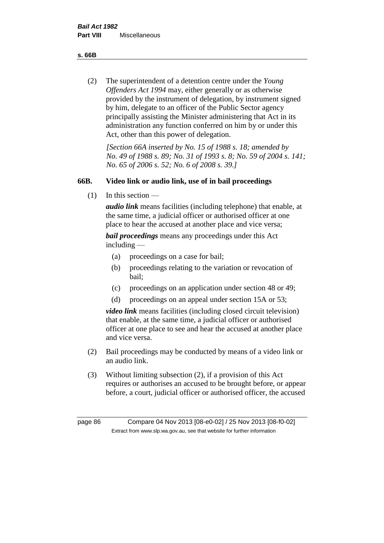**s. 66B**

(2) The superintendent of a detention centre under the *Young Offenders Act 1994* may, either generally or as otherwise provided by the instrument of delegation, by instrument signed by him, delegate to an officer of the Public Sector agency principally assisting the Minister administering that Act in its administration any function conferred on him by or under this Act, other than this power of delegation.

*[Section 66A inserted by No. 15 of 1988 s. 18; amended by No. 49 of 1988 s. 89; No. 31 of 1993 s. 8; No. 59 of 2004 s. 141; No. 65 of 2006 s. 52; No. 6 of 2008 s. 39.]* 

# **66B. Video link or audio link, use of in bail proceedings**

(1) In this section —

*audio link* means facilities (including telephone) that enable, at the same time, a judicial officer or authorised officer at one place to hear the accused at another place and vice versa;

*bail proceedings* means any proceedings under this Act including —

- (a) proceedings on a case for bail;
- (b) proceedings relating to the variation or revocation of bail;
- (c) proceedings on an application under section 48 or 49;
- (d) proceedings on an appeal under section 15A or 53;

*video link* means facilities (including closed circuit television) that enable, at the same time, a judicial officer or authorised officer at one place to see and hear the accused at another place and vice versa.

- (2) Bail proceedings may be conducted by means of a video link or an audio link.
- (3) Without limiting subsection (2), if a provision of this Act requires or authorises an accused to be brought before, or appear before, a court, judicial officer or authorised officer, the accused

page 86 Compare 04 Nov 2013 [08-e0-02] / 25 Nov 2013 [08-f0-02] Extract from www.slp.wa.gov.au, see that website for further information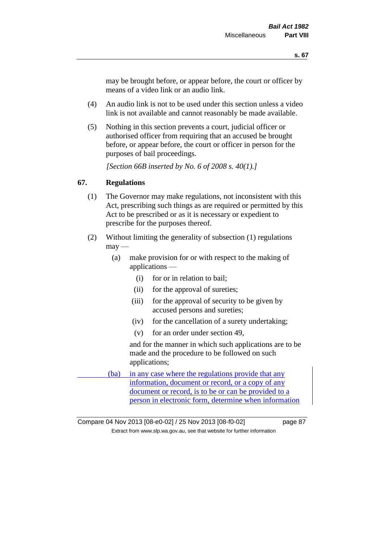may be brought before, or appear before, the court or officer by means of a video link or an audio link.

- (4) An audio link is not to be used under this section unless a video link is not available and cannot reasonably be made available.
- (5) Nothing in this section prevents a court, judicial officer or authorised officer from requiring that an accused be brought before, or appear before, the court or officer in person for the purposes of bail proceedings.

*[Section 66B inserted by No. 6 of 2008 s. 40(1).]*

### **67. Regulations**

- (1) The Governor may make regulations, not inconsistent with this Act, prescribing such things as are required or permitted by this Act to be prescribed or as it is necessary or expedient to prescribe for the purposes thereof.
- (2) Without limiting the generality of subsection (1) regulations  $\text{max}$  —
	- (a) make provision for or with respect to the making of applications —
		- (i) for or in relation to bail;
		- (ii) for the approval of sureties;
		- (iii) for the approval of security to be given by accused persons and sureties;
		- (iv) for the cancellation of a surety undertaking;
		- (v) for an order under section 49,

and for the manner in which such applications are to be made and the procedure to be followed on such applications;

(ba) in any case where the regulations provide that any information, document or record, or a copy of any document or record, is to be or can be provided to a person in electronic form, determine when information

Compare 04 Nov 2013 [08-e0-02] / 25 Nov 2013 [08-f0-02] page 87 Extract from www.slp.wa.gov.au, see that website for further information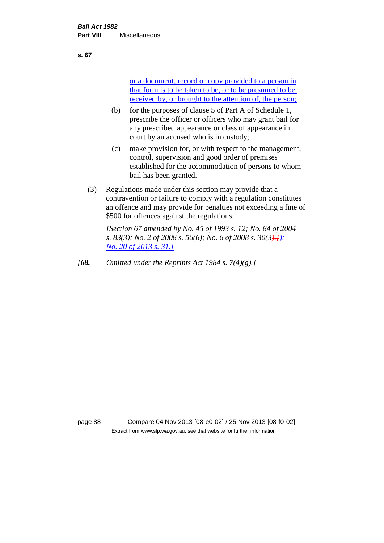**s. 67**

or a document, record or copy provided to a person in that form is to be taken to be, or to be presumed to be, received by, or brought to the attention of, the person;

- (b) for the purposes of clause 5 of Part A of Schedule 1, prescribe the officer or officers who may grant bail for any prescribed appearance or class of appearance in court by an accused who is in custody;
- (c) make provision for, or with respect to the management, control, supervision and good order of premises established for the accommodation of persons to whom bail has been granted.
- (3) Regulations made under this section may provide that a contravention or failure to comply with a regulation constitutes an offence and may provide for penalties not exceeding a fine of \$500 for offences against the regulations.

*[Section 67 amended by No. 45 of 1993 s. 12; No. 84 of 2004 s. 83(3); No. 2 of 2008 s. 56(6); No. 6 of 2008 s. 30(3).]); No. 20 of 2013 s. 31.]*

*[68. Omitted under the Reprints Act 1984 s. 7(4)(g).]*

page 88 Compare 04 Nov 2013 [08-e0-02] / 25 Nov 2013 [08-f0-02] Extract from www.slp.wa.gov.au, see that website for further information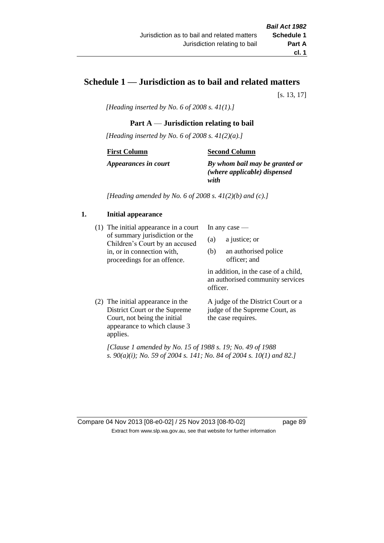# **Schedule 1 — Jurisdiction as to bail and related matters**

[s. 13, 17]

*[Heading inserted by No. 6 of 2008 s. 41(1).]*

# **Part A** — **Jurisdiction relating to bail**

*[Heading inserted by No. 6 of 2008 s. 41(2)(a).]*

#### **First Column**

### **Second Column**

*Appearances in court*

*By whom bail may be granted or (where applicable) dispensed with*

*[Heading amended by No. 6 of 2008 s. 41(2)(b) and (c).]*

# **1. Initial appearance**

(1) The initial appearance in a court of summary jurisdiction or the Children's Court by an accused in, or in connection with, proceedings for an offence.

In any case —

- (a) a justice; or
- (b) an authorised police officer; and

in addition, in the case of a child, an authorised community services officer.

(2) The initial appearance in the District Court or the Supreme Court, not being the initial appearance to which clause 3 applies.

A judge of the District Court or a judge of the Supreme Court, as the case requires.

*[Clause 1 amended by No. 15 of 1988 s. 19; No. 49 of 1988 s. 90(a)(i); No. 59 of 2004 s. 141; No. 84 of 2004 s. 10(1) and 82.]*

Compare 04 Nov 2013 [08-e0-02] / 25 Nov 2013 [08-f0-02] page 89 Extract from www.slp.wa.gov.au, see that website for further information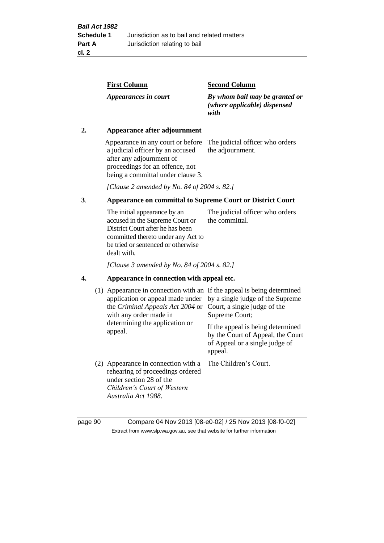| <b>First Column</b>  | <b>Second Column</b>                                                   |
|----------------------|------------------------------------------------------------------------|
| Appearances in court | By whom bail may be granted or<br>(where applicable) dispensed<br>with |

### **2. Appearance after adjournment**

Appearance in any court or before The judicial officer who orders a judicial officer by an accused after any adjournment of proceedings for an offence, not being a committal under clause 3.

the adjournment.

*[Clause 2 amended by No. 84 of 2004 s. 82.]*

# **3**. **Appearance on committal to Supreme Court or District Court**

The initial appearance by an accused in the Supreme Court or District Court after he has been committed thereto under any Act to be tried or sentenced or otherwise dealt with. The judicial officer who orders the committal.

*[Clause 3 amended by No. 84 of 2004 s. 82.]*

#### **4. Appearance in connection with appeal etc.**

| (1) Appearance in connection with an If the appeal is being determined<br>application or appeal made under<br>the <i>Criminal Appeals Act 2004</i> or Court, a single judge of the<br>with any order made in<br>determining the application or<br>appeal. | by a single judge of the Supreme<br>Supreme Court;<br>If the appeal is being determined<br>by the Court of Appeal, the Court<br>of Appeal or a single judge of<br>appeal. |
|-----------------------------------------------------------------------------------------------------------------------------------------------------------------------------------------------------------------------------------------------------------|---------------------------------------------------------------------------------------------------------------------------------------------------------------------------|
| (2) Appearance in connection with a<br>rehearing of proceedings ordered<br>under section 28 of the<br>Children's Court of Western<br>Australia Act 1988.                                                                                                  | The Children's Court.                                                                                                                                                     |

page 90 Compare 04 Nov 2013 [08-e0-02] / 25 Nov 2013 [08-f0-02] Extract from www.slp.wa.gov.au, see that website for further information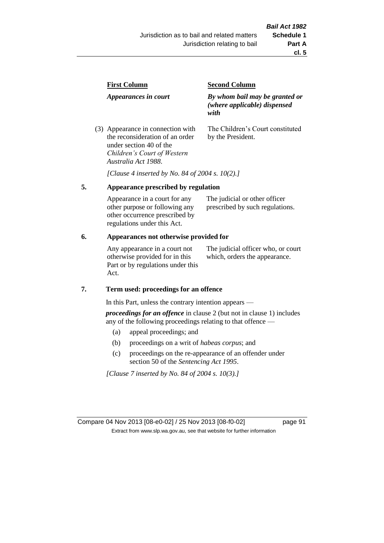| <b>First Column</b>                                                  | <b>Second Column</b>                                                   |  |
|----------------------------------------------------------------------|------------------------------------------------------------------------|--|
| Appearances in court                                                 | By whom bail may be granted or<br>(where applicable) dispensed<br>with |  |
| (3) Appearance in connection with<br>the reconsideration of an order | The Children's Court constituted<br>by the President.                  |  |

*[Clause 4 inserted by No. 84 of 2004 s. 10(2).]*

#### **5. Appearance prescribed by regulation**

under section 40 of the *Children's Court of Western* 

*Australia Act 1988*.

| Appearance in a court for any  | The judicial or other officer   |
|--------------------------------|---------------------------------|
| other purpose or following any | prescribed by such regulations. |
| other occurrence prescribed by |                                 |
| regulations under this Act.    |                                 |

### **6. Appearances not otherwise provided for**

Any appearance in a court not otherwise provided for in this Part or by regulations under this Act.

The judicial officer who, or court which, orders the appearance.

#### **7. Term used: proceedings for an offence**

In this Part, unless the contrary intention appears —

*proceedings for an offence* in clause 2 (but not in clause 1) includes any of the following proceedings relating to that offence —

- (a) appeal proceedings; and
- (b) proceedings on a writ of *habeas corpus*; and
- (c) proceedings on the re-appearance of an offender under section 50 of the *Sentencing Act 1995*.

*[Clause 7 inserted by No. 84 of 2004 s. 10(3).]*

Compare 04 Nov 2013 [08-e0-02] / 25 Nov 2013 [08-f0-02] page 91 Extract from www.slp.wa.gov.au, see that website for further information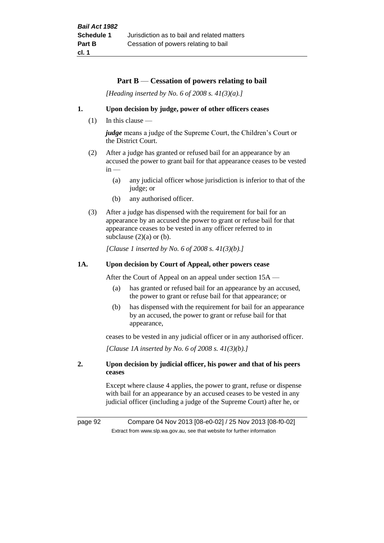#### **Part B** — **Cessation of powers relating to bail**

*[Heading inserted by No. 6 of 2008 s. 41(3)(a).]*

#### **1. Upon decision by judge, power of other officers ceases**

 $(1)$  In this clause —

*judge* means a judge of the Supreme Court, the Children's Court or the District Court.

- (2) After a judge has granted or refused bail for an appearance by an accused the power to grant bail for that appearance ceases to be vested  $in -$ 
	- (a) any judicial officer whose jurisdiction is inferior to that of the judge; or
	- (b) any authorised officer.
- (3) After a judge has dispensed with the requirement for bail for an appearance by an accused the power to grant or refuse bail for that appearance ceases to be vested in any officer referred to in subclause  $(2)(a)$  or  $(b)$ .

*[Clause 1 inserted by No. 6 of 2008 s. 41(3)(b).]*

#### **1A. Upon decision by Court of Appeal, other powers cease**

After the Court of Appeal on an appeal under section 15A —

- (a) has granted or refused bail for an appearance by an accused, the power to grant or refuse bail for that appearance; or
- (b) has dispensed with the requirement for bail for an appearance by an accused, the power to grant or refuse bail for that appearance,

ceases to be vested in any judicial officer or in any authorised officer.

*[Clause 1A inserted by No. 6 of 2008 s. 41(3)(b).]*

### **2. Upon decision by judicial officer, his power and that of his peers ceases**

Except where clause 4 applies, the power to grant, refuse or dispense with bail for an appearance by an accused ceases to be vested in any judicial officer (including a judge of the Supreme Court) after he, or

page 92 Compare 04 Nov 2013 [08-e0-02] / 25 Nov 2013 [08-f0-02] Extract from www.slp.wa.gov.au, see that website for further information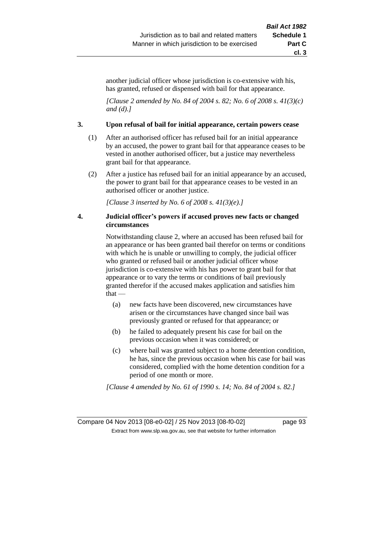another judicial officer whose jurisdiction is co-extensive with his, has granted, refused or dispensed with bail for that appearance.

*[Clause 2 amended by No. 84 of 2004 s. 82; No. 6 of 2008 s. 41(3)(c) and (d).]*

#### **3. Upon refusal of bail for initial appearance, certain powers cease**

- (1) After an authorised officer has refused bail for an initial appearance by an accused, the power to grant bail for that appearance ceases to be vested in another authorised officer, but a justice may nevertheless grant bail for that appearance.
- (2) After a justice has refused bail for an initial appearance by an accused, the power to grant bail for that appearance ceases to be vested in an authorised officer or another justice.

*[Clause 3 inserted by No. 6 of 2008 s. 41(3)(e).]*

#### **4. Judicial officer's powers if accused proves new facts or changed circumstances**

Notwithstanding clause 2, where an accused has been refused bail for an appearance or has been granted bail therefor on terms or conditions with which he is unable or unwilling to comply, the judicial officer who granted or refused bail or another judicial officer whose jurisdiction is co-extensive with his has power to grant bail for that appearance or to vary the terms or conditions of bail previously granted therefor if the accused makes application and satisfies him that —

- (a) new facts have been discovered, new circumstances have arisen or the circumstances have changed since bail was previously granted or refused for that appearance; or
- (b) he failed to adequately present his case for bail on the previous occasion when it was considered; or
- (c) where bail was granted subject to a home detention condition, he has, since the previous occasion when his case for bail was considered, complied with the home detention condition for a period of one month or more.

*[Clause 4 amended by No. 61 of 1990 s. 14; No. 84 of 2004 s. 82.]*

Compare 04 Nov 2013 [08-e0-02] / 25 Nov 2013 [08-f0-02] page 93 Extract from www.slp.wa.gov.au, see that website for further information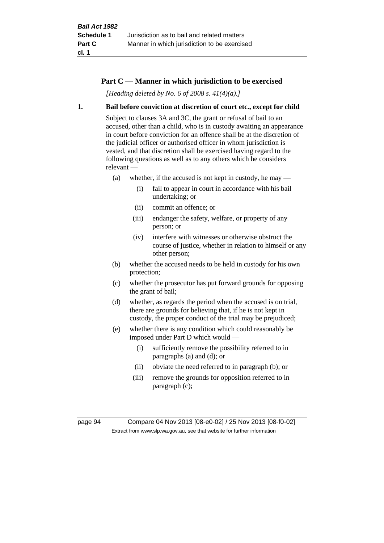# **Part C — Manner in which jurisdiction to be exercised**

*[Heading deleted by No. 6 of 2008 s. 41(4)(a).]*

#### **1. Bail before conviction at discretion of court etc., except for child**

Subject to clauses 3A and 3C, the grant or refusal of bail to an accused, other than a child, who is in custody awaiting an appearance in court before conviction for an offence shall be at the discretion of the judicial officer or authorised officer in whom jurisdiction is vested, and that discretion shall be exercised having regard to the following questions as well as to any others which he considers relevant —

- (a) whether, if the accused is not kept in custody, he may
	- (i) fail to appear in court in accordance with his bail undertaking; or
	- (ii) commit an offence; or
	- (iii) endanger the safety, welfare, or property of any person; or
	- (iv) interfere with witnesses or otherwise obstruct the course of justice, whether in relation to himself or any other person;
- (b) whether the accused needs to be held in custody for his own protection;
- (c) whether the prosecutor has put forward grounds for opposing the grant of bail;
- (d) whether, as regards the period when the accused is on trial, there are grounds for believing that, if he is not kept in custody, the proper conduct of the trial may be prejudiced;
- (e) whether there is any condition which could reasonably be imposed under Part D which would —
	- (i) sufficiently remove the possibility referred to in paragraphs (a) and (d); or
	- (ii) obviate the need referred to in paragraph (b); or
	- (iii) remove the grounds for opposition referred to in paragraph (c);

page 94 Compare 04 Nov 2013 [08-e0-02] / 25 Nov 2013 [08-f0-02] Extract from www.slp.wa.gov.au, see that website for further information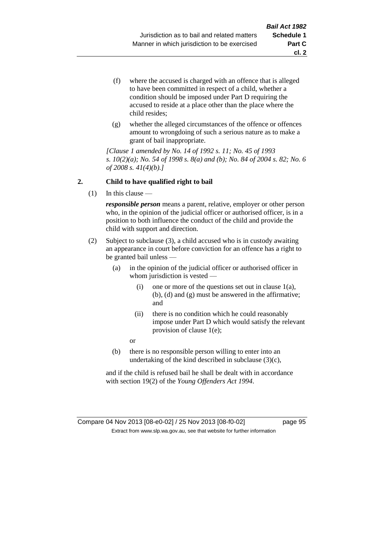- (f) where the accused is charged with an offence that is alleged to have been committed in respect of a child, whether a condition should be imposed under Part D requiring the accused to reside at a place other than the place where the child resides;
- (g) whether the alleged circumstances of the offence or offences amount to wrongdoing of such a serious nature as to make a grant of bail inappropriate.

*[Clause 1 amended by No. 14 of 1992 s. 11; No. 45 of 1993 s. 10(2)(a); No. 54 of 1998 s. 8(a) and (b); No. 84 of 2004 s. 82; No. 6 of 2008 s. 41(4)(b).]*

### **2. Child to have qualified right to bail**

(1) In this clause —

*responsible person* means a parent, relative, employer or other person who, in the opinion of the judicial officer or authorised officer, is in a position to both influence the conduct of the child and provide the child with support and direction.

- (2) Subject to subclause (3), a child accused who is in custody awaiting an appearance in court before conviction for an offence has a right to be granted bail unless —
	- (a) in the opinion of the judicial officer or authorised officer in whom jurisdiction is vested —
		- (i) one or more of the questions set out in clause 1(a), (b), (d) and (g) must be answered in the affirmative; and
		- (ii) there is no condition which he could reasonably impose under Part D which would satisfy the relevant provision of clause 1(e);
		- or
	- (b) there is no responsible person willing to enter into an undertaking of the kind described in subclause (3)(c),

and if the child is refused bail he shall be dealt with in accordance with section 19(2) of the *Young Offenders Act 1994*.

### Compare 04 Nov 2013 [08-e0-02] / 25 Nov 2013 [08-f0-02] page 95 Extract from www.slp.wa.gov.au, see that website for further information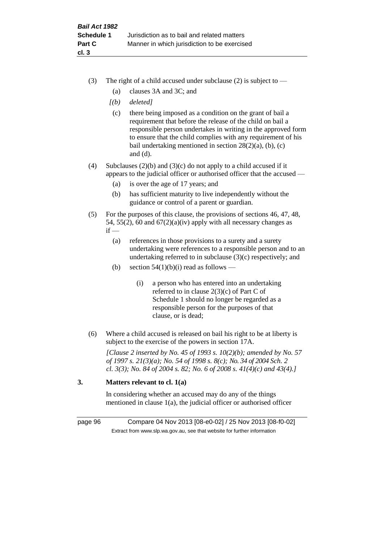- (3) The right of a child accused under subclause (2) is subject to  $-$ 
	- (a) clauses 3A and 3C; and
	- *[(b) deleted]*
	- (c) there being imposed as a condition on the grant of bail a requirement that before the release of the child on bail a responsible person undertakes in writing in the approved form to ensure that the child complies with any requirement of his bail undertaking mentioned in section 28(2)(a), (b), (c) and (d).
- (4) Subclauses (2)(b) and (3)(c) do not apply to a child accused if it appears to the judicial officer or authorised officer that the accused —
	- (a) is over the age of 17 years; and
	- (b) has sufficient maturity to live independently without the guidance or control of a parent or guardian.
- (5) For the purposes of this clause, the provisions of sections 46, 47, 48, 54, 55(2), 60 and  $67(2)(a)(iv)$  apply with all necessary changes as  $if -$ 
	- (a) references in those provisions to a surety and a surety undertaking were references to a responsible person and to an undertaking referred to in subclause (3)(c) respectively; and
	- (b) section  $54(1)(b)(i)$  read as follows
		- (i) a person who has entered into an undertaking referred to in clause 2(3)(c) of Part C of Schedule 1 should no longer be regarded as a responsible person for the purposes of that clause, or is dead;
- (6) Where a child accused is released on bail his right to be at liberty is subject to the exercise of the powers in section 17A.

*[Clause 2 inserted by No. 45 of 1993 s. 10(2)(b); amended by No. 57 of 1997 s. 21(3)(a); No. 54 of 1998 s. 8(c); No. 34 of 2004 Sch. 2 cl. 3(3); No. 84 of 2004 s. 82; No. 6 of 2008 s. 41(4)(c) and 43(4).]*

# **3. Matters relevant to cl. 1(a)**

In considering whether an accused may do any of the things mentioned in clause 1(a), the judicial officer or authorised officer

page 96 Compare 04 Nov 2013 [08-e0-02] / 25 Nov 2013 [08-f0-02] Extract from www.slp.wa.gov.au, see that website for further information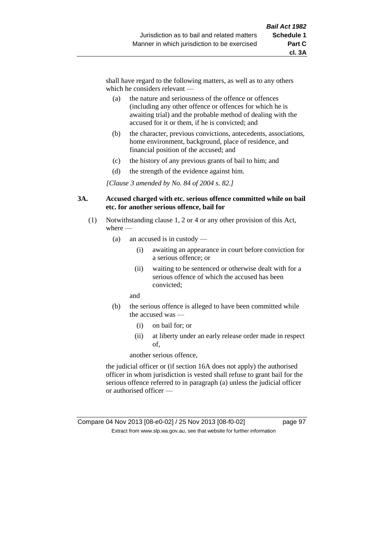shall have regard to the following matters, as well as to any others which he considers relevant —

- (a) the nature and seriousness of the offence or offences (including any other offence or offences for which he is awaiting trial) and the probable method of dealing with the accused for it or them, if he is convicted; and
- (b) the character, previous convictions, antecedents, associations, home environment, background, place of residence, and financial position of the accused; and
- (c) the history of any previous grants of bail to him; and
- (d) the strength of the evidence against him.

*[Clause 3 amended by No. 84 of 2004 s. 82.]*

#### **3A. Accused charged with etc. serious offence committed while on bail etc. for another serious offence, bail for**

- (1) Notwithstanding clause 1, 2 or 4 or any other provision of this Act, where —
	- (a) an accused is in custody
		- (i) awaiting an appearance in court before conviction for a serious offence; or
		- (ii) waiting to be sentenced or otherwise dealt with for a serious offence of which the accused has been convicted;

and

- (b) the serious offence is alleged to have been committed while the accused was —
	- (i) on bail for; or
	- (ii) at liberty under an early release order made in respect of,

another serious offence,

the judicial officer or (if section 16A does not apply) the authorised officer in whom jurisdiction is vested shall refuse to grant bail for the serious offence referred to in paragraph (a) unless the judicial officer or authorised officer —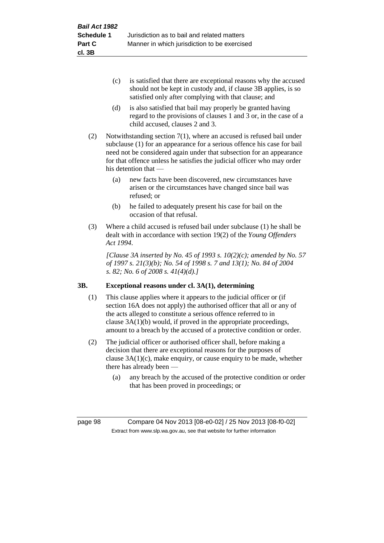- (c) is satisfied that there are exceptional reasons why the accused should not be kept in custody and, if clause 3B applies, is so satisfied only after complying with that clause; and
- (d) is also satisfied that bail may properly be granted having regard to the provisions of clauses 1 and 3 or, in the case of a child accused, clauses 2 and 3.
- (2) Notwithstanding section 7(1), where an accused is refused bail under subclause (1) for an appearance for a serious offence his case for bail need not be considered again under that subsection for an appearance for that offence unless he satisfies the judicial officer who may order his detention that —
	- (a) new facts have been discovered, new circumstances have arisen or the circumstances have changed since bail was refused; or
	- (b) he failed to adequately present his case for bail on the occasion of that refusal.
- (3) Where a child accused is refused bail under subclause (1) he shall be dealt with in accordance with section 19(2) of the *Young Offenders Act 1994*.

*[Clause 3A inserted by No. 45 of 1993 s. 10(2)(c); amended by No. 57 of 1997 s. 21(3)(b); No. 54 of 1998 s. 7 and 13(1); No. 84 of 2004 s. 82; No. 6 of 2008 s. 41(4)(d).]*

# **3B. Exceptional reasons under cl. 3A(1), determining**

- (1) This clause applies where it appears to the judicial officer or (if section 16A does not apply) the authorised officer that all or any of the acts alleged to constitute a serious offence referred to in clause 3A(1)(b) would, if proved in the appropriate proceedings, amount to a breach by the accused of a protective condition or order.
- (2) The judicial officer or authorised officer shall, before making a decision that there are exceptional reasons for the purposes of clause  $3A(1)(c)$ , make enquiry, or cause enquiry to be made, whether there has already been —
	- (a) any breach by the accused of the protective condition or order that has been proved in proceedings; or

page 98 Compare 04 Nov 2013 [08-e0-02] / 25 Nov 2013 [08-f0-02] Extract from www.slp.wa.gov.au, see that website for further information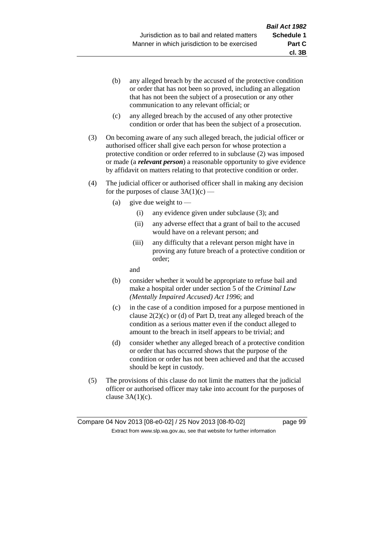- (b) any alleged breach by the accused of the protective condition or order that has not been so proved, including an allegation that has not been the subject of a prosecution or any other communication to any relevant official; or
- (c) any alleged breach by the accused of any other protective condition or order that has been the subject of a prosecution.
- (3) On becoming aware of any such alleged breach, the judicial officer or authorised officer shall give each person for whose protection a protective condition or order referred to in subclause (2) was imposed or made (a *relevant person*) a reasonable opportunity to give evidence by affidavit on matters relating to that protective condition or order.
- (4) The judicial officer or authorised officer shall in making any decision for the purposes of clause  $3A(1)(c)$  —
	- (a) give due weight to  $-$ 
		- (i) any evidence given under subclause (3); and
		- (ii) any adverse effect that a grant of bail to the accused would have on a relevant person; and
		- (iii) any difficulty that a relevant person might have in proving any future breach of a protective condition or order;

and

- (b) consider whether it would be appropriate to refuse bail and make a hospital order under section 5 of the *Criminal Law (Mentally Impaired Accused) Act 1996*; and
- (c) in the case of a condition imposed for a purpose mentioned in clause 2(2)(c) or (d) of Part D, treat any alleged breach of the condition as a serious matter even if the conduct alleged to amount to the breach in itself appears to be trivial; and
- (d) consider whether any alleged breach of a protective condition or order that has occurred shows that the purpose of the condition or order has not been achieved and that the accused should be kept in custody.
- (5) The provisions of this clause do not limit the matters that the judicial officer or authorised officer may take into account for the purposes of clause  $3A(1)(c)$ .

**cl. 3B**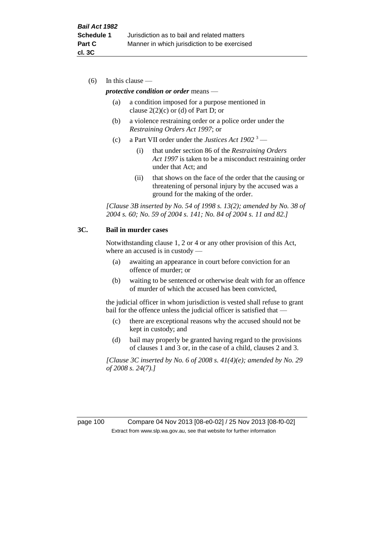(6) In this clause —

#### *protective condition or order* means —

- (a) a condition imposed for a purpose mentioned in clause  $2(2)(c)$  or (d) of Part D; or
- (b) a violence restraining order or a police order under the *Restraining Orders Act 1997*; or
- (c) a Part VII order under the *Justices Act 1902* <sup>3</sup>
	- (i) that under section 86 of the *Restraining Orders Act 1997* is taken to be a misconduct restraining order under that Act; and
	- (ii) that shows on the face of the order that the causing or threatening of personal injury by the accused was a ground for the making of the order.

*[Clause 3B inserted by No. 54 of 1998 s. 13(2); amended by No. 38 of 2004 s. 60; No. 59 of 2004 s. 141; No. 84 of 2004 s. 11 and 82.]*

#### **3C. Bail in murder cases**

Notwithstanding clause 1, 2 or 4 or any other provision of this Act, where an accused is in custody —

- (a) awaiting an appearance in court before conviction for an offence of murder; or
- (b) waiting to be sentenced or otherwise dealt with for an offence of murder of which the accused has been convicted,

the judicial officer in whom jurisdiction is vested shall refuse to grant bail for the offence unless the judicial officer is satisfied that -

- (c) there are exceptional reasons why the accused should not be kept in custody; and
- (d) bail may properly be granted having regard to the provisions of clauses 1 and 3 or, in the case of a child, clauses 2 and 3.

*[Clause 3C inserted by No. 6 of 2008 s. 41(4)(e); amended by No. 29 of 2008 s. 24(7).]*

page 100 Compare 04 Nov 2013 [08-e0-02] / 25 Nov 2013 [08-f0-02] Extract from www.slp.wa.gov.au, see that website for further information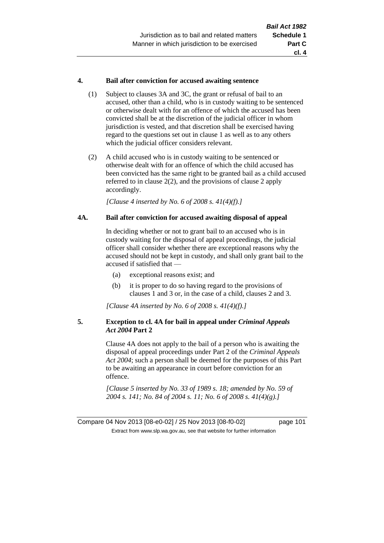### **4. Bail after conviction for accused awaiting sentence**

- (1) Subject to clauses 3A and 3C, the grant or refusal of bail to an accused, other than a child, who is in custody waiting to be sentenced or otherwise dealt with for an offence of which the accused has been convicted shall be at the discretion of the judicial officer in whom jurisdiction is vested, and that discretion shall be exercised having regard to the questions set out in clause 1 as well as to any others which the judicial officer considers relevant.
- (2) A child accused who is in custody waiting to be sentenced or otherwise dealt with for an offence of which the child accused has been convicted has the same right to be granted bail as a child accused referred to in clause 2(2), and the provisions of clause 2 apply accordingly.

*[Clause 4 inserted by No. 6 of 2008 s. 41(4)(f).]*

#### **4A. Bail after conviction for accused awaiting disposal of appeal**

In deciding whether or not to grant bail to an accused who is in custody waiting for the disposal of appeal proceedings, the judicial officer shall consider whether there are exceptional reasons why the accused should not be kept in custody, and shall only grant bail to the accused if satisfied that —

- (a) exceptional reasons exist; and
- (b) it is proper to do so having regard to the provisions of clauses 1 and 3 or, in the case of a child, clauses 2 and 3.

*[Clause 4A inserted by No. 6 of 2008 s. 41(4)(f).]*

### **5. Exception to cl. 4A for bail in appeal under** *Criminal Appeals Act 2004* **Part 2**

Clause 4A does not apply to the bail of a person who is awaiting the disposal of appeal proceedings under Part 2 of the *Criminal Appeals Act 2004*; such a person shall be deemed for the purposes of this Part to be awaiting an appearance in court before conviction for an offence.

*[Clause 5 inserted by No. 33 of 1989 s. 18; amended by No. 59 of 2004 s. 141; No. 84 of 2004 s. 11; No. 6 of 2008 s. 41(4)(g).]*

Compare 04 Nov 2013 [08-e0-02] / 25 Nov 2013 [08-f0-02] page 101 Extract from www.slp.wa.gov.au, see that website for further information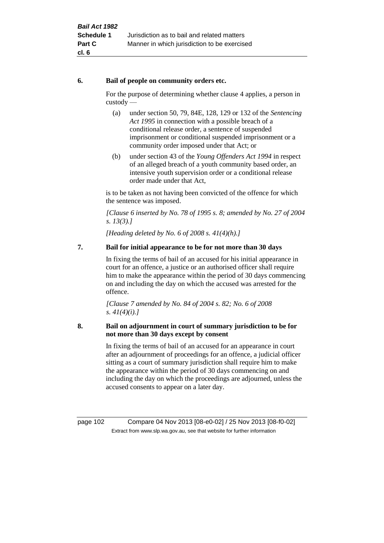### **6. Bail of people on community orders etc.**

For the purpose of determining whether clause 4 applies, a person in custody —

- (a) under section 50, 79, 84E, 128, 129 or 132 of the *Sentencing Act 1995* in connection with a possible breach of a conditional release order, a sentence of suspended imprisonment or conditional suspended imprisonment or a community order imposed under that Act; or
- (b) under section 43 of the *Young Offenders Act 1994* in respect of an alleged breach of a youth community based order, an intensive youth supervision order or a conditional release order made under that Act,

is to be taken as not having been convicted of the offence for which the sentence was imposed.

*[Clause 6 inserted by No. 78 of 1995 s. 8; amended by No. 27 of 2004 s. 13(3).]*

*[Heading deleted by No. 6 of 2008 s. 41(4)(h).]*

# **7. Bail for initial appearance to be for not more than 30 days**

In fixing the terms of bail of an accused for his initial appearance in court for an offence, a justice or an authorised officer shall require him to make the appearance within the period of 30 days commencing on and including the day on which the accused was arrested for the offence.

*[Clause 7 amended by No. 84 of 2004 s. 82; No. 6 of 2008 s. 41(4)(i).]*

### **8. Bail on adjournment in court of summary jurisdiction to be for not more than 30 days except by consent**

In fixing the terms of bail of an accused for an appearance in court after an adjournment of proceedings for an offence, a judicial officer sitting as a court of summary jurisdiction shall require him to make the appearance within the period of 30 days commencing on and including the day on which the proceedings are adjourned, unless the accused consents to appear on a later day.

page 102 Compare 04 Nov 2013 [08-e0-02] / 25 Nov 2013 [08-f0-02] Extract from www.slp.wa.gov.au, see that website for further information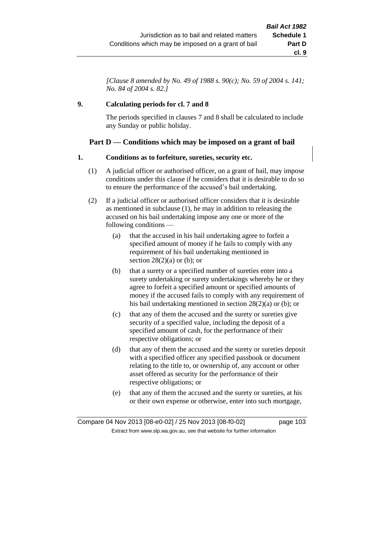*[Clause 8 amended by No. 49 of 1988 s. 90(c); No. 59 of 2004 s. 141; No. 84 of 2004 s. 82.]*

# **9. Calculating periods for cl. 7 and 8**

The periods specified in clauses 7 and 8 shall be calculated to include any Sunday or public holiday.

# **Part D — Conditions which may be imposed on a grant of bail**

### **1. Conditions as to forfeiture, sureties, security etc.**

- (1) A judicial officer or authorised officer, on a grant of bail, may impose conditions under this clause if he considers that it is desirable to do so to ensure the performance of the accused's bail undertaking.
- (2) If a judicial officer or authorised officer considers that it is desirable as mentioned in subclause (1), he may in addition to releasing the accused on his bail undertaking impose any one or more of the following conditions —
	- (a) that the accused in his bail undertaking agree to forfeit a specified amount of money if he fails to comply with any requirement of his bail undertaking mentioned in section  $28(2)(a)$  or (b); or
	- (b) that a surety or a specified number of sureties enter into a surety undertaking or surety undertakings whereby he or they agree to forfeit a specified amount or specified amounts of money if the accused fails to comply with any requirement of his bail undertaking mentioned in section 28(2)(a) or (b); or
	- (c) that any of them the accused and the surety or sureties give security of a specified value, including the deposit of a specified amount of cash, for the performance of their respective obligations; or
	- (d) that any of them the accused and the surety or sureties deposit with a specified officer any specified passbook or document relating to the title to, or ownership of, any account or other asset offered as security for the performance of their respective obligations; or
	- (e) that any of them the accused and the surety or sureties, at his or their own expense or otherwise, enter into such mortgage,

Compare 04 Nov 2013 [08-e0-02] / 25 Nov 2013 [08-f0-02] page 103 Extract from www.slp.wa.gov.au, see that website for further information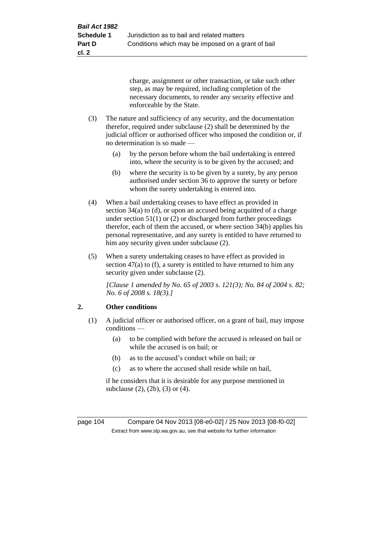charge, assignment or other transaction, or take such other step, as may be required, including completion of the necessary documents, to render any security effective and enforceable by the State.

- (3) The nature and sufficiency of any security, and the documentation therefor, required under subclause (2) shall be determined by the judicial officer or authorised officer who imposed the condition or, if no determination is so made —
	- (a) by the person before whom the bail undertaking is entered into, where the security is to be given by the accused; and
	- (b) where the security is to be given by a surety, by any person authorised under section 36 to approve the surety or before whom the surety undertaking is entered into.
- (4) When a bail undertaking ceases to have effect as provided in section 34(a) to (d), or upon an accused being acquitted of a charge under section  $51(1)$  or (2) or discharged from further proceedings therefor, each of them the accused, or where section 34(b) applies his personal representative, and any surety is entitled to have returned to him any security given under subclause (2).
- (5) When a surety undertaking ceases to have effect as provided in section 47(a) to (f), a surety is entitled to have returned to him any security given under subclause (2).

*[Clause 1 amended by No. 65 of 2003 s. 121(3); No. 84 of 2004 s. 82; No. 6 of 2008 s. 18(3).]*

# **2. Other conditions**

- (1) A judicial officer or authorised officer, on a grant of bail, may impose conditions —
	- (a) to be complied with before the accused is released on bail or while the accused is on bail; or
	- (b) as to the accused's conduct while on bail; or
	- (c) as to where the accused shall reside while on bail,

if he considers that it is desirable for any purpose mentioned in subclause (2), (2b), (3) or (4).

page 104 Compare 04 Nov 2013 [08-e0-02] / 25 Nov 2013 [08-f0-02] Extract from www.slp.wa.gov.au, see that website for further information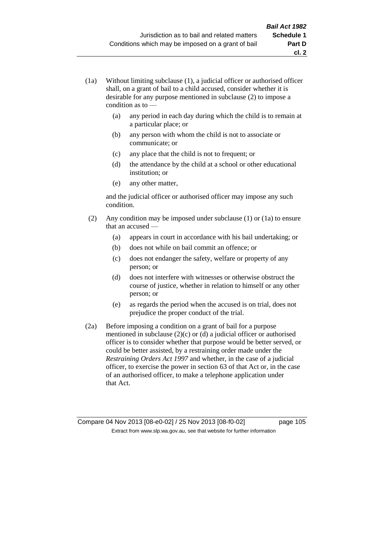- (1a) Without limiting subclause (1), a judicial officer or authorised officer shall, on a grant of bail to a child accused, consider whether it is desirable for any purpose mentioned in subclause (2) to impose a condition as to —
	- (a) any period in each day during which the child is to remain at a particular place; or
	- (b) any person with whom the child is not to associate or communicate; or
	- (c) any place that the child is not to frequent; or
	- (d) the attendance by the child at a school or other educational institution; or
	- (e) any other matter,

and the judicial officer or authorised officer may impose any such condition.

- (2) Any condition may be imposed under subclause (1) or (1a) to ensure that an accused —
	- (a) appears in court in accordance with his bail undertaking; or
	- (b) does not while on bail commit an offence; or
	- (c) does not endanger the safety, welfare or property of any person; or
	- (d) does not interfere with witnesses or otherwise obstruct the course of justice, whether in relation to himself or any other person; or
	- (e) as regards the period when the accused is on trial, does not prejudice the proper conduct of the trial.
- (2a) Before imposing a condition on a grant of bail for a purpose mentioned in subclause (2)(c) or (d) a judicial officer or authorised officer is to consider whether that purpose would be better served, or could be better assisted, by a restraining order made under the *Restraining Orders Act 1997* and whether, in the case of a judicial officer, to exercise the power in section 63 of that Act or, in the case of an authorised officer, to make a telephone application under that Act.

Compare 04 Nov 2013 [08-e0-02] / 25 Nov 2013 [08-f0-02] page 105 Extract from www.slp.wa.gov.au, see that website for further information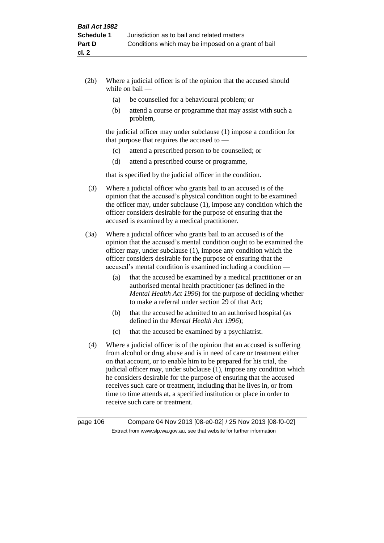- (2b) Where a judicial officer is of the opinion that the accused should while on bail —
	- (a) be counselled for a behavioural problem; or
	- (b) attend a course or programme that may assist with such a problem,

the judicial officer may under subclause (1) impose a condition for that purpose that requires the accused to —

- (c) attend a prescribed person to be counselled; or
- (d) attend a prescribed course or programme,

that is specified by the judicial officer in the condition.

- (3) Where a judicial officer who grants bail to an accused is of the opinion that the accused's physical condition ought to be examined the officer may, under subclause (1), impose any condition which the officer considers desirable for the purpose of ensuring that the accused is examined by a medical practitioner.
- (3a) Where a judicial officer who grants bail to an accused is of the opinion that the accused's mental condition ought to be examined the officer may, under subclause (1), impose any condition which the officer considers desirable for the purpose of ensuring that the accused's mental condition is examined including a condition —
	- (a) that the accused be examined by a medical practitioner or an authorised mental health practitioner (as defined in the *Mental Health Act 1996*) for the purpose of deciding whether to make a referral under section 29 of that Act;
	- (b) that the accused be admitted to an authorised hospital (as defined in the *Mental Health Act 1996*);
	- (c) that the accused be examined by a psychiatrist.
- (4) Where a judicial officer is of the opinion that an accused is suffering from alcohol or drug abuse and is in need of care or treatment either on that account, or to enable him to be prepared for his trial, the judicial officer may, under subclause (1), impose any condition which he considers desirable for the purpose of ensuring that the accused receives such care or treatment, including that he lives in, or from time to time attends at, a specified institution or place in order to receive such care or treatment.

page 106 Compare 04 Nov 2013 [08-e0-02] / 25 Nov 2013 [08-f0-02] Extract from www.slp.wa.gov.au, see that website for further information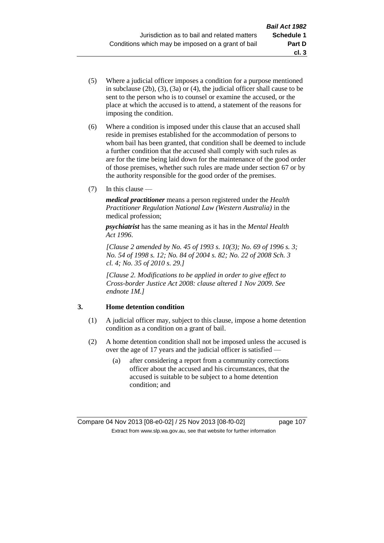- (5) Where a judicial officer imposes a condition for a purpose mentioned in subclause (2b), (3), (3a) or (4), the judicial officer shall cause to be sent to the person who is to counsel or examine the accused, or the place at which the accused is to attend, a statement of the reasons for imposing the condition.
- (6) Where a condition is imposed under this clause that an accused shall reside in premises established for the accommodation of persons to whom bail has been granted, that condition shall be deemed to include a further condition that the accused shall comply with such rules as are for the time being laid down for the maintenance of the good order of those premises, whether such rules are made under section 67 or by the authority responsible for the good order of the premises.
- (7) In this clause —

*medical practitioner* means a person registered under the *Health Practitioner Regulation National Law (Western Australia)* in the medical profession;

*psychiatrist* has the same meaning as it has in the *Mental Health Act 1996*.

*[Clause 2 amended by No. 45 of 1993 s. 10(3); No. 69 of 1996 s. 3; No. 54 of 1998 s. 12; No. 84 of 2004 s. 82; No. 22 of 2008 Sch. 3 cl. 4; No. 35 of 2010 s. 29.]*

*[Clause 2. Modifications to be applied in order to give effect to Cross-border Justice Act 2008: clause altered 1 Nov 2009. See endnote 1M.]*

### **3. Home detention condition**

- (1) A judicial officer may, subject to this clause, impose a home detention condition as a condition on a grant of bail.
- (2) A home detention condition shall not be imposed unless the accused is over the age of 17 years and the judicial officer is satisfied —
	- (a) after considering a report from a community corrections officer about the accused and his circumstances, that the accused is suitable to be subject to a home detention condition; and

**cl. 3**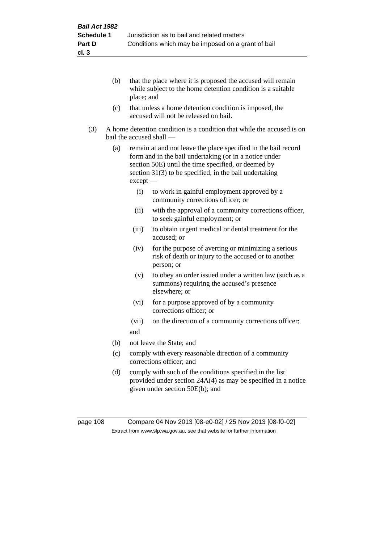- (b) that the place where it is proposed the accused will remain while subject to the home detention condition is a suitable place; and
- (c) that unless a home detention condition is imposed, the accused will not be released on bail.
- (3) A home detention condition is a condition that while the accused is on bail the accused shall —
	- (a) remain at and not leave the place specified in the bail record form and in the bail undertaking (or in a notice under section 50E) until the time specified, or deemed by section 31(3) to be specified, in the bail undertaking except —
		- (i) to work in gainful employment approved by a community corrections officer; or
		- (ii) with the approval of a community corrections officer, to seek gainful employment; or
		- (iii) to obtain urgent medical or dental treatment for the accused; or
		- (iv) for the purpose of averting or minimizing a serious risk of death or injury to the accused or to another person; or
		- (v) to obey an order issued under a written law (such as a summons) requiring the accused's presence elsewhere; or
		- (vi) for a purpose approved of by a community corrections officer; or
		- (vii) on the direction of a community corrections officer; and
	- (b) not leave the State; and
	- (c) comply with every reasonable direction of a community corrections officer; and
	- (d) comply with such of the conditions specified in the list provided under section 24A(4) as may be specified in a notice given under section 50E(b); and

page 108 Compare 04 Nov 2013 [08-e0-02] / 25 Nov 2013 [08-f0-02] Extract from www.slp.wa.gov.au, see that website for further information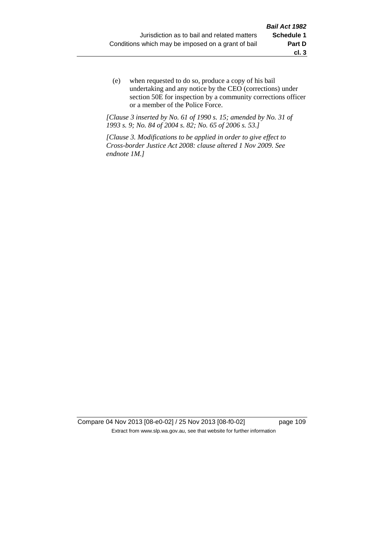(e) when requested to do so, produce a copy of his bail undertaking and any notice by the CEO (corrections) under section 50E for inspection by a community corrections officer or a member of the Police Force.

*[Clause 3 inserted by No. 61 of 1990 s. 15; amended by No. 31 of 1993 s. 9; No. 84 of 2004 s. 82; No. 65 of 2006 s. 53.]*

*[Clause 3. Modifications to be applied in order to give effect to Cross-border Justice Act 2008: clause altered 1 Nov 2009. See endnote 1M.]*

Compare 04 Nov 2013 [08-e0-02] / 25 Nov 2013 [08-f0-02] page 109 Extract from www.slp.wa.gov.au, see that website for further information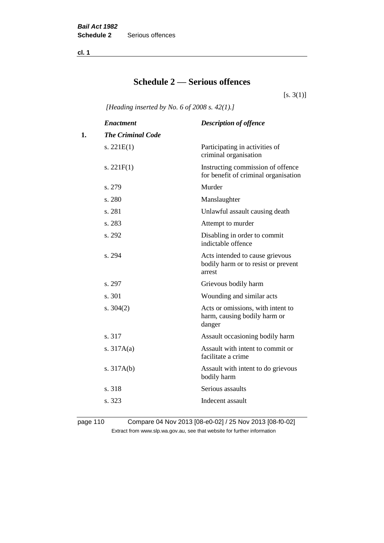**cl. 1**

# **Schedule 2 — Serious offences**

 $[s. 3(1)]$ 

*[Heading inserted by No. 6 of 2008 s. 42(1).]*

|    | <b>Enactment</b>         | <b>Description of offence</b>                                                    |
|----|--------------------------|----------------------------------------------------------------------------------|
| 1. | <b>The Criminal Code</b> |                                                                                  |
|    | s. $221E(1)$             | Participating in activities of<br>criminal organisation                          |
|    | s. $221F(1)$             | Instructing commission of offence<br>for benefit of criminal organisation        |
|    | s. 279                   | Murder                                                                           |
|    | s. 280                   | Manslaughter                                                                     |
|    | s. 281                   | Unlawful assault causing death                                                   |
|    | s. 283                   | Attempt to murder                                                                |
|    | s. 292                   | Disabling in order to commit<br>indictable offence                               |
|    | s. 294                   | Acts intended to cause grievous<br>bodily harm or to resist or prevent<br>arrest |
|    | s. 297                   | Grievous bodily harm                                                             |
|    | s. 301                   | Wounding and similar acts                                                        |
|    | s. $304(2)$              | Acts or omissions, with intent to<br>harm, causing bodily harm or<br>danger      |
|    | s. 317                   | Assault occasioning bodily harm                                                  |
|    | s. $317A(a)$             | Assault with intent to commit or<br>facilitate a crime                           |
|    | s. $317A(b)$             | Assault with intent to do grievous<br>bodily harm                                |
|    | s. 318                   | Serious assaults                                                                 |
|    | s. 323                   | Indecent assault                                                                 |
|    |                          |                                                                                  |

page 110 Compare 04 Nov 2013 [08-e0-02] / 25 Nov 2013 [08-f0-02] Extract from www.slp.wa.gov.au, see that website for further information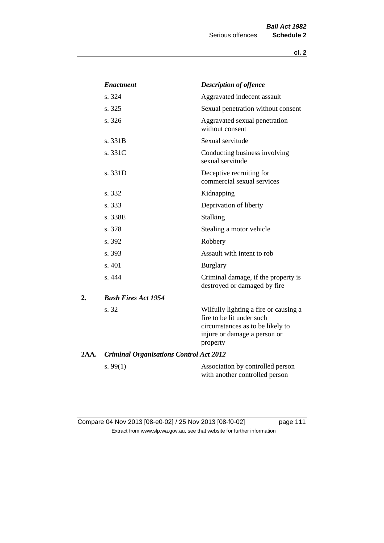|      | <b>Enactment</b>                               | <b>Description of offence</b>                                                                                                                      |
|------|------------------------------------------------|----------------------------------------------------------------------------------------------------------------------------------------------------|
|      | s. 324                                         | Aggravated indecent assault                                                                                                                        |
|      | s. 325                                         | Sexual penetration without consent                                                                                                                 |
|      | s. 326                                         | Aggravated sexual penetration<br>without consent                                                                                                   |
|      | s. 331B                                        | Sexual servitude                                                                                                                                   |
|      | s. 331C                                        | Conducting business involving<br>sexual servitude                                                                                                  |
|      | s. 331D                                        | Deceptive recruiting for<br>commercial sexual services                                                                                             |
|      | s. 332                                         | Kidnapping                                                                                                                                         |
|      | s. 333                                         | Deprivation of liberty                                                                                                                             |
|      | s. 338E                                        | <b>Stalking</b>                                                                                                                                    |
|      | s. 378                                         | Stealing a motor vehicle                                                                                                                           |
|      | s. 392                                         | Robbery                                                                                                                                            |
|      | s. 393                                         | Assault with intent to rob                                                                                                                         |
|      | s. 401                                         | <b>Burglary</b>                                                                                                                                    |
|      | s. 444                                         | Criminal damage, if the property is<br>destroyed or damaged by fire                                                                                |
| 2.   | <b>Bush Fires Act 1954</b>                     |                                                                                                                                                    |
|      | s. 32                                          | Wilfully lighting a fire or causing a<br>fire to be lit under such<br>circumstances as to be likely to<br>injure or damage a person or<br>property |
| 2AA. | <b>Criminal Organisations Control Act 2012</b> |                                                                                                                                                    |
|      | s. $99(1)$                                     | Association by controlled person<br>with another controlled person                                                                                 |

Compare 04 Nov 2013 [08-e0-02] / 25 Nov 2013 [08-f0-02] page 111 Extract from www.slp.wa.gov.au, see that website for further information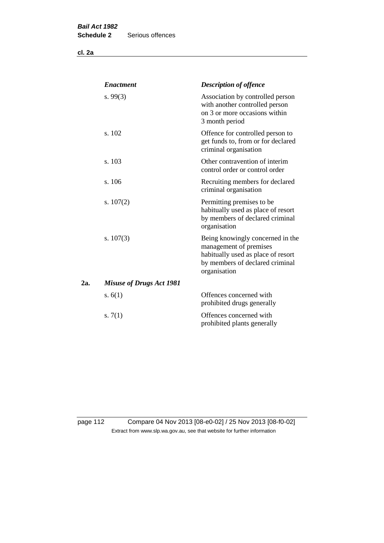**cl. 2a**

|     | <b>Enactment</b>                | <b>Description of offence</b>                                                                                                                       |
|-----|---------------------------------|-----------------------------------------------------------------------------------------------------------------------------------------------------|
|     | s. $99(3)$                      | Association by controlled person<br>with another controlled person<br>on 3 or more occasions within<br>3 month period                               |
|     | s. 102                          | Offence for controlled person to<br>get funds to, from or for declared<br>criminal organisation                                                     |
|     | s. 103                          | Other contravention of interim<br>control order or control order                                                                                    |
|     | s. 106                          | Recruiting members for declared<br>criminal organisation                                                                                            |
|     | s. $107(2)$                     | Permitting premises to be<br>habitually used as place of resort<br>by members of declared criminal<br>organisation                                  |
|     | s. $107(3)$                     | Being knowingly concerned in the<br>management of premises<br>habitually used as place of resort<br>by members of declared criminal<br>organisation |
| 2a. | <b>Misuse of Drugs Act 1981</b> |                                                                                                                                                     |
|     | s. $6(1)$                       | Offences concerned with<br>prohibited drugs generally                                                                                               |
|     | s. $7(1)$                       | Offences concerned with<br>prohibited plants generally                                                                                              |

page 112 Compare 04 Nov 2013 [08-e0-02] / 25 Nov 2013 [08-f0-02] Extract from www.slp.wa.gov.au, see that website for further information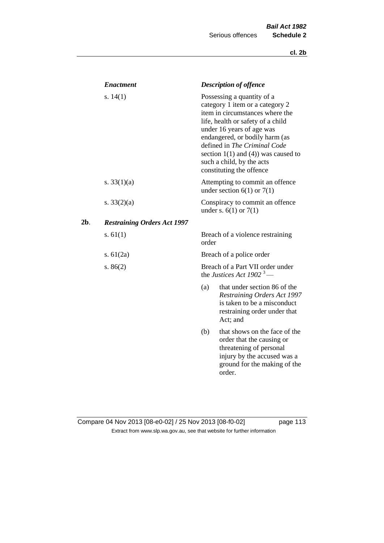|     | <b>Enactment</b>                   |                                                                          | <b>Description of offence</b>                                                                                                                                                                                                                                                                                                             |  |
|-----|------------------------------------|--------------------------------------------------------------------------|-------------------------------------------------------------------------------------------------------------------------------------------------------------------------------------------------------------------------------------------------------------------------------------------------------------------------------------------|--|
|     | s. $14(1)$                         |                                                                          | Possessing a quantity of a<br>category 1 item or a category 2<br>item in circumstances where the<br>life, health or safety of a child<br>under 16 years of age was<br>endangered, or bodily harm (as<br>defined in The Criminal Code<br>section $1(1)$ and $(4)$ ) was caused to<br>such a child, by the acts<br>constituting the offence |  |
|     | s. $33(1)(a)$                      |                                                                          | Attempting to commit an offence<br>under section $6(1)$ or $7(1)$                                                                                                                                                                                                                                                                         |  |
|     | s. $33(2)(a)$                      |                                                                          | Conspiracy to commit an offence<br>under s. $6(1)$ or $7(1)$                                                                                                                                                                                                                                                                              |  |
| 2b. | <b>Restraining Orders Act 1997</b> |                                                                          |                                                                                                                                                                                                                                                                                                                                           |  |
|     | s. $61(1)$                         | order                                                                    | Breach of a violence restraining                                                                                                                                                                                                                                                                                                          |  |
|     | s. $61(2a)$                        |                                                                          | Breach of a police order                                                                                                                                                                                                                                                                                                                  |  |
|     | s. $86(2)$                         | Breach of a Part VII order under<br>the Justices Act 1902 <sup>3</sup> — |                                                                                                                                                                                                                                                                                                                                           |  |
|     |                                    | (a)                                                                      | that under section 86 of the<br><b>Restraining Orders Act 1997</b><br>is taken to be a misconduct<br>restraining order under that<br>Act; and                                                                                                                                                                                             |  |
|     |                                    | (b)                                                                      | that shows on the face of the<br>order that the causing or<br>threatening of personal<br>injury by the accused was a<br>ground for the making of the<br>order.                                                                                                                                                                            |  |

## Compare 04 Nov 2013 [08-e0-02] / 25 Nov 2013 [08-f0-02] page 113 Extract from www.slp.wa.gov.au, see that website for further information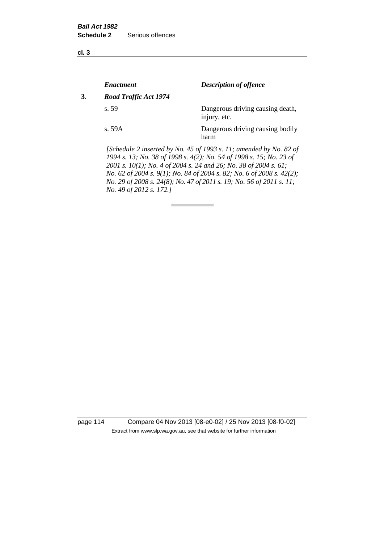**cl. 3**

|    | <i><b>Enactment</b></i> | <b>Description of offence</b>                                                                                                             |
|----|-------------------------|-------------------------------------------------------------------------------------------------------------------------------------------|
| 3. | Road Traffic Act 1974   |                                                                                                                                           |
|    | s.59                    | Dangerous driving causing death,<br>injury, etc.                                                                                          |
|    | s.59A                   | Dangerous driving causing bodily<br>harm                                                                                                  |
|    |                         | [Schedule 2 inserted by No. 45 of 1993 s. 11; amended by No. 82 of<br>1994 s. 13; No. 38 of 1998 s. 4(2); No. 54 of 1998 s. 15; No. 23 of |

*2001 s. 10(1); No. 4 of 2004 s. 24 and 26; No. 38 of 2004 s. 61; No. 62 of 2004 s. 9(1); No. 84 of 2004 s. 82; No. 6 of 2008 s. 42(2); No. 29 of 2008 s. 24(8); No. 47 of 2011 s. 19; No. 56 of 2011 s. 11; No. 49 of 2012 s. 172.]* 

page 114 Compare 04 Nov 2013 [08-e0-02] / 25 Nov 2013 [08-f0-02] Extract from www.slp.wa.gov.au, see that website for further information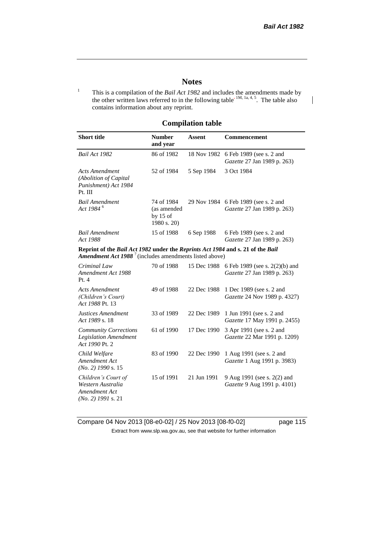$\overline{\phantom{a}}$ 

### **Notes**

<sup>1</sup> This is a compilation of the *Bail Act 1982* and includes the amendments made by the other written laws referred to in the following table<sup>-1M, 1a, 4, 5</sup>. The table also contains information about any reprint.

#### **Compilation table**

| <b>Short title</b>                                                                                                                                  | <b>Number</b><br>and year                              | <b>Assent</b> | Commencement                                                  |
|-----------------------------------------------------------------------------------------------------------------------------------------------------|--------------------------------------------------------|---------------|---------------------------------------------------------------|
| Bail Act 1982                                                                                                                                       | 86 of 1982                                             | 18 Nov 1982   | 6 Feb 1989 (see s. 2 and<br>Gazette 27 Jan 1989 p. 263)       |
| <b>Acts Amendment</b><br>(Abolition of Capital<br>Punishment) Act 1984<br>Pt. III                                                                   | 52 of 1984                                             | 5 Sep 1984    | 3 Oct 1984                                                    |
| <b>Bail Amendment</b><br>Act 1984 <sup>6</sup>                                                                                                      | 74 of 1984<br>(as amended<br>by $15$ of<br>1980 s. 20) | 29 Nov 1984   | 6 Feb 1989 (see s. 2 and<br>Gazette 27 Jan 1989 p. 263)       |
| <b>Bail Amendment</b><br>Act 1988                                                                                                                   | 15 of 1988                                             | 6 Sep 1988    | 6 Feb 1989 (see s. 2 and<br>Gazette 27 Jan 1989 p. 263)       |
| Reprint of the Bail Act 1982 under the Reprints Act 1984 and s. 21 of the Bail<br><b>Amendment Act 1988</b> $^7$ (includes amendments listed above) |                                                        |               |                                                               |
| Criminal Law<br>Amendment Act 1988<br>Pt.4                                                                                                          | 70 of 1988                                             | 15 Dec 1988   | 6 Feb 1989 (see s. 2(2)(b) and<br>Gazette 27 Jan 1989 p. 263) |
| <b>Acts Amendment</b><br>(Children's Court)<br>Act 1988 Pt. 13                                                                                      | 49 of 1988                                             | 22 Dec 1988   | 1 Dec 1989 (see s. 2 and<br>Gazette 24 Nov 1989 p. 4327)      |
| Justices Amendment<br>Act 1989 s. 18                                                                                                                | 33 of 1989                                             | 22 Dec 1989   | 1 Jun 1991 (see s. 2 and<br>Gazette 17 May 1991 p. 2455)      |
| <b>Community Corrections</b><br><b>Legislation Amendment</b><br>Act 1990 Pt. 2                                                                      | 61 of 1990                                             | 17 Dec 1990   | 3 Apr 1991 (see s. 2 and<br>Gazette 22 Mar 1991 p. 1209)      |
| Child Welfare<br>Amendment Act<br>$(No. 2)$ 1990 s. 15                                                                                              | 83 of 1990                                             | 22 Dec 1990   | 1 Aug 1991 (see s. 2 and<br>Gazette 1 Aug 1991 p. 3983)       |
| Children's Court of<br>Western Australia<br>Amendment Act<br>$(No. 2)$ 1991 s. 21                                                                   | 15 of 1991                                             | 21 Jun 1991   | 9 Aug 1991 (see s. 2(2) and<br>Gazette 9 Aug 1991 p. 4101)    |

Compare 04 Nov 2013 [08-e0-02] / 25 Nov 2013 [08-f0-02] page 115 Extract from www.slp.wa.gov.au, see that website for further information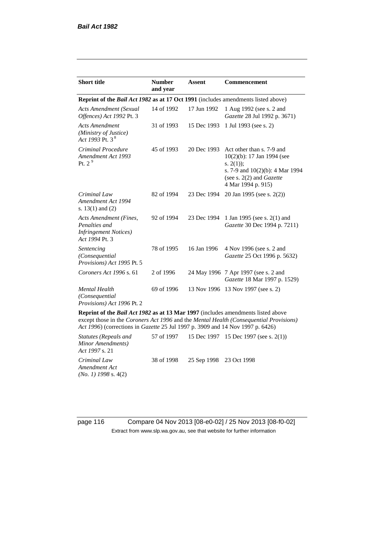| <b>Short title</b>                                                                         | <b>Number</b><br>and year | <b>Assent</b> | Commencement                                                                                                                                                            |
|--------------------------------------------------------------------------------------------|---------------------------|---------------|-------------------------------------------------------------------------------------------------------------------------------------------------------------------------|
| <b>Reprint of the Bail Act 1982 as at 17 Oct 1991</b> (includes amendments listed above)   |                           |               |                                                                                                                                                                         |
| <b>Acts Amendment (Sexual</b><br>Offences) Act 1992 Pt. 3                                  | 14 of 1992                | 17 Jun 1992   | 1 Aug 1992 (see s. 2 and<br>Gazette 28 Jul 1992 p. 3671)                                                                                                                |
| <b>Acts Amendment</b><br>(Ministry of Justice)<br>Act 1993 Pt. 3 <sup>8</sup>              | 31 of 1993                | 15 Dec 1993   | 1 Jul 1993 (see s. 2)                                                                                                                                                   |
| Criminal Procedure<br>Amendment Act 1993<br>Pt. $2^9$                                      | 45 of 1993                | 20 Dec 1993   | Act other than s. 7-9 and<br>10(2)(b): 17 Jan 1994 (see<br>s. $2(1)$ ;<br>s. 7-9 and $10(2)(b)$ : 4 Mar 1994<br>(see s. $2(2)$ and <i>Gazette</i><br>4 Mar 1994 p. 915) |
| Criminal Law<br>Amendment Act 1994<br>s. $13(1)$ and $(2)$                                 | 82 of 1994                | 23 Dec 1994   | 20 Jan 1995 (see s. 2(2))                                                                                                                                               |
| Acts Amendment (Fines,<br>Penalties and<br><b>Infringement Notices</b> )<br>Act 1994 Pt. 3 | 92 of 1994                | 23 Dec 1994   | 1 Jan 1995 (see s. 2(1) and<br>Gazette 30 Dec 1994 p. 7211)                                                                                                             |
| Sentencing<br>(Consequential)<br>Provisions) Act 1995 Pt. 5                                | 78 of 1995                | 16 Jan 1996   | 4 Nov 1996 (see s. 2 and<br>Gazette 25 Oct 1996 p. 5632)                                                                                                                |
| Coroners Act 1996 s. 61                                                                    | 2 of 1996                 |               | 24 May 1996 7 Apr 1997 (see s. 2 and<br>Gazette 18 Mar 1997 p. 1529)                                                                                                    |
| <b>Mental Health</b><br>(Consequential)<br>Provisions) Act 1996 Pt. 2                      | 69 of 1996                |               | 13 Nov 1996 13 Nov 1997 (see s. 2)                                                                                                                                      |

**Reprint of the** *Bail Act 1982* **as at 13 Mar 1997** (includes amendments listed above except those in the *Coroners Act 1996* and the *Mental Health (Consequential Provisions) Act 1996*) (corrections in *Gazette* 25 Jul 1997 p. 3909 and 14 Nov 1997 p. 6426)

*Statutes (Repeals and Minor Amendments) Act 1997* s. 21 57 of 1997 15 Dec 1997 15 Dec 1997 (see s. 2(1)) *Criminal Law Amendment Act (No. 1) 1998* s. 4(2) 38 of 1998 25 Sep 1998 23 Oct 1998

page 116 Compare 04 Nov 2013 [08-e0-02] / 25 Nov 2013 [08-f0-02] Extract from www.slp.wa.gov.au, see that website for further information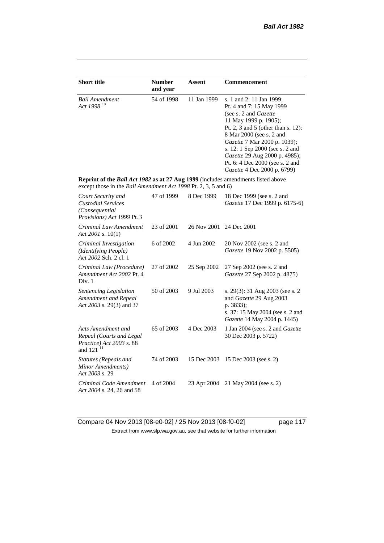| <b>Short title</b>                                                                                                                                 | <b>Number</b><br>and year | Assent      | Commencement                                                                                                                                                                                                                                                                                                                                   |  |
|----------------------------------------------------------------------------------------------------------------------------------------------------|---------------------------|-------------|------------------------------------------------------------------------------------------------------------------------------------------------------------------------------------------------------------------------------------------------------------------------------------------------------------------------------------------------|--|
| <b>Bail Amendment</b><br>Act 1998 <sup>10</sup>                                                                                                    | 54 of 1998                | 11 Jan 1999 | s. 1 and 2: 11 Jan 1999;<br>Pt. 4 and 7: 15 May 1999<br>(see s. 2 and Gazette<br>11 May 1999 p. 1905);<br>Pt. 2, 3 and 5 (other than s. 12):<br>8 Mar 2000 (see s. 2 and<br>Gazette 7 Mar 2000 p. 1039);<br>s. 12: 1 Sep 2000 (see s. 2 and<br>Gazette 29 Aug 2000 p. 4985);<br>Pt. 6: 4 Dec 2000 (see s. 2 and<br>Gazette 4 Dec 2000 p. 6799) |  |
| Reprint of the Bail Act 1982 as at 27 Aug 1999 (includes amendments listed above<br>except those in the Bail Amendment Act 1998 Pt. 2, 3, 5 and 6) |                           |             |                                                                                                                                                                                                                                                                                                                                                |  |
| Court Security and<br><b>Custodial Services</b><br>(Consequential<br>Provisions) Act 1999 Pt. 3                                                    | 47 of 1999                | 8 Dec 1999  | 18 Dec 1999 (see s. 2 and<br>Gazette 17 Dec 1999 p. 6175-6)                                                                                                                                                                                                                                                                                    |  |
| Criminal Law Amendment<br>Act 2001 s. $10(1)$                                                                                                      | 23 of 2001                | 26 Nov 2001 | 24 Dec 2001                                                                                                                                                                                                                                                                                                                                    |  |
| Criminal Investigation<br>(Identifying People)<br>Act 2002 Sch. 2 cl. 1                                                                            | 6 of 2002                 | 4 Jun 2002  | 20 Nov 2002 (see s. 2 and<br>Gazette 19 Nov 2002 p. 5505)                                                                                                                                                                                                                                                                                      |  |
| Criminal Law (Procedure)<br>Amendment Act 2002 Pt. 4<br>Div. 1                                                                                     | 27 of 2002                | 25 Sep 2002 | 27 Sep 2002 (see s. 2 and<br>Gazette 27 Sep 2002 p. 4875)                                                                                                                                                                                                                                                                                      |  |
| Sentencing Legislation<br>Amendment and Repeal<br>Act 2003 s. 29(3) and 37                                                                         | 50 of 2003                | 9 Jul 2003  | s. 29(3): 31 Aug 2003 (see s. 2<br>and Gazette 29 Aug 2003<br>p. 3833);<br>s. 37: 15 May 2004 (see s. 2 and<br>Gazette 14 May 2004 p. 1445)                                                                                                                                                                                                    |  |
| Acts Amendment and<br>Repeal (Courts and Legal<br>Practice) Act 2003 s. 88<br>and 121 <sup>11</sup>                                                | 65 of 2003                | 4 Dec 2003  | 1 Jan 2004 (see s. 2 and Gazette<br>30 Dec 2003 p. 5722)                                                                                                                                                                                                                                                                                       |  |
| Statutes (Repeals and<br>Minor Amendments)<br>Act 2003 s. 29                                                                                       | 74 of 2003                | 15 Dec 2003 | 15 Dec 2003 (see s. 2)                                                                                                                                                                                                                                                                                                                         |  |
| Criminal Code Amendment<br>Act 2004 s. 24, 26 and 58                                                                                               | 4 of 2004                 | 23 Apr 2004 | 21 May 2004 (see s. 2)                                                                                                                                                                                                                                                                                                                         |  |

Compare 04 Nov 2013 [08-e0-02] / 25 Nov 2013 [08-f0-02] page 117 Extract from www.slp.wa.gov.au, see that website for further information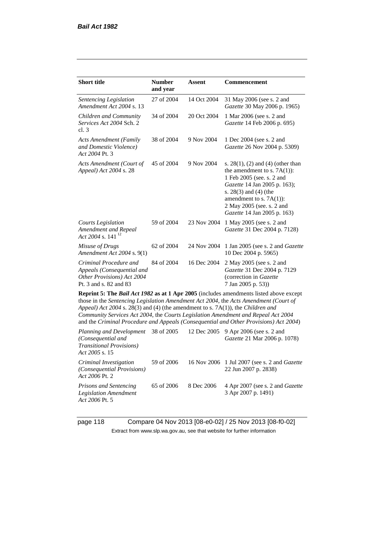*Act 2006* Pt. 5

| <b>Short title</b>                                                                                           | <b>Number</b><br>and year | Assent      | Commencement                                                                                                                                                                                                                                                                                                                                                 |
|--------------------------------------------------------------------------------------------------------------|---------------------------|-------------|--------------------------------------------------------------------------------------------------------------------------------------------------------------------------------------------------------------------------------------------------------------------------------------------------------------------------------------------------------------|
| Sentencing Legislation<br>Amendment Act 2004 s. 13                                                           | 27 of 2004                | 14 Oct 2004 | 31 May 2006 (see s. 2 and<br>Gazette 30 May 2006 p. 1965)                                                                                                                                                                                                                                                                                                    |
| Children and Community<br>Services Act 2004 Sch. 2<br>cl.3                                                   | 34 of 2004                | 20 Oct 2004 | 1 Mar 2006 (see s. 2 and<br>Gazette 14 Feb 2006 p. 695)                                                                                                                                                                                                                                                                                                      |
| <b>Acts Amendment (Family</b><br>and Domestic Violence)<br>Act 2004 Pt. 3                                    | 38 of 2004                | 9 Nov 2004  | 1 Dec 2004 (see s. 2 and<br>Gazette 26 Nov 2004 p. 5309)                                                                                                                                                                                                                                                                                                     |
| Acts Amendment (Court of<br>Appeal) Act 2004 s. 28                                                           | 45 of 2004                | 9 Nov 2004  | s. $28(1)$ , (2) and (4) (other than<br>the amendment to s. $7A(1)$ :<br>1 Feb 2005 (see. s. 2 and<br>Gazette 14 Jan 2005 p. 163);<br>s. $28(3)$ and $(4)$ (the<br>amendment to s. $7A(1)$ :<br>2 May 2005 (see. s. 2 and<br>Gazette 14 Jan 2005 p. 163)                                                                                                     |
| Courts Legislation<br>Amendment and Repeal<br>Act 2004 s. 141 $^{12}$                                        | 59 of 2004                | 23 Nov 2004 | 1 May 2005 (see s. 2 and<br>Gazette 31 Dec 2004 p. 7128)                                                                                                                                                                                                                                                                                                     |
| Misuse of Drugs<br>Amendment Act 2004 s. 9(1)                                                                | 62 of 2004                | 24 Nov 2004 | 1 Jan 2005 (see s. 2 and <i>Gazette</i><br>10 Dec 2004 p. 5965)                                                                                                                                                                                                                                                                                              |
| Criminal Procedure and<br>Appeals (Consequential and<br>Other Provisions) Act 2004<br>Pt. 3 and s. 82 and 83 | 84 of 2004                | 16 Dec 2004 | 2 May 2005 (see s. 2 and<br>Gazette 31 Dec 2004 p. 7129<br>(correction in Gazette<br>7 Jan 2005 p. 53))                                                                                                                                                                                                                                                      |
| Appeal) Act 2004 s. 28(3) and (4) (the amendment to s. 7A(1)), the Children and                              |                           |             | Reprint 5: The Bail Act 1982 as at 1 Apr 2005 (includes amendments listed above except<br>those in the Sentencing Legislation Amendment Act 2004, the Acts Amendment (Court of<br>Community Services Act 2004, the Courts Legislation Amendment and Repeal Act 2004<br>and the Criminal Procedure and Appeals (Consequential and Other Provisions) Act 2004) |
| Planning and Development<br>(Consequential and<br><b>Transitional Provisions)</b><br>Act 2005 s. 15          | 38 of 2005                | 12 Dec 2005 | 9 Apr 2006 (see s. 2 and<br>Gazette 21 Mar 2006 p. 1078)                                                                                                                                                                                                                                                                                                     |
| $C_{\text{min}}$ is a set $L$ in the set $\mathcal{L}$ and $\mathcal{L}$                                     | $50 \text{ s}$ $0006$     |             | $16$ Nev 2006 $1$ Interactional case and $C$ and $t$                                                                                                                                                                                                                                                                                                         |

*Criminal Investigation (Consequential Provisions) Act 2006* Pt. 2 59 of 2006 16 Nov 2006 1 Jul 2007 (see s. 2 and *Gazette* 22 Jun 2007 p. 2838) *Prisons and Sentencing Legislation Amendment*  65 of 2006 8 Dec 2006 4 Apr 2007 (see s. 2 and *Gazette* 3 Apr 2007 p. 1491)

page 118 Compare 04 Nov 2013 [08-e0-02] / 25 Nov 2013 [08-f0-02] Extract from www.slp.wa.gov.au, see that website for further information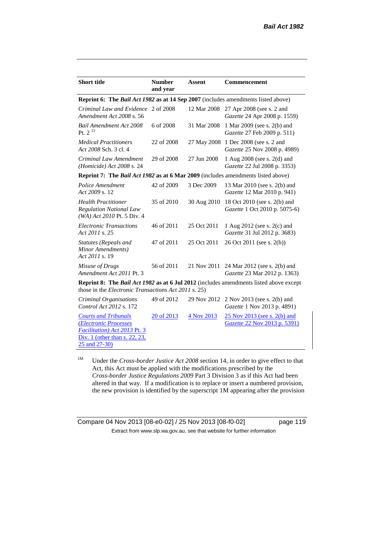| <b>Short title</b>                                                                                                                     | <b>Number</b><br>and year | <b>Assent</b> | <b>Commencement</b>                                                                                  |
|----------------------------------------------------------------------------------------------------------------------------------------|---------------------------|---------------|------------------------------------------------------------------------------------------------------|
| Reprint 6: The Bail Act 1982 as at 14 Sep 2007 (includes amendments listed above)                                                      |                           |               |                                                                                                      |
| Criminal Law and Evidence<br>Amendment Act 2008 s. 56                                                                                  | 2 of 2008                 | 12 Mar 2008   | 27 Apr 2008 (see s. 2 and<br>Gazette 24 Apr 2008 p. 1559)                                            |
| <b>Bail Amendment Act 2008</b><br>Pt. $2^{13}$                                                                                         | 6 of 2008                 | 31 Mar 2008   | 1 Mar 2009 (see s. 2(b) and<br>Gazette 27 Feb 2009 p. 511)                                           |
| <b>Medical Practitioners</b><br>Act 2008 Sch. 3 cl. 4                                                                                  | 22 of 2008                | 27 May 2008   | 1 Dec 2008 (see s. 2 and<br>Gazette 25 Nov 2008 p. 4989)                                             |
| Criminal Law Amendment<br>(Homicide) Act 2008 s. 24                                                                                    | 29 of 2008                | 27 Jun 2008   | 1 Aug 2008 (see s. 2(d) and<br>Gazette 22 Jul 2008 p. 3353)                                          |
| Reprint 7: The Bail Act 1982 as at 6 Mar 2009 (includes amendments listed above)                                                       |                           |               |                                                                                                      |
| Police Amendment<br>Act 2009 s. 12                                                                                                     | 42 of 2009                | 3 Dec 2009    | 13 Mar 2010 (see s. 2(b) and<br>Gazette 12 Mar 2010 p. 941)                                          |
| <b>Health Practitioner</b><br><b>Regulation National Law</b><br>(WA) Act 2010 Pt. 5 Div. 4                                             | 35 of 2010                | 30 Aug 2010   | 18 Oct 2010 (see s. 2(b) and<br>Gazette 1 Oct 2010 p. 5075-6)                                        |
| <b>Electronic Transactions</b><br>Act 2011 s. 25                                                                                       | 46 of 2011                | 25 Oct 2011   | 1 Aug 2012 (see s. 2(c) and<br>Gazette 31 Jul 2012 p. 3683)                                          |
| <b>Statutes (Repeals and</b><br>Minor Amendments)<br>Act 2011 s. 19                                                                    | 47 of 2011                | 25 Oct 2011   | 26 Oct 2011 (see s. 2(b))                                                                            |
| Misuse of Drugs<br>Amendment Act 2011 Pt. 3                                                                                            | 56 of 2011                |               | 21 Nov 2011 24 Mar 2012 (see s. 2(b) and<br>Gazette 23 Mar 2012 p. 1363)                             |
| those in the <i>Electronic Transactions Act 2011</i> s. 25)                                                                            |                           |               | <b>Reprint 8:</b> The <i>Bail Act 1982</i> as at 6 Jul 2012 (includes amendments listed above except |
| Criminal Organisations<br><i>Control Act 2012 s.</i> 172                                                                               | 49 of 2012                | 29 Nov 2012   | 2 Nov 2013 (see s. 2(b) and<br>Gazette 1 Nov 2013 p. 4891)                                           |
| <b>Courts and Tribunals</b><br>(Electronic Processes<br>Facilitation) Act 2013 Pt. 3<br>Div. 1 (other than s. 22, 23,<br>25 and 27-30) | 20 of 2013                | 4 Nov 2013    | 25 Nov 2013 (see s. 2(b) and<br>Gazette 22 Nov 2013 p. 5391)                                         |

<sup>1M</sup> Under the *Cross-border Justice Act 2008* section 14, in order to give effect to that Act, this Act must be applied with the modifications prescribed by the *Cross-border Justice Regulations 2009* Part 3 Division 3 as if this Act had been altered in that way. If a modification is to replace or insert a numbered provision, the new provision is identified by the superscript 1M appearing after the provision

Compare 04 Nov 2013 [08-e0-02] / 25 Nov 2013 [08-f0-02] page 119 Extract from www.slp.wa.gov.au, see that website for further information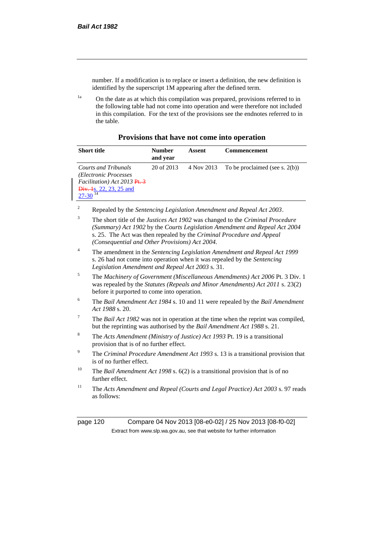number. If a modification is to replace or insert a definition, the new definition is identified by the superscript 1M appearing after the defined term.

<sup>1a</sup> On the date as at which this compilation was prepared, provisions referred to in the following table had not come into operation and were therefore not included in this compilation. For the text of the provisions see the endnotes referred to in the table.

| Provisions that have not come into operation |  |  |  |  |
|----------------------------------------------|--|--|--|--|
|----------------------------------------------|--|--|--|--|

| <b>Short title</b>                                                                                                                                             | <b>Number</b><br>and year | Assent     | <b>Commencement</b>               |
|----------------------------------------------------------------------------------------------------------------------------------------------------------------|---------------------------|------------|-----------------------------------|
| <b>Courts and Tribunals</b><br>(Electronic Processes)<br>Facilitation) Act 2013 Pt. 3<br>$\overline{\text{Div.}+}$ 4s. 22, 23, 25 and<br>$27-30$ <sup>14</sup> | 20 of 2013                | 4 Nov 2013 | To be proclaimed (see s. $2(b)$ ) |

<sup>2</sup> Repealed by the *Sentencing Legislation Amendment and Repeal Act 2003*.

- <sup>3</sup> The short title of the *Justices Act 1902* was changed to the *Criminal Procedure (Summary) Act 1902* by the *Courts Legislation Amendment and Repeal Act 2004*  s. 25. The Act was then repealed by the *Criminal Procedure and Appeal (Consequential and Other Provisions) Act 2004.*
- <sup>4</sup> The amendment in the *Sentencing Legislation Amendment and Repeal Act 1999* s. 26 had not come into operation when it was repealed by the *Sentencing Legislation Amendment and Repeal Act 2003* s. 31.
- <sup>5</sup> The *Machinery of Government (Miscellaneous Amendments) Act 2006* Pt. 3 Div. 1 was repealed by the *Statutes (Repeals and Minor Amendments) Act 2011* s. 23(2) before it purported to come into operation.
- <sup>6</sup> The *Bail Amendment Act 1984* s. 10 and 11 were repealed by the *Bail Amendment Act 1988* s. 20.
- <sup>7</sup> The *Bail Act 1982* was not in operation at the time when the reprint was compiled, but the reprinting was authorised by the *Bail Amendment Act 1988* s. 21.
- <sup>8</sup> The *Acts Amendment (Ministry of Justice) Act 1993* Pt. 19 is a transitional provision that is of no further effect.
- <sup>9</sup> The *Criminal Procedure Amendment Act 1993* s. 13 is a transitional provision that is of no further effect.
- <sup>10</sup> The *Bail Amendment Act 1998* s. 6(2) is a transitional provision that is of no further effect.
- <sup>11</sup> The *Acts Amendment and Repeal (Courts and Legal Practice) Act 2003* s. 97 reads as follows:

page 120 Compare 04 Nov 2013 [08-e0-02] / 25 Nov 2013 [08-f0-02] Extract from www.slp.wa.gov.au, see that website for further information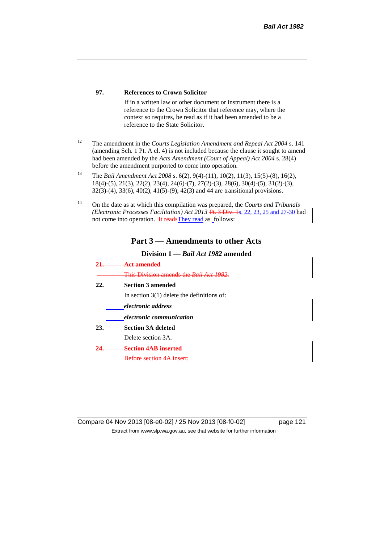#### **97. References to Crown Solicitor**

If in a written law or other document or instrument there is a reference to the Crown Solicitor that reference may, where the context so requires, be read as if it had been amended to be a reference to the State Solicitor.

- <sup>12</sup> The amendment in the *Courts Legislation Amendment and Repeal Act 2004* s. 141 (amending Sch. 1 Pt. A cl. 4) is not included because the clause it sought to amend had been amended by the *Acts Amendment (Court of Appeal) Act 2004* s. 28(4) before the amendment purported to come into operation.
- <sup>13</sup> The *Bail Amendment Act 2008* s. 6(2), 9(4)-(11), 10(2), 11(3), 15(5)-(8), 16(2), 18(4)-(5), 21(3), 22(2), 23(4), 24(6)-(7), 27(2)-(3), 28(6), 30(4)-(5), 31(2)-(3), 32(3)-(4), 33(6), 40(2), 41(5)-(9), 42(3) and 44 are transitional provisions.
- <sup>14</sup> On the date as at which this compilation was prepared, the *Courts and Tribunals (Electronic Processes Facilitation) Act 2013* Pt. 3 Div. 1s. 22, 23, 25 and 27-30 had not come into operation. It reads They read as-follows:

### **Part 3 — Amendments to other Acts**

### **Division 1 —** *Bail Act 1982* **amended**

|     | This Division amonds the Rail                |
|-----|----------------------------------------------|
| 22. | <b>Section 3 amended</b>                     |
|     | In section $3(1)$ delete the definitions of: |
|     | <i>electronic address</i>                    |
|     | <i>electronic communication</i>              |
| 23. | <b>Section 3A deleted</b>                    |
|     | Delete section 3A.                           |
|     | Section 4AR inserted                         |
|     | <del>Before section 4A</del>                 |

Compare 04 Nov 2013 [08-e0-02] / 25 Nov 2013 [08-f0-02] page 121 Extract from www.slp.wa.gov.au, see that website for further information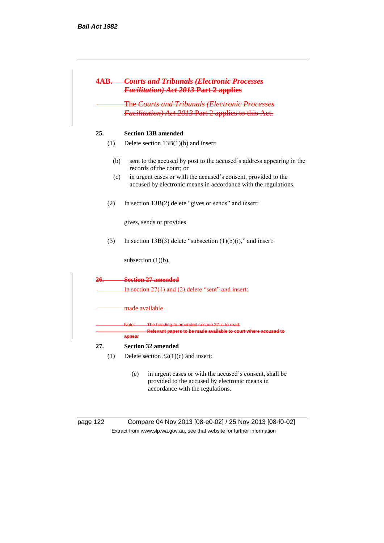|     | <b>4AB.</b> Courts and Tribunals (Electronic Processes<br><b>Facilitation) Act 2013 Part 2 applies</b>                                               |
|-----|------------------------------------------------------------------------------------------------------------------------------------------------------|
|     | <b>The Courts and Tribunals (Electronic Processes</b><br>Facilitation) Act 2013 Part 2 applies to this Act.                                          |
| 25. | <b>Section 13B amended</b>                                                                                                                           |
| (1) | Delete section $13B(1)(b)$ and insert:                                                                                                               |
| (b) | sent to the accused by post to the accused's address appearing in the<br>records of the court: or                                                    |
| (c) | in urgent cases or with the accused's consent, provided to the<br>accused by electronic means in accordance with the regulations.                    |
| (2) | In section $13B(2)$ delete "gives or sends" and insert:                                                                                              |
|     | gives, sends or provides                                                                                                                             |
| (3) | In section 13B(3) delete "subsection $(1)(b)(i)$ ," and insert:                                                                                      |
|     | subsection $(1)(b)$ ,                                                                                                                                |
|     | 26. Section 27 amended                                                                                                                               |
|     | In section $27(1)$ and $(2)$ delete "sent" and insert:                                                                                               |
|     | <del>made available</del>                                                                                                                            |
|     | Note: The heading to amended section 27 is to read:                                                                                                  |
|     | Relevant papers to be made available to court where accused to<br>appear                                                                             |
| 27. | <b>Section 32 amended</b>                                                                                                                            |
| (1) | Delete section $32(1)(c)$ and insert:                                                                                                                |
|     | in urgent cases or with the accused's consent, shall be<br>(c)<br>provided to the accused by electronic means in<br>accordance with the regulations. |

page 122 Compare 04 Nov 2013 [08-e0-02] / 25 Nov 2013 [08-f0-02] Extract from www.slp.wa.gov.au, see that website for further information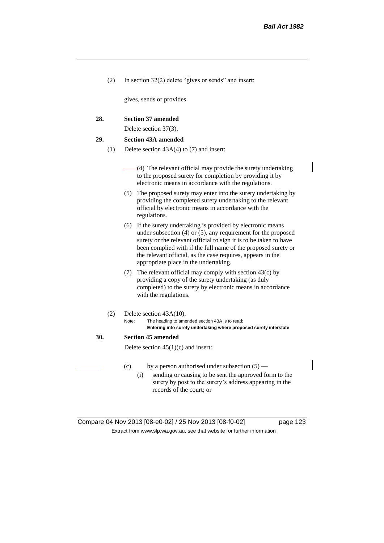(2) In section 32(2) delete "gives or sends" and insert:

gives, sends or provides

#### **28. Section 37 amended**

Delete section 37(3).

#### **29. Section 43A amended**

- (1) Delete section 43A(4) to (7) and insert:
	- (4) The relevant official may provide the surety undertaking to the proposed surety for completion by providing it by electronic means in accordance with the regulations.
	- (5) The proposed surety may enter into the surety undertaking by providing the completed surety undertaking to the relevant official by electronic means in accordance with the regulations.
	- (6) If the surety undertaking is provided by electronic means under subsection (4) or (5), any requirement for the proposed surety or the relevant official to sign it is to be taken to have been complied with if the full name of the proposed surety or the relevant official, as the case requires, appears in the appropriate place in the undertaking.
	- (7) The relevant official may comply with section 43(c) by providing a copy of the surety undertaking (as duly completed) to the surety by electronic means in accordance with the regulations.
- (2) Delete section 43A(10).
	- Note: The heading to amended section 43A is to read: **Entering into surety undertaking where proposed surety interstate**

#### **30. Section 45 amended**

Delete section  $45(1)(c)$  and insert:

- (c) by a person authorised under subsection  $(5)$ 
	- (i) sending or causing to be sent the approved form to the surety by post to the surety's address appearing in the records of the court; or

| Compare 04 Nov 2013 [08-e0-02] / 25 Nov 2013 [08-f0-02]                  | page 123 |  |
|--------------------------------------------------------------------------|----------|--|
| Extract from www.slp.wa.gov.au, see that website for further information |          |  |